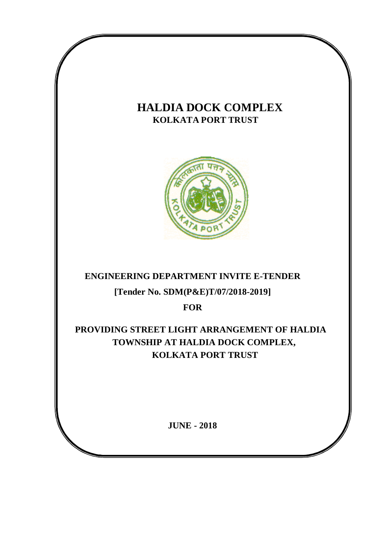# **HALDIA DOCK COMPLEX KOLKATA PORT TRUST**



# **ENGINEERING DEPARTMENT INVITE E-TENDER**

## **[Tender No. SDM(P&E)T/07/2018-2019]**

**FOR**

 **PROVIDING STREET LIGHT ARRANGEMENT OF HALDIA TOWNSHIP AT HALDIA DOCK COMPLEX, KOLKATA PORT TRUST**

**JUNE - 2018**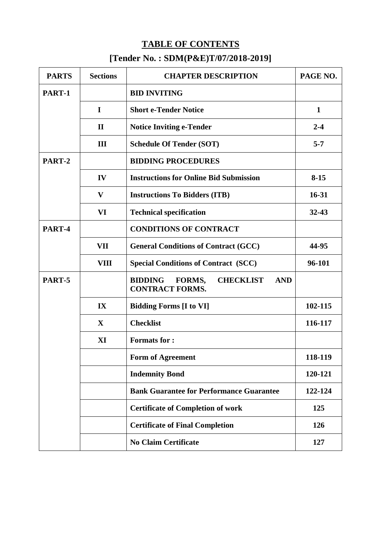# **TABLE OF CONTENTS [Tender No. : SDM(P&E)T/07/2018-2019]**

| <b>PARTS</b>                                                                                          | <b>Sections</b>                           | <b>CHAPTER DESCRIPTION</b>                                                           | PAGE NO.     |  |
|-------------------------------------------------------------------------------------------------------|-------------------------------------------|--------------------------------------------------------------------------------------|--------------|--|
| PART-1                                                                                                |                                           | <b>BID INVITING</b>                                                                  |              |  |
|                                                                                                       | I                                         | <b>Short e-Tender Notice</b>                                                         | $\mathbf{1}$ |  |
|                                                                                                       | $\mathbf{I}$                              | <b>Notice Inviting e-Tender</b>                                                      | $2 - 4$      |  |
|                                                                                                       | III                                       | <b>Schedule Of Tender (SOT)</b>                                                      | $5 - 7$      |  |
| PART-2                                                                                                |                                           | <b>BIDDING PROCEDURES</b>                                                            |              |  |
|                                                                                                       | IV                                        | <b>Instructions for Online Bid Submission</b>                                        | $8 - 15$     |  |
|                                                                                                       | V<br><b>Instructions To Bidders (ITB)</b> |                                                                                      |              |  |
|                                                                                                       | VI                                        | <b>Technical specification</b>                                                       | $32 - 43$    |  |
| PART-4                                                                                                |                                           | <b>CONDITIONS OF CONTRACT</b>                                                        |              |  |
|                                                                                                       | VII                                       | <b>General Conditions of Contract (GCC)</b>                                          | 44-95        |  |
|                                                                                                       | VIII                                      | <b>Special Conditions of Contract (SCC)</b>                                          | 96-101       |  |
| PART-5                                                                                                |                                           | <b>BIDDING</b><br>FORMS,<br><b>CHECKLIST</b><br><b>AND</b><br><b>CONTRACT FORMS.</b> |              |  |
| IX<br><b>Bidding Forms [I to VI]</b><br>$\mathbf{X}$<br><b>Checklist</b><br>XI<br><b>Formats for:</b> |                                           |                                                                                      | 102-115      |  |
|                                                                                                       |                                           |                                                                                      | 116-117      |  |
|                                                                                                       |                                           |                                                                                      |              |  |
|                                                                                                       |                                           | Form of Agreement                                                                    | 118-119      |  |
|                                                                                                       |                                           | <b>Indemnity Bond</b>                                                                | 120-121      |  |
|                                                                                                       |                                           | <b>Bank Guarantee for Performance Guarantee</b>                                      | 122-124      |  |
|                                                                                                       |                                           | <b>Certificate of Completion of work</b>                                             | 125          |  |
|                                                                                                       | <b>Certificate of Final Completion</b>    | 126                                                                                  |              |  |
|                                                                                                       |                                           | <b>No Claim Certificate</b>                                                          | 127          |  |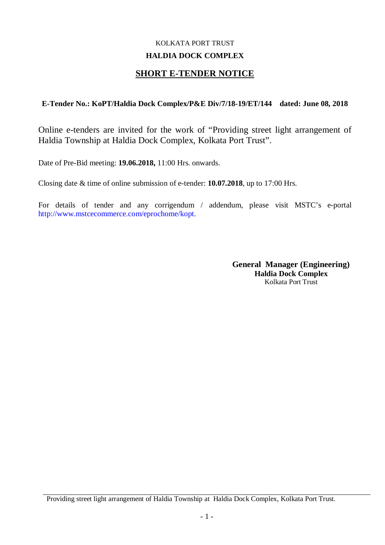## KOLKATA PORT TRUST **HALDIA DOCK COMPLEX**

## **SHORT E-TENDER NOTICE**

## **E-Tender No.: KoPT/Haldia Dock Complex/P&E Div/7/18-19/ET/144 dated: June 08, 2018**

Online e-tenders are invited for the work of "Providing street light arrangement of Haldia Township at Haldia Dock Complex, Kolkata Port Trust".

Date of Pre-Bid meeting: **19.06.2018,** 11:00 Hrs. onwards.

Closing date & time of online submission of e-tender: **10.07.2018**, up to 17:00 Hrs.

For details of tender and any corrigendum / addendum, please visit MSTC's e-portal http://www.mstcecommerce.com/eprochome/kopt.

> **General Manager (Engineering) Haldia Dock Complex** Kolkata Port Trust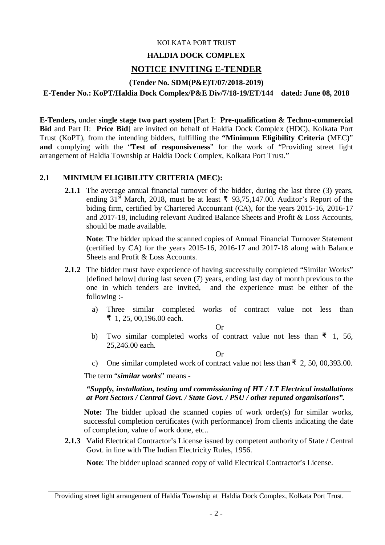#### KOLKATA PORT TRUST

#### **HALDIA DOCK COMPLEX**

## **NOTICE INVITING E-TENDER**

#### **(Tender No. SDM(P&E)T/07/2018-2019)**

**E-Tender No.: KoPT/Haldia Dock Complex/P&E Div/7/18-19/ET/144 dated: June 08, 2018**

**E-Tenders,** under **single stage two part system** [Part I: **Pre-qualification & Techno-commercial Bid** and Part II: **Price Bid**] are invited on behalf of Haldia Dock Complex (HDC), Kolkata Port Trust (KoPT), from the intending bidders, fulfilling the **"Minimum Eligibility Criteria** (MEC)" **and** complying with the "**Test of responsiveness**" for the work of "Providing street light arrangement of Haldia Township at Haldia Dock Complex, Kolkata Port Trust."

#### **2.1 MINIMUM ELIGIBILITY CRITERIA (MEC):**

**2.1.1** The average annual financial turnover of the bidder, during the last three (3) years, ending 31<sup>st</sup> March, 2018, must be at least ₹ 93,75,147.00. Auditor's Report of the biding firm, certified by Chartered Accountant (CA), for the years 2015-16, 2016-17 and 2017-18, including relevant Audited Balance Sheets and Profit & Loss Accounts, should be made available.

**Note**: The bidder upload the scanned copies of Annual Financial Turnover Statement (certified by CA) for the years 2015-16, 2016-17 and 2017-18 along with Balance Sheets and Profit & Loss Accounts.

- **2.1.2** The bidder must have experience of having successfully completed "Similar Works" [defined below] during last seven (7) years, ending last day of month previous to the one in which tenders are invited, and the experience must be either of the following :
	- a) Three similar completed works of contract value not less than ₹ 1, 25, 00,196.00 each.

Or

b) Two similar completed works of contract value not less than  $\bar{z}$  1, 56, 25,246.00 each.

Or

c) One similar completed work of contract value not less than  $\bar{f}$  2, 50, 00,393.00.

The term "*similar works*" means -

*"Supply, installation, testing and commissioning of HT / LT Electrical installations at Port Sectors / Central Govt. / State Govt. / PSU / other reputed organisations".*

**Note:** The bidder upload the scanned copies of work order(s) for similar works, successful completion certificates (with performance) from clients indicating the date of completion, value of work done, etc..

**2.1.3** Valid Electrical Contractor's License issued by competent authority of State / Central Govt. in line with The Indian Electricity Rules, 1956.

**Note**: The bidder upload scanned copy of valid Electrical Contractor's License.

Providing street light arrangement of Haldia Township at Haldia Dock Complex, Kolkata Port Trust.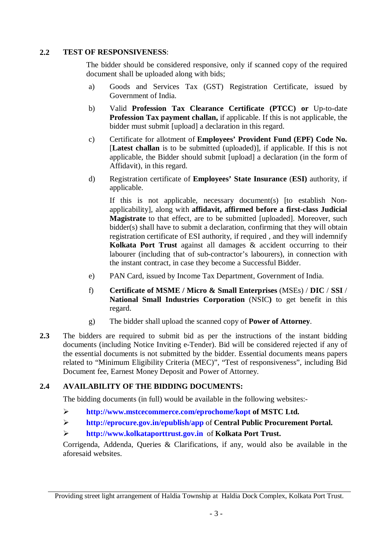## **2.2 TEST OF RESPONSIVENESS**:

The bidder should be considered responsive, only if scanned copy of the required document shall be uploaded along with bids;

- a) Goods and Services Tax (GST) Registration Certificate, issued by Government of India.
- b) Valid **Profession Tax Clearance Certificate (PTCC) or** Up-to-date **Profession Tax payment challan,** if applicable. If this is not applicable, the bidder must submit [upload] a declaration in this regard.
- c) Certificate for allotment of **Employees' Provident Fund (EPF) Code No.**  [**Latest challan** is to be submitted (uploaded)], if applicable. If this is not applicable, the Bidder should submit [upload] a declaration (in the form of Affidavit), in this regard.
- d) Registration certificate of **Employees' State Insurance** (**ESI)** authority, if applicable.

If this is not applicable, necessary document(s) [to establish Nonapplicability], along with **affidavit, affirmed before a first-class Judicial Magistrate** to that effect, are to be submitted [uploaded]. Moreover, such bidder(s) shall have to submit a declaration, confirming that they will obtain registration certificate of ESI authority, if required , and they will indemnify **Kolkata Port Trust** against all damages & accident occurring to their labourer (including that of sub-contractor's labourers), in connection with the instant contract, in case they become a Successful Bidder.

- e) PAN Card, issued by Income Tax Department, Government of India.
- f) **Certificate of MSME / Micro & Small Enterprises** (MSEs) / **DIC** / **SSI** / **National Small Industries Corporation** (NSIC**)** to get benefit in this regard.
- g) The bidder shall upload the scanned copy of **Power of Attorney**.
- **2.3** The bidders are required to submit bid as per the instructions of the instant bidding documents (including Notice Inviting e-Tender). Bid will be considered rejected if any of the essential documents is not submitted by the bidder. Essential documents means papers related to "Minimum Eligibility Criteria (MEC)", "Test of responsiveness", including Bid Document fee, Earnest Money Deposit and Power of Attorney.

## **2.4 AVAILABILITY OF THE BIDDING DOCUMENTS:**

The bidding documents (in full) would be available in the following websites:-

- **http://www.mstcecommerce.com/eprochome/kopt of MSTC Ltd.**
- **http://eprocure.gov.in/epublish/app** of **Central Public Procurement Portal.**

## **http://www.kolkataporttrust.gov.in** of **Kolkata Port Trust.**

Corrigenda, Addenda, Queries & Clarifications, if any, would also be available in the aforesaid websites.

Providing street light arrangement of Haldia Township at Haldia Dock Complex, Kolkata Port Trust.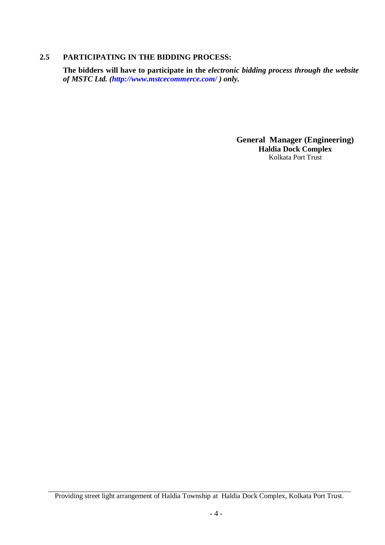#### **2.5 PARTICIPATING IN THE BIDDING PROCESS:**

**The bidders will have to participate in the** *electronic bidding process through the website of MSTC Ltd. (http://www.mstcecommerce.com/ ) only.*

> **General Manager (Engineering) Haldia Dock Complex** Kolkata Port Trust

Providing street light arrangement of Haldia Township at Haldia Dock Complex, Kolkata Port Trust.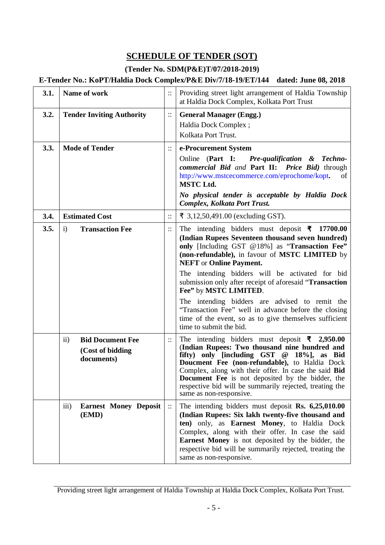# **SCHEDULE OF TENDER (SOT)**

## **(Tender No. SDM(P&E)T/07/2018-2019)**

## **E-Tender No.: KoPT/Haldia Dock Complex/P&E Div/7/18-19/ET/144 dated: June 08, 2018**

| 3.1. | Name of work                                                                   |          | Providing street light arrangement of Haldia Township<br>at Haldia Dock Complex, Kolkata Port Trust                                                                                                                                                                                                                                                                                                                                                                                                                                                                                                      |
|------|--------------------------------------------------------------------------------|----------|----------------------------------------------------------------------------------------------------------------------------------------------------------------------------------------------------------------------------------------------------------------------------------------------------------------------------------------------------------------------------------------------------------------------------------------------------------------------------------------------------------------------------------------------------------------------------------------------------------|
| 3.2. | <b>Tender Inviting Authority</b>                                               |          | <b>General Manager (Engg.)</b><br>Haldia Dock Complex;<br>Kolkata Port Trust.                                                                                                                                                                                                                                                                                                                                                                                                                                                                                                                            |
| 3.3. | <b>Mode of Tender</b>                                                          | $\vdots$ | e-Procurement System<br>Online (Part I: Pre-qualification & Techno-<br>commercial Bid and Part II: Price Bid) through<br>http://www.mstcecommerce.com/eprochome/kopt.<br>of<br><b>MSTC Ltd.</b><br>No physical tender is acceptable by Haldia Dock<br><b>Complex, Kolkata Port Trust.</b>                                                                                                                                                                                                                                                                                                                |
| 3.4. | <b>Estimated Cost</b>                                                          |          | ₹ 3,12,50,491.00 (excluding GST).                                                                                                                                                                                                                                                                                                                                                                                                                                                                                                                                                                        |
| 3.5. | i)<br><b>Transaction Fee</b>                                                   | $\vdots$ | The intending bidders must deposit $\bar{\mathbf{\tau}}$ 17700.00<br>(Indian Rupees Seventeen thousand seven hundred)<br>only [Including GST @18%] as "Transaction Fee"<br>(non-refundable), in favour of MSTC LIMITED by<br><b>NEFT</b> or <b>Online Payment.</b><br>The intending bidders will be activated for bid<br>submission only after receipt of aforesaid "Transaction<br>Fee" by MSTC LIMITED.<br>The intending bidders are advised to remit the<br>"Transaction Fee" well in advance before the closing<br>time of the event, so as to give themselves sufficient<br>time to submit the bid. |
|      | <b>Bid Document Fee</b><br>$\overline{ii}$ )<br>(Cost of bidding<br>documents) | $\vdots$ | The intending bidders must deposit $\bar{\mathbf{z}}$ 2,950.00<br>(Indian Rupees: Two thousand nine hundred and<br>fifty) only [including GST @ 18%], as Bid<br>Doucment Fee (non-refundable), to Haldia Dock<br>Complex, along with their offer. In case the said Bid<br><b>Document Fee</b> is not deposited by the bidder, the<br>respective bid will be summarily rejected, treating the<br>same as non-responsive.                                                                                                                                                                                  |
|      | $\overline{\text{iii}}$<br><b>Earnest Money Deposit</b><br>(EMD)               | $\vdots$ | The intending bidders must deposit $\mathbf{R}s$ . 6,25,010.00<br>(Indian Rupees: Six lakh twenty-five thousand and<br>ten) only, as Earnest Money, to Haldia Dock<br>Complex, along with their offer. In case the said<br><b>Earnest Money</b> is not deposited by the bidder, the<br>respective bid will be summarily rejected, treating the<br>same as non-responsive.                                                                                                                                                                                                                                |

Providing street light arrangement of Haldia Township at Haldia Dock Complex, Kolkata Port Trust.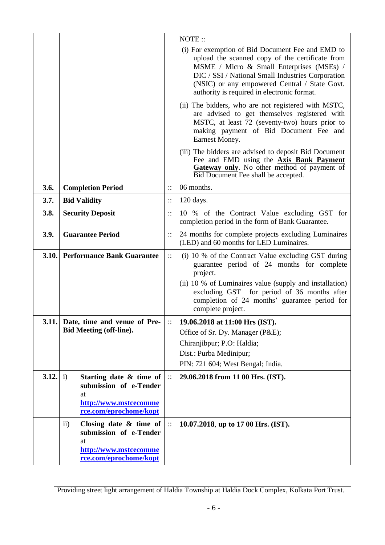|       |                                                                                                                                     |                        | NOTE:                                                                                                                                                                                                                                                                                                 |
|-------|-------------------------------------------------------------------------------------------------------------------------------------|------------------------|-------------------------------------------------------------------------------------------------------------------------------------------------------------------------------------------------------------------------------------------------------------------------------------------------------|
|       |                                                                                                                                     |                        | (i) For exemption of Bid Document Fee and EMD to<br>upload the scanned copy of the certificate from<br>MSME / Micro & Small Enterprises (MSEs) /<br>DIC / SSI / National Small Industries Corporation<br>(NSIC) or any empowered Central / State Govt.<br>authority is required in electronic format. |
|       |                                                                                                                                     |                        | (ii) The bidders, who are not registered with MSTC,<br>are advised to get themselves registered with<br>MSTC, at least 72 (seventy-two) hours prior to<br>making payment of Bid Document Fee and<br>Earnest Money.                                                                                    |
|       |                                                                                                                                     |                        | (iii) The bidders are advised to deposit Bid Document<br>Fee and EMD using the <b>Axis Bank Payment</b><br>Gateway only. No other method of payment of<br>Bid Document Fee shall be accepted.                                                                                                         |
| 3.6.  | <b>Completion Period</b>                                                                                                            | $\vdots$               | 06 months.                                                                                                                                                                                                                                                                                            |
| 3.7.  | <b>Bid Validity</b>                                                                                                                 | $\vdots$               | 120 days.                                                                                                                                                                                                                                                                                             |
| 3.8.  | <b>Security Deposit</b>                                                                                                             | $\vdots$               | 10 % of the Contract Value excluding GST for<br>completion period in the form of Bank Guarantee.                                                                                                                                                                                                      |
| 3.9.  | <b>Guarantee Period</b>                                                                                                             | $\vdots$               | 24 months for complete projects excluding Luminaires<br>(LED) and 60 months for LED Luminaires.                                                                                                                                                                                                       |
| 3.10. | <b>Performance Bank Guarantee</b>                                                                                                   | $\vdots$               | (i) 10 % of the Contract Value excluding GST during<br>guarantee period of 24 months for complete<br>project.<br>(ii) 10 % of Luminaires value (supply and installation)<br>excluding GST for period of 36 months after<br>completion of 24 months' guarantee period for<br>complete project.         |
|       | 3.11. Date, time and venue of Pre-                                                                                                  |                        | 19.06.2018 at 11:00 Hrs (IST).                                                                                                                                                                                                                                                                        |
|       | <b>Bid Meeting (off-line).</b>                                                                                                      |                        | Office of Sr. Dy. Manager (P&E);<br>Chiranjibpur; P.O: Haldia;<br>Dist.: Purba Medinipur;<br>PIN: 721 604; West Bengal; India.                                                                                                                                                                        |
| 3.12. | Starting date & time of<br>i)<br>submission of e-Tender<br>at<br>http://www.mstcecomme<br>rce.com/eprochome/kopt                    | $\ddot{\phantom{a}}$ : | 29.06.2018 from 11 00 Hrs. (IST).                                                                                                                                                                                                                                                                     |
|       | $\ddot{\mathbf{i}}$<br>Closing date $\&$ time of<br>submission of e-Tender<br>at<br>http://www.mstcecomme<br>rce.com/eprochome/kopt | $\ddot{\mathbb{I}}$    | 10.07.2018, up to 17 00 Hrs. (IST).                                                                                                                                                                                                                                                                   |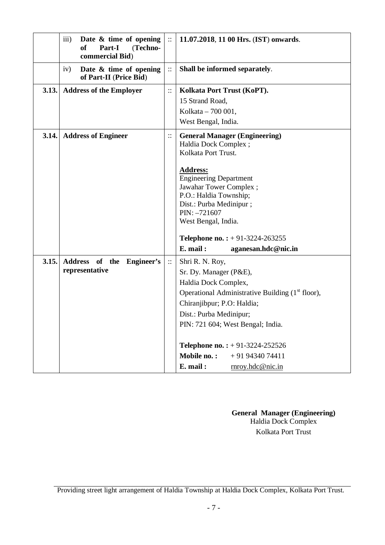|       | iii)<br>Date $\&$ time of opening<br><sub>of</sub><br>Part-I<br>(Techno-<br>commercial Bid) | $\ddot{\phantom{a}}$ : | 11.07.2018, 11 00 Hrs. (IST) onwards.                                                                                                                                                                                                                                                                                                          |
|-------|---------------------------------------------------------------------------------------------|------------------------|------------------------------------------------------------------------------------------------------------------------------------------------------------------------------------------------------------------------------------------------------------------------------------------------------------------------------------------------|
|       | Date & time of opening<br>iv)<br>of Part-II (Price Bid)                                     | $\ddot{\cdot}$         | Shall be informed separately.                                                                                                                                                                                                                                                                                                                  |
| 3.13. | <b>Address of the Employer</b>                                                              | $\vdots$               | Kolkata Port Trust (KoPT).<br>15 Strand Road,<br>Kolkata - 700 001,<br>West Bengal, India.                                                                                                                                                                                                                                                     |
| 3.14. | <b>Address of Engineer</b>                                                                  | $\ddot{\cdot}$         | <b>General Manager (Engineering)</b><br>Haldia Dock Complex;<br>Kolkata Port Trust.<br><b>Address:</b><br><b>Engineering Department</b><br>Jawahar Tower Complex;<br>P.O.: Haldia Township;<br>Dist.: Purba Medinipur;<br>$PIN: -721607$<br>West Bengal, India.<br><b>Telephone no.:</b> $+ 91-3224-263255$<br>E. mail:<br>aganesan.hdc@nic.in |
| 3.15. | Address of the Engineer's<br>representative                                                 | $\ddot{\phantom{a}}$ : | Shri R. N. Roy,<br>Sr. Dy. Manager (P&E),<br>Haldia Dock Complex,<br>Operational Administrative Building (1 <sup>st</sup> floor),<br>Chiranjibpur; P.O: Haldia;<br>Dist.: Purba Medinipur;<br>PIN: 721 604; West Bengal; India.<br><b>Telephone no.:</b> $+ 91-3224-252526$<br>Mobile no.:<br>$+919434074411$<br>E. mail:<br>rnroy.hdc@nic.in  |

**General Manager (Engineering)** Haldia Dock Complex Kolkata Port Trust

Providing street light arrangement of Haldia Township at Haldia Dock Complex, Kolkata Port Trust.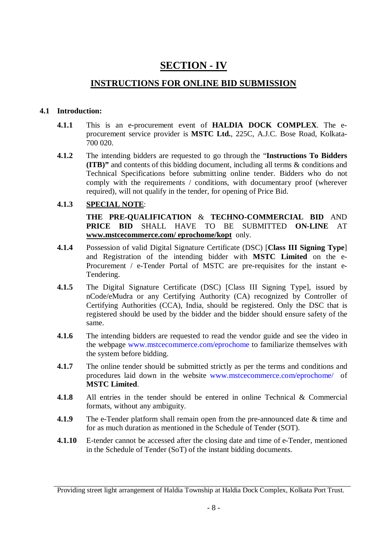# **SECTION - IV**

## **INSTRUCTIONS FOR ONLINE BID SUBMISSION**

#### **4.1 Introduction:**

- **4.1.1** This is an e-procurement event of **HALDIA DOCK COMPLEX**. The eprocurement service provider is **MSTC Ltd.**, 225C, A.J.C. Bose Road, Kolkata-700 020.
- **4.1.2** The intending bidders are requested to go through the "**Instructions To Bidders (ITB)"** and contents of this bidding document, including all terms & conditions and Technical Specifications before submitting online tender. Bidders who do not comply with the requirements / conditions, with documentary proof (wherever required), will not qualify in the tender, for opening of Price Bid.

## **4.1.3 SPECIAL NOTE**:

**THE PRE-QUALIFICATION** & **TECHNO-COMMERCIAL BID** AND **PRICE BID** SHALL HAVE TO BE SUBMITTED **ON-LINE** AT **www.mstcecommerce.com/ eprochome/kopt** only.

- **4.1.4** Possession of valid Digital Signature Certificate (DSC) [**Class III Signing Type**] and Registration of the intending bidder with **MSTC Limited** on the e-Procurement / e-Tender Portal of MSTC are pre-requisites for the instant e-Tendering.
- **4.1.5** The Digital Signature Certificate (DSC) [Class III Signing Type], issued by nCode/eMudra or any Certifying Authority (CA) recognized by Controller of Certifying Authorities (CCA), India, should be registered. Only the DSC that is registered should be used by the bidder and the bidder should ensure safety of the same.
- **4.1.6** The intending bidders are requested to read the vendor guide and see the video in the webpage www.mstcecommerce.com/eprochome to familiarize themselves with the system before bidding.
- **4.1.7** The online tender should be submitted strictly as per the terms and conditions and procedures laid down in the website www.mstcecommerce.com/eprochome/ of **MSTC Limited**.
- **4.1.8** All entries in the tender should be entered in online Technical & Commercial formats, without any ambiguity.
- **4.1.9** The e-Tender platform shall remain open from the pre-announced date & time and for as much duration as mentioned in the Schedule of Tender (SOT).
- **4.1.10** E-tender cannot be accessed after the closing date and time of e-Tender, mentioned in the Schedule of Tender (SoT) of the instant bidding documents.

Providing street light arrangement of Haldia Township at Haldia Dock Complex, Kolkata Port Trust.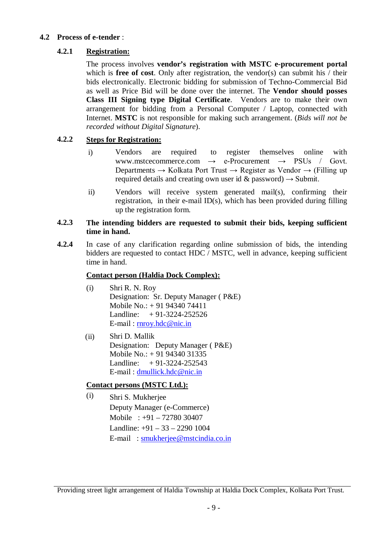#### **4.2 Process of e-tender** :

## **4.2.1 Registration:**

The process involves **vendor's registration with MSTC e-procurement portal** which is **free of cost**. Only after registration, the vendor(s) can submit his  $/$  their bids electronically. Electronic bidding for submission of Techno-Commercial Bid as well as Price Bid will be done over the internet. The **Vendor should posses Class III Signing type Digital Certificate**. Vendors are to make their own arrangement for bidding from a Personal Computer / Laptop, connected with Internet. **MSTC** is not responsible for making such arrangement. (*Bids will not be recorded without Digital Signature*).

## **4.2.2 Steps for Registration:**

- i) Vendors are required to register themselves online with<br>www.msteecommerce.com  $\rightarrow$  e-Procurement  $\rightarrow$  PSUs / Govt. e-Procurement  $\rightarrow$  PSUs / Departments  $\rightarrow$  Kolkata Port Trust  $\rightarrow$  Register as Vendor  $\rightarrow$  (Filling up) required details and creating own user id & password)  $\rightarrow$  Submit.
- ii) Vendors will receive system generated mail(s), confirming their registration, in their e-mail ID(s), which has been provided during filling up the registration form.

#### **4.2.3 The intending bidders are requested to submit their bids, keeping sufficient time in hand.**

**4.2.4** In case of any clarification regarding online submission of bids, the intending bidders are requested to contact HDC / MSTC, well in advance, keeping sufficient time in hand.

## **Contact person (Haldia Dock Complex):**

- (i) Shri R. N. Roy Designation: Sr. Deputy Manager ( P&E) Mobile No.: + 91 94340 74411 Landline:  $+91-3224-252526$ E-mail : rnroy.hdc@nic.in
- (ii) Shri D. Mallik Designation: Deputy Manager ( P&E) Mobile No.: + 91 94340 31335 Landline:  $+91-3224-252543$ E-mail : dmullick.hdc@nic.in

## **Contact persons (MSTC Ltd.):**

(i) Shri S. Mukherjee Deputy Manager (e-Commerce) Mobile : +91 – 72780 30407 Landline: +91 – 33 – 2290 1004 E-mail : smukherjee@mstcindia.co.in

Providing street light arrangement of Haldia Township at Haldia Dock Complex, Kolkata Port Trust.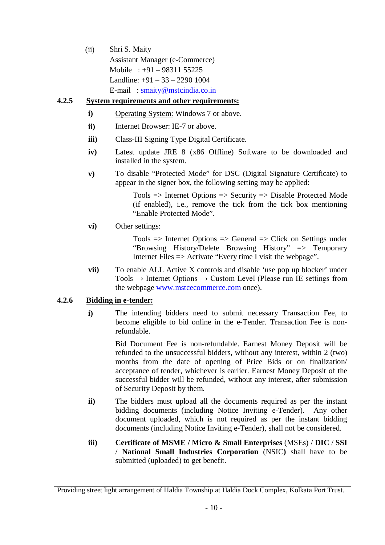(ii) Shri S. Maity Assistant Manager (e-Commerce) Mobile : +91 – 98311 55225 Landline:  $+91 - 33 - 2290$  1004 E-mail: smaity@mstcindia.co.in

## **4.2.5 System requirements and other requirements:**

- **i)** Operating System: Windows 7 or above.
- **ii)** Internet Browser: IE-7 or above.
- **iii)** Class-III Signing Type Digital Certificate.
- **iv)** Latest update JRE 8 (x86 Offline) Software to be downloaded and installed in the system.
- **v)** To disable "Protected Mode" for DSC (Digital Signature Certificate) to appear in the signer box, the following setting may be applied:

 $Tools$  => Internet Options => Security => Disable Protected Mode (if enabled), i.e., remove the tick from the tick box mentioning "Enable Protected Mode".

## **vi)** Other settings:

 $Tools$  => Internet Options => General => Click on Settings under "Browsing History/Delete Browsing History" => Temporary Internet Files => Activate "Every time I visit the webpage".

**vii)** To enable ALL Active X controls and disable 'use pop up blocker' under Tools  $\rightarrow$  Internet Options  $\rightarrow$  Custom Level (Please run IE settings from the webpage www.mstcecommerce.com once).

## **4.2.6 Bidding in e-tender:**

**i)** The intending bidders need to submit necessary Transaction Fee, to become eligible to bid online in the e-Tender. Transaction Fee is nonrefundable.

> Bid Document Fee is non-refundable. Earnest Money Deposit will be refunded to the unsuccessful bidders, without any interest, within 2 (two) months from the date of opening of Price Bids or on finalization/ acceptance of tender, whichever is earlier. Earnest Money Deposit of the successful bidder will be refunded, without any interest, after submission of Security Deposit by them.

- **ii)** The bidders must upload all the documents required as per the instant bidding documents (including Notice Inviting e-Tender). Any other document uploaded, which is not required as per the instant bidding documents (including Notice Inviting e-Tender), shall not be considered.
- **iii) Certificate of MSME / Micro & Small Enterprises** (MSEs) / **DIC** / **SSI** / **National Small Industries Corporation** (NSIC**)** shall have to be submitted (uploaded) to get benefit.

Providing street light arrangement of Haldia Township at Haldia Dock Complex, Kolkata Port Trust.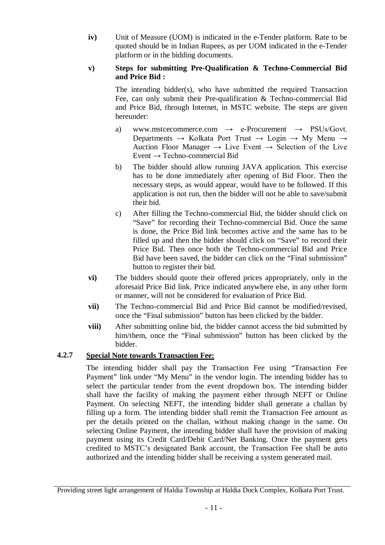**iv)** Unit of Measure (UOM) is indicated in the e-Tender platform. Rate to be quoted should be in Indian Rupees, as per UOM indicated in the e-Tender platform or in the bidding documents.

## **v) Steps for submitting Pre-Qualification & Techno-Commercial Bid and Price Bid :**

The intending bidder(s), who have submitted the required Transaction Fee, can only submit their Pre-qualification & Techno-commercial Bid and Price Bid, through Internet, in MSTC website. The steps are given hereunder:

- a) www.mstcecommerce.com  $\rightarrow$  e-Procurement  $\rightarrow$  PSUs/Govt. Departments  $\rightarrow$  Kolkata Port Trust  $\rightarrow$  Login  $\rightarrow$  My Menu  $\rightarrow$ Auction Floor Manager  $\rightarrow$  Live Event  $\rightarrow$  Selection of the Live Event  $\rightarrow$  Techno-commercial Bid
- b) The bidder should allow running JAVA application. This exercise has to be done immediately after opening of Bid Floor. Then the necessary steps, as would appear, would have to be followed. If this application is not run, then the bidder will not be able to save/submit their bid.
- c) After filling the Techno-commercial Bid, the bidder should click on "Save" for recording their Techno-commercial Bid. Once the same is done, the Price Bid link becomes active and the same has to be filled up and then the bidder should click on "Save" to record their Price Bid. Then once both the Techno-commercial Bid and Price Bid have been saved, the bidder can click on the "Final submission" button to register their bid.
- **vi)** The bidders should quote their offered prices appropriately, only in the aforesaid Price Bid link. Price indicated anywhere else, in any other form or manner, will not be considered for evaluation of Price Bid.
- **vii)** The Techno-commercial Bid and Price Bid cannot be modified/revised, once the "Final submission" button has been clicked by the bidder.
- **viii)** After submitting online bid, the bidder cannot access the bid submitted by him/them, once the "Final submission" button has been clicked by the bidder.

## **4.2.7 Special Note towards Transaction Fee:**

The intending bidder shall pay the Transaction Fee using "Transaction Fee Payment" link under "My Menu" in the vendor login. The intending bidder has to select the particular tender from the event dropdown box. The intending bidder shall have the facility of making the payment either through NEFT or Online Payment. On selecting NEFT, the intending bidder shall generate a challan by filling up a form. The intending bidder shall remit the Transaction Fee amount as per the details printed on the challan, without making change in the same. On selecting Online Payment, the intending bidder shall have the provision of making payment using its Credit Card/Debit Card/Net Banking. Once the payment gets credited to MSTC's designated Bank account, the Transaction Fee shall be auto authorized and the intending bidder shall be receiving a system generated mail.

Providing street light arrangement of Haldia Township at Haldia Dock Complex, Kolkata Port Trust.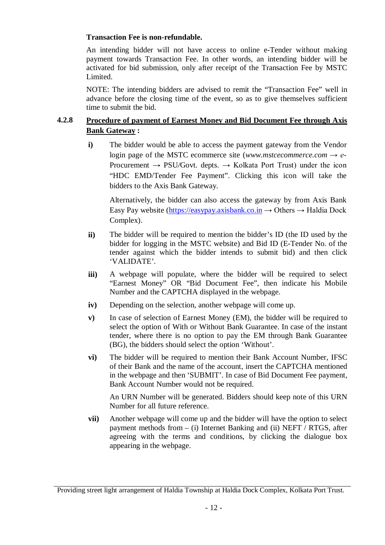#### **Transaction Fee is non-refundable.**

An intending bidder will not have access to online e-Tender without making payment towards Transaction Fee. In other words, an intending bidder will be activated for bid submission, only after receipt of the Transaction Fee by MSTC Limited.

NOTE: The intending bidders are advised to remit the "Transaction Fee" well in advance before the closing time of the event, so as to give themselves sufficient time to submit the bid.

## **4.2.8 Procedure of payment of Earnest Money and Bid Document Fee through Axis Bank Gateway :**

**i)** The bidder would be able to access the payment gateway from the Vendor login page of the MSTC ecommerce site (*www.mstcecommerce.com → e-*Procurement *→* PSU*/*Govt. depts. → Kolkata Port Trust) under the icon "HDC EMD/Tender Fee Payment". Clicking this icon will take the bidders to the Axis Bank Gateway.

Alternatively, the bidder can also access the gateway by from Axis Bank Easy Pay website (https://easypay.axisbank.co.in  $\rightarrow$  Others  $\rightarrow$  Haldia Dock Complex).

- **ii)** The bidder will be required to mention the bidder's ID (the ID used by the bidder for logging in the MSTC website) and Bid ID (E-Tender No. of the tender against which the bidder intends to submit bid) and then click 'VALIDATE'.
- **iii**) A webpage will populate, where the bidder will be required to select "Earnest Money" OR "Bid Document Fee", then indicate his Mobile Number and the CAPTCHA displayed in the webpage.
- **iv)** Depending on the selection, another webpage will come up.
- **v)** In case of selection of Earnest Money (EM), the bidder will be required to select the option of With or Without Bank Guarantee. In case of the instant tender, where there is no option to pay the EM through Bank Guarantee (BG), the bidders should select the option 'Without'.
- **vi)** The bidder will be required to mention their Bank Account Number, IFSC of their Bank and the name of the account, insert the CAPTCHA mentioned in the webpage and then 'SUBMIT'. In case of Bid Document Fee payment, Bank Account Number would not be required.

An URN Number will be generated. Bidders should keep note of this URN Number for all future reference.

**vii)** Another webpage will come up and the bidder will have the option to select payment methods from  $-$  (i) Internet Banking and (ii) NEFT / RTGS, after agreeing with the terms and conditions, by clicking the dialogue box appearing in the webpage.

Providing street light arrangement of Haldia Township at Haldia Dock Complex, Kolkata Port Trust.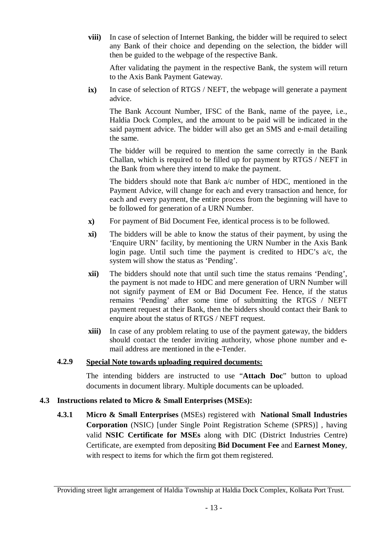**viii)** In case of selection of Internet Banking, the bidder will be required to select any Bank of their choice and depending on the selection, the bidder will then be guided to the webpage of the respective Bank.

After validating the payment in the respective Bank, the system will return to the Axis Bank Payment Gateway.

**ix)** In case of selection of RTGS / NEFT, the webpage will generate a payment advice.

The Bank Account Number, IFSC of the Bank, name of the payee, i.e., Haldia Dock Complex, and the amount to be paid will be indicated in the said payment advice. The bidder will also get an SMS and e-mail detailing the same.

The bidder will be required to mention the same correctly in the Bank Challan, which is required to be filled up for payment by RTGS / NEFT in the Bank from where they intend to make the payment.

The bidders should note that Bank a/c number of HDC, mentioned in the Payment Advice, will change for each and every transaction and hence, for each and every payment, the entire process from the beginning will have to be followed for generation of a URN Number.

- **x)** For payment of Bid Document Fee, identical process is to be followed.
- **xi)** The bidders will be able to know the status of their payment, by using the 'Enquire URN' facility, by mentioning the URN Number in the Axis Bank login page. Until such time the payment is credited to HDC's a/c, the system will show the status as 'Pending'.
- **xii)** The bidders should note that until such time the status remains 'Pending', the payment is not made to HDC and mere generation of URN Number will not signify payment of EM or Bid Document Fee. Hence, if the status remains 'Pending' after some time of submitting the RTGS / NEFT payment request at their Bank, then the bidders should contact their Bank to enquire about the status of RTGS / NEFT request.
- **xiii)** In case of any problem relating to use of the payment gateway, the bidders should contact the tender inviting authority, whose phone number and email address are mentioned in the e-Tender.

#### **4.2.9 Special Note towards uploading required documents:**

The intending bidders are instructed to use "**Attach Doc**" button to upload documents in document library. Multiple documents can be uploaded.

## **4.3 Instructions related to Micro & Small Enterprises (MSEs):**

**4.3.1 Micro & Small Enterprises** (MSEs) registered with **National Small Industries Corporation** (NSIC) [under Single Point Registration Scheme (SPRS)] , having valid **NSIC Certificate for MSEs** along with DIC (District Industries Centre) Certificate, are exempted from depositing **Bid Document Fee** and **Earnest Money**, with respect to items for which the firm got them registered.

Providing street light arrangement of Haldia Township at Haldia Dock Complex, Kolkata Port Trust.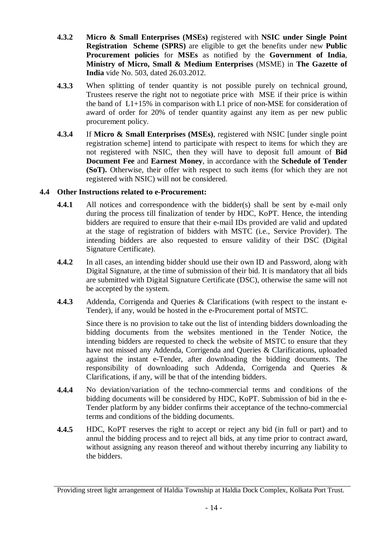- **4.3.2 Micro & Small Enterprises (MSEs)** registered with **NSIC under Single Point Registration Scheme (SPRS)** are eligible to get the benefits under new **Public Procurement policies** for **MSEs** as notified by the **Government of India**, **Ministry of Micro, Small & Medium Enterprises** (MSME) in **The Gazette of India** vide No. 503, dated 26.03.2012.
- **4.3.3** When splitting of tender quantity is not possible purely on technical ground, Trustees reserve the right not to negotiate price with MSE if their price is within the band of L1+15% in comparison with L1 price of non-MSE for consideration of award of order for 20% of tender quantity against any item as per new public procurement policy.
- **4.3.4** If **Micro & Small Enterprises (MSEs)**, registered with NSIC [under single point registration scheme] intend to participate with respect to items for which they are not registered with NSIC, then they will have to deposit full amount of **Bid Document Fee** and **Earnest Money**, in accordance with the **Schedule of Tender (SoT).** Otherwise, their offer with respect to such items (for which they are not registered with NSIC) will not be considered.

## **4.4 Other Instructions related to e-Procurement:**

- **4.4.1** All notices and correspondence with the bidder(s) shall be sent by e-mail only during the process till finalization of tender by HDC, KoPT. Hence, the intending bidders are required to ensure that their e-mail IDs provided are valid and updated at the stage of registration of bidders with MSTC (i.e., Service Provider). The intending bidders are also requested to ensure validity of their DSC (Digital Signature Certificate).
- **4.4.2** In all cases, an intending bidder should use their own ID and Password, along with Digital Signature, at the time of submission of their bid. It is mandatory that all bids are submitted with Digital Signature Certificate (DSC), otherwise the same will not be accepted by the system.
- **4.4.3** Addenda, Corrigenda and Queries & Clarifications (with respect to the instant e-Tender), if any, would be hosted in the e-Procurement portal of MSTC.

Since there is no provision to take out the list of intending bidders downloading the bidding documents from the websites mentioned in the Tender Notice, the intending bidders are requested to check the website of MSTC to ensure that they have not missed any Addenda, Corrigenda and Queries & Clarifications, uploaded against the instant e-Tender, after downloading the bidding documents. The responsibility of downloading such Addenda, Corrigenda and Queries & Clarifications, if any, will be that of the intending bidders.

- **4.4.4** No deviation/variation of the techno-commercial terms and conditions of the bidding documents will be considered by HDC, KoPT. Submission of bid in the e-Tender platform by any bidder confirms their acceptance of the techno-commercial terms and conditions of the bidding documents.
- **4.4.5** HDC, KoPT reserves the right to accept or reject any bid (in full or part) and to annul the bidding process and to reject all bids, at any time prior to contract award, without assigning any reason thereof and without thereby incurring any liability to the bidders.

Providing street light arrangement of Haldia Township at Haldia Dock Complex, Kolkata Port Trust.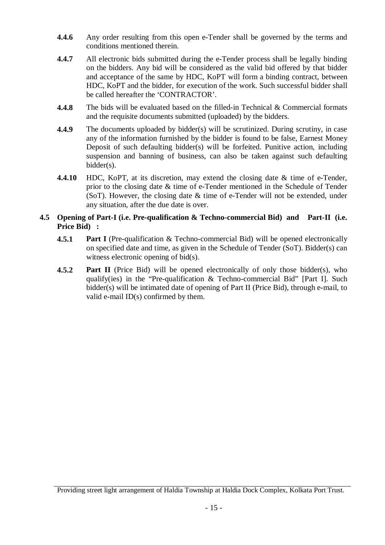- **4.4.6** Any order resulting from this open e-Tender shall be governed by the terms and conditions mentioned therein.
- **4.4.7** All electronic bids submitted during the e-Tender process shall be legally binding on the bidders. Any bid will be considered as the valid bid offered by that bidder and acceptance of the same by HDC, KoPT will form a binding contract, between HDC, KoPT and the bidder, for execution of the work. Such successful bidder shall be called hereafter the 'CONTRACTOR'.
- **4.4.8** The bids will be evaluated based on the filled-in Technical & Commercial formats and the requisite documents submitted (uploaded) by the bidders.
- **4.4.9** The documents uploaded by bidder(s) will be scrutinized. During scrutiny, in case any of the information furnished by the bidder is found to be false, Earnest Money Deposit of such defaulting bidder(s) will be forfeited. Punitive action, including suspension and banning of business, can also be taken against such defaulting bidder(s).
- **4.4.10** HDC, KoPT, at its discretion, may extend the closing date & time of e-Tender, prior to the closing date & time of e-Tender mentioned in the Schedule of Tender (SoT). However, the closing date & time of e-Tender will not be extended, under any situation, after the due date is over.

## **4.5 Opening of Part-I (i.e. Pre-qualification & Techno-commercial Bid) and Part-II (i.e. Price Bid) :**

- **4.5.1 Part I** (Pre-qualification & Techno-commercial Bid) will be opened electronically on specified date and time, as given in the Schedule of Tender (SoT). Bidder(s) can witness electronic opening of bid(s).
- **4.5.2 Part II** (Price Bid) will be opened electronically of only those bidder(s), who qualify(ies) in the "Pre-qualification & Techno-commercial Bid" [Part I]. Such bidder(s) will be intimated date of opening of Part II (Price Bid), through e-mail, to valid e-mail ID(s) confirmed by them.

Providing street light arrangement of Haldia Township at Haldia Dock Complex, Kolkata Port Trust.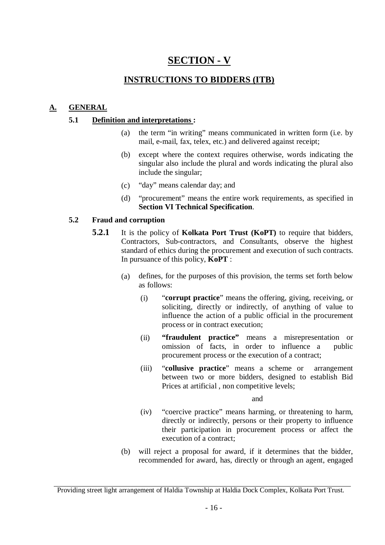# **SECTION - V**

## **INSTRUCTIONS TO BIDDERS (ITB)**

## **A. GENERAL**

## **5.1 Definition and interpretations :**

- (a) the term "in writing" means communicated in written form (i.e. by mail, e-mail, fax, telex, etc.) and delivered against receipt;
- (b) except where the context requires otherwise, words indicating the singular also include the plural and words indicating the plural also include the singular;
- (c) "day" means calendar day; and
- (d) "procurement" means the entire work requirements, as specified in **Section VI Technical Specification**.

## **5.2 Fraud and corruption**

- **5.2.1** It is the policy of **Kolkata Port Trust (KoPT)** to require that bidders, Contractors, Sub-contractors, and Consultants, observe the highest standard of ethics during the procurement and execution of such contracts. In pursuance of this policy, **KoPT** :
	- (a) defines, for the purposes of this provision, the terms set forth below as follows:
		- (i) "**corrupt practice**" means the offering, giving, receiving, or soliciting, directly or indirectly, of anything of value to influence the action of a public official in the procurement process or in contract execution;
		- (ii) **"fraudulent practice"** means a misrepresentation or omission of facts, in order to influence a public procurement process or the execution of a contract;
		- (iii) "**collusive practice**" means a scheme or arrangement between two or more bidders, designed to establish Bid Prices at artificial , non competitive levels;

and

- (iv) "coercive practice" means harming, or threatening to harm, directly or indirectly, persons or their property to influence their participation in procurement process or affect the execution of a contract;
- (b) will reject a proposal for award, if it determines that the bidder, recommended for award, has, directly or through an agent, engaged

Providing street light arrangement of Haldia Township at Haldia Dock Complex, Kolkata Port Trust.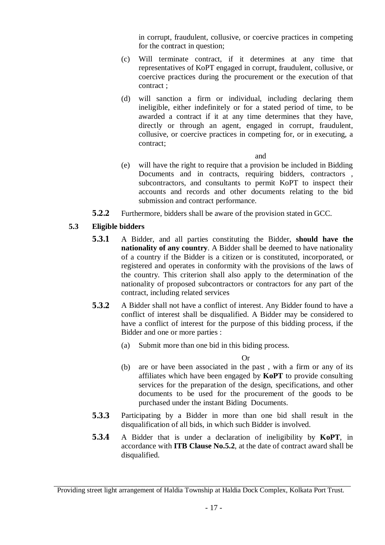in corrupt, fraudulent, collusive, or coercive practices in competing for the contract in question;

- (c) Will terminate contract, if it determines at any time that representatives of KoPT engaged in corrupt, fraudulent, collusive, or coercive practices during the procurement or the execution of that contract ;
- (d) will sanction a firm or individual, including declaring them ineligible, either indefinitely or for a stated period of time, to be awarded a contract if it at any time determines that they have, directly or through an agent, engaged in corrupt, fraudulent, collusive, or coercive practices in competing for, or in executing, a contract;

#### and

- (e) will have the right to require that a provision be included in Bidding Documents and in contracts, requiring bidders, contractors , subcontractors, and consultants to permit KoPT to inspect their accounts and records and other documents relating to the bid submission and contract performance.
- **5.2.2** Furthermore, bidders shall be aware of the provision stated in GCC.

## **5.3 Eligible bidders**

- **5.3.1** A Bidder, and all parties constituting the Bidder, **should have the nationality of any country**. A Bidder shall be deemed to have nationality of a country if the Bidder is a citizen or is constituted, incorporated, or registered and operates in conformity with the provisions of the laws of the country. This criterion shall also apply to the determination of the nationality of proposed subcontractors or contractors for any part of the contract, including related services
- **5.3.2** A Bidder shall not have a conflict of interest. Any Bidder found to have a conflict of interest shall be disqualified. A Bidder may be considered to have a conflict of interest for the purpose of this bidding process, if the Bidder and one or more parties :
	- (a) Submit more than one bid in this biding process.

Or

- (b) are or have been associated in the past , with a firm or any of its affiliates which have been engaged by **KoPT** to provide consulting services for the preparation of the design, specifications, and other documents to be used for the procurement of the goods to be purchased under the instant Biding Documents.
- **5.3.3** Participating by a Bidder in more than one bid shall result in the disqualification of all bids, in which such Bidder is involved.
- **5.3.4** A Bidder that is under a declaration of ineligibility by **KoPT**, in accordance with **ITB Clause No.5.2**, at the date of contract award shall be disqualified.

Providing street light arrangement of Haldia Township at Haldia Dock Complex, Kolkata Port Trust.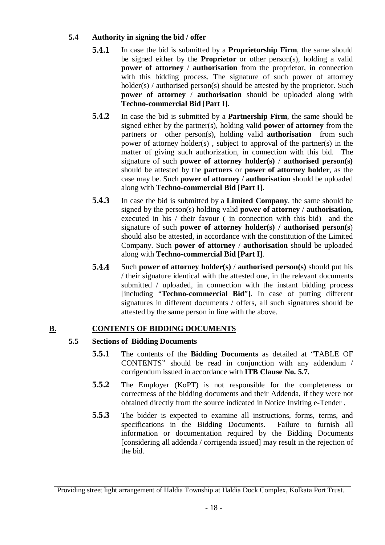## **5.4 Authority in signing the bid / offer**

- **5.4.1** In case the bid is submitted by a **Proprietorship Firm**, the same should be signed either by the **Proprietor** or other person(s), holding a valid **power of attorney** / **authorisation** from the proprietor, in connection with this bidding process. The signature of such power of attorney holder(s) / authorised person(s) should be attested by the proprietor. Such **power of attorney** / **authorisation** should be uploaded along with **Techno-commercial Bid** [**Part I**].
- **5.4.2** In case the bid is submitted by a **Partnership Firm**, the same should be signed either by the partner(s), holding valid **power of attorney** from the partners or other person(s), holding valid **authorisation** from such power of attorney holder(s) , subject to approval of the partner(s) in the matter of giving such authorization, in connection with this bid. The signature of such **power of attorney holder(s)** / **authorised person(s)** should be attested by the **partners** or **power of attorney holder**, as the case may be. Such **power of attorney** / **authorisation** should be uploaded along with **Techno-commercial Bid** [**Part I**].
- **5.4.3** In case the bid is submitted by a **Limited Company**, the same should be signed by the person(s) holding valid **power of attorney** / **authorisation,** executed in his / their favour ( in connection with this bid) and the signature of such **power of attorney holder(s) / authorised person(s**) should also be attested, in accordance with the constitution of the Limited Company. Such **power of attorney** / **authorisation** should be uploaded along with **Techno-commercial Bid** [**Part I**].
- **5.4.4** Such **power of attorney holder(s)** / **authorised person(s)** should put his / their signature identical with the attested one, in the relevant documents submitted / uploaded, in connection with the instant bidding process [including "**Techno-commercial Bid**"]. In case of putting different signatures in different documents / offers, all such signatures should be attested by the same person in line with the above.

## **B. CONTENTS OF BIDDING DOCUMENTS**

## **5.5 Sections of Bidding Documents**

- **5.5.1** The contents of the **Bidding Documents** as detailed at "TABLE OF CONTENTS" should be read in conjunction with any addendum / corrigendum issued in accordance with **ITB Clause No. 5.7.**
- **5.5.2** The Employer (KoPT) is not responsible for the completeness or correctness of the bidding documents and their Addenda, if they were not obtained directly from the source indicated in Notice Inviting e-Tender .
- **5.5.3** The bidder is expected to examine all instructions, forms, terms, and specifications in the Bidding Documents. Failure to furnish all information or documentation required by the Bidding Documents [considering all addenda / corrigenda issued] may result in the rejection of the bid.

Providing street light arrangement of Haldia Township at Haldia Dock Complex, Kolkata Port Trust.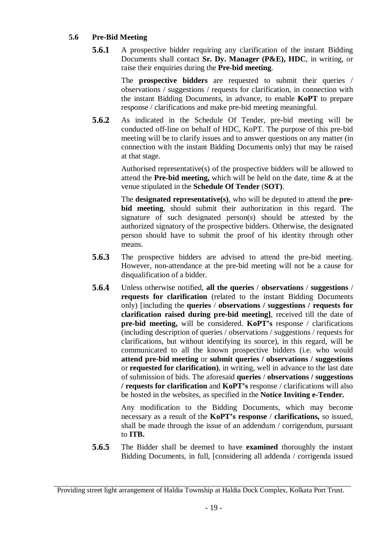## **5.6 Pre-Bid Meeting**

**5.6.1** A prospective bidder requiring any clarification of the instant Bidding Documents shall contact **Sr. Dy. Manager (P&E), HDC**, in writing, or raise their enquiries during the **Pre-bid meeting**.

> The **prospective bidders** are requested to submit their queries / observations / suggestions / requests for clarification, in connection with the instant Bidding Documents, in advance, to enable **KoPT** to prepare response / clarifications and make pre-bid meeting meaningful.

**5.6.2** As indicated in the Schedule Of Tender, pre-bid meeting will be conducted off-line on behalf of HDC, KoPT. The purpose of this pre-bid meeting will be to clarify issues and to answer questions on any matter (in connection with the instant Bidding Documents only) that may be raised at that stage.

> Authorised representative(s) of the prospective bidders will be allowed to attend the **Pre-bid meeting,** which will be held on the date, time & at the venue stipulated in the **Schedule Of Tender** (**SOT)**.

> The **designated representative(s)**, who will be deputed to attend the **prebid meeting**, should submit their authorization in this regard. The signature of such designated person(s) should be attested by the authorized signatory of the prospective bidders. Otherwise, the designated person should have to submit the proof of his identity through other means.

- **5.6.3** The prospective bidders are advised to attend the pre-bid meeting. However, non-attendance at the pre-bid meeting will not be a cause for disqualification of a bidder.
- **5.6.4** Unless otherwise notified, **all the queries** / **observations** / **suggestions** / **requests for clarification** (related to the instant Bidding Documents only) [including the **queries** / **observations / suggestions / requests for clarification raised during pre-bid meeting]**, received till the date of **pre-bid meeting,** will be considered. **KoPT's** response / clarifications (including description of queries / observations / suggestions / requests for clarifications, but without identifying its source), in this regard, will be communicated to all the known prospective bidders (i.e. who would **attend pre-bid meeting** or **submit queries / observations / suggestions**  or **requested for clarification)**, in writing, well in advance to the last date of submission of bids. The aforesaid **queries** / **observations / suggestions / requests for clarification** and **KoPT's** response / clarifications will also be hosted in the websites, as specified in the **Notice Inviting e-Tender.**

Any modification to the Bidding Documents, which may become necessary as a result of the **KoPT's response** / **clarifications,** so issued, shall be made through the issue of an addendum / corrigendum, pursuant to **ITB.**

**5.6.5** The Bidder shall be deemed to have **examined** thoroughly the instant Bidding Documents, in full, [considering all addenda / corrigenda issued

Providing street light arrangement of Haldia Township at Haldia Dock Complex, Kolkata Port Trust.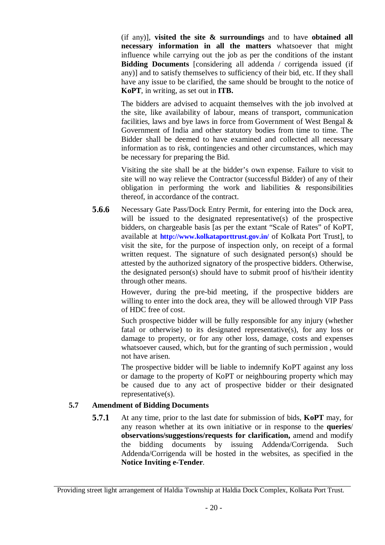(if any)], **visited the site & surroundings** and to have **obtained all necessary information in all the matters** whatsoever that might influence while carrying out the job as per the conditions of the instant **Bidding Documents** [considering all addenda / corrigenda issued (if any)] and to satisfy themselves to sufficiency of their bid, etc. If they shall have any issue to be clarified, the same should be brought to the notice of **KoPT**, in writing, as set out in **ITB.**

The bidders are advised to acquaint themselves with the job involved at the site, like availability of labour, means of transport, communication facilities, laws and bye laws in force from Government of West Bengal & Government of India and other statutory bodies from time to time. The Bidder shall be deemed to have examined and collected all necessary information as to risk, contingencies and other circumstances, which may be necessary for preparing the Bid.

Visiting the site shall be at the bidder's own expense. Failure to visit to site will no way relieve the Contractor (successful Bidder) of any of their obligation in performing the work and liabilities & responsibilities thereof, in accordance of the contract.

**5.6.6** Necessary Gate Pass/Dock Entry Permit, for entering into the Dock area, will be issued to the designated representative(s) of the prospective bidders, on chargeable basis [as per the extant "Scale of Rates" of KoPT, available at **http://www.kolkataporttrust.gov.in/** of Kolkata Port Trust], to visit the site, for the purpose of inspection only, on receipt of a formal written request. The signature of such designated person(s) should be attested by the authorized signatory of the prospective bidders. Otherwise, the designated person(s) should have to submit proof of his/their identity through other means.

> However, during the pre-bid meeting, if the prospective bidders are willing to enter into the dock area, they will be allowed through VIP Pass of HDC free of cost.

> Such prospective bidder will be fully responsible for any injury (whether fatal or otherwise) to its designated representative(s), for any loss or damage to property, or for any other loss, damage, costs and expenses whatsoever caused, which, but for the granting of such permission , would not have arisen.

> The prospective bidder will be liable to indemnify KoPT against any loss or damage to the property of KoPT or neighbouring property which may be caused due to any act of prospective bidder or their designated representative(s).

## **5.7 Amendment of Bidding Documents**

**5.7.1** At any time, prior to the last date for submission of bids, **KoPT** may, for any reason whether at its own initiative or in response to the **queries**/ **observations/suggestions/requests for clarification,** amend and modify the bidding documents by issuing Addenda/Corrigenda. Such Addenda/Corrigenda will be hosted in the websites, as specified in the **Notice Inviting e-Tender**.

Providing street light arrangement of Haldia Township at Haldia Dock Complex, Kolkata Port Trust.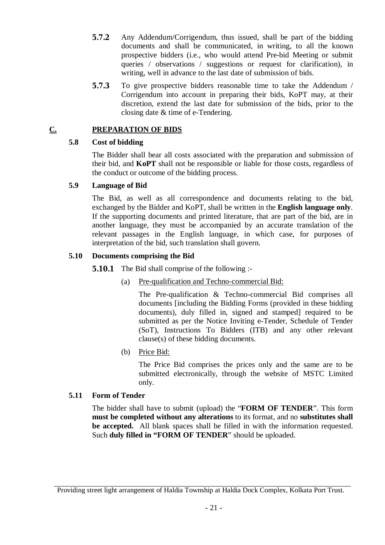- **5.7.2** Any Addendum/Corrigendum, thus issued, shall be part of the bidding documents and shall be communicated, in writing, to all the known prospective bidders (i.e., who would attend Pre-bid Meeting or submit queries / observations / suggestions or request for clarification), in writing, well in advance to the last date of submission of bids.
- **5.7.3** To give prospective bidders reasonable time to take the Addendum / Corrigendum into account in preparing their bids, KoPT may, at their discretion, extend the last date for submission of the bids, prior to the closing date & time of e-Tendering.

## **C. PREPARATION OF BIDS**

## **5.8 Cost of bidding**

The Bidder shall bear all costs associated with the preparation and submission of their bid, and **KoPT** shall not be responsible or liable for those costs, regardless of the conduct or outcome of the bidding process.

## **5.9 Language of Bid**

The Bid, as well as all correspondence and documents relating to the bid, exchanged by the Bidder and KoPT, shall be written in the **English language only**. If the supporting documents and printed literature, that are part of the bid, are in another language, they must be accompanied by an accurate translation of the relevant passages in the English language, in which case, for purposes of interpretation of the bid, such translation shall govern.

## **5.10 Documents comprising the Bid**

**5.10.1** The Bid shall comprise of the following :-

(a) Pre-qualification and Techno-commercial Bid:

The Pre-qualification & Techno-commercial Bid comprises all documents [including the Bidding Forms (provided in these bidding documents), duly filled in, signed and stamped] required to be submitted as per the Notice Inviting e-Tender, Schedule of Tender (SoT), Instructions To Bidders (ITB) and any other relevant clause(s) of these bidding documents.

## (b) Price Bid:

The Price Bid comprises the prices only and the same are to be submitted electronically, through the website of MSTC Limited only.

## **5.11 Form of Tender**

The bidder shall have to submit (upload) the "**FORM OF TENDER**". This form **must be completed without any alterations** to its format, and no **substitutes shall be accepted.** All blank spaces shall be filled in with the information requested. Such **duly filled in "FORM OF TENDER**" should be uploaded.

Providing street light arrangement of Haldia Township at Haldia Dock Complex, Kolkata Port Trust.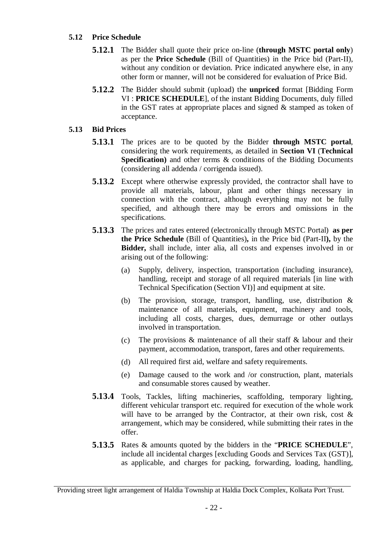## **5.12 Price Schedule**

- **5.12.1** The Bidder shall quote their price on-line (**through MSTC portal only**) as per the **Price Schedule** (Bill of Quantities) in the Price bid (Part-II), without any condition or deviation. Price indicated anywhere else, in any other form or manner, will not be considered for evaluation of Price Bid.
- **5.12.2** The Bidder should submit (upload) the **unpriced** format [Bidding Form VI : **PRICE SCHEDULE**], of the instant Bidding Documents, duly filled in the GST rates at appropriate places and signed & stamped as token of acceptance.

#### **5.13 Bid Prices**

- **5.13.1** The prices are to be quoted by the Bidder **through MSTC portal**, considering the work requirements, as detailed in **Section VI** (**Technical Specification**) and other terms & conditions of the Bidding Documents (considering all addenda / corrigenda issued).
- **5.13.2** Except where otherwise expressly provided, the contractor shall have to provide all materials, labour, plant and other things necessary in connection with the contract, although everything may not be fully specified, and although there may be errors and omissions in the specifications.
- **5.13.3** The prices and rates entered (electronically through MSTC Portal) **as per the Price Schedule** (Bill of Quantities)**,** in the Price bid (Part-II**),** by the **Bidder,** shall include, inter alia, all costs and expenses involved in or arising out of the following:
	- (a) Supply, delivery, inspection, transportation (including insurance), handling, receipt and storage of all required materials [in line with Technical Specification (Section VI)] and equipment at site.
	- (b) The provision, storage, transport, handling, use, distribution & maintenance of all materials, equipment, machinery and tools, including all costs, charges, dues, demurrage or other outlays involved in transportation.
	- (c) The provisions  $\&$  maintenance of all their staff  $\&$  labour and their payment, accommodation, transport, fares and other requirements.
	- (d) All required first aid, welfare and safety requirements.
	- (e) Damage caused to the work and /or construction, plant, materials and consumable stores caused by weather.
- **5.13.4** Tools, Tackles, lifting machineries, scaffolding, temporary lighting, different vehicular transport etc. required for execution of the whole work will have to be arranged by the Contractor, at their own risk, cost & arrangement, which may be considered, while submitting their rates in the offer.
- **5.13.5** Rates & amounts quoted by the bidders in the "**PRICE SCHEDULE**", include all incidental charges [excluding Goods and Services Tax (GST)], as applicable, and charges for packing, forwarding, loading, handling,

Providing street light arrangement of Haldia Township at Haldia Dock Complex, Kolkata Port Trust.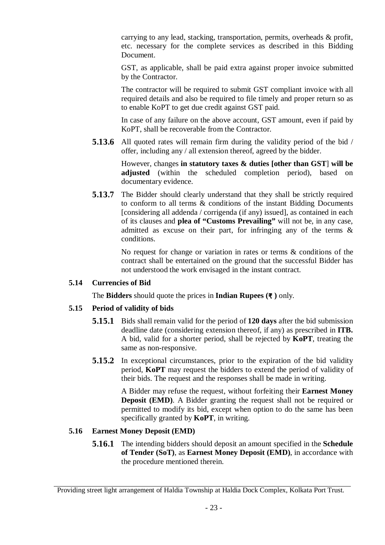carrying to any lead, stacking, transportation, permits, overheads & profit, etc. necessary for the complete services as described in this Bidding Document.

GST, as applicable, shall be paid extra against proper invoice submitted by the Contractor.

The contractor will be required to submit GST compliant invoice with all required details and also be required to file timely and proper return so as to enable KoPT to get due credit against GST paid.

In case of any failure on the above account, GST amount, even if paid by KoPT, shall be recoverable from the Contractor.

**5.13.6** All quoted rates will remain firm during the validity period of the bid / offer, including any / all extension thereof, agreed by the bidder.

> However, changes **in statutory taxes & duties [other than GST**] **will be adjusted** (within the scheduled completion period), based on documentary evidence.

**5.13.7** The Bidder should clearly understand that they shall be strictly required to conform to all terms & conditions of the instant Bidding Documents [considering all addenda / corrigenda (if any) issued], as contained in each of its clauses and **plea of "Customs Prevailing"** will not be, in any case, admitted as excuse on their part, for infringing any of the terms & conditions.

> No request for change or variation in rates or terms & conditions of the contract shall be entertained on the ground that the successful Bidder has not understood the work envisaged in the instant contract.

## **5.14 Currencies of Bid**

The **Bidders** should quote the prices in **Indian Rupees (₹ )** only.

## **5.15 Period of validity of bids**

- **5.15.1** Bids shall remain valid for the period of **120 days** after the bid submission deadline date (considering extension thereof, if any) as prescribed in **ITB.**  A bid, valid for a shorter period, shall be rejected by **KoPT**, treating the same as non-responsive.
- **5.15.2** In exceptional circumstances, prior to the expiration of the bid validity period, **KoPT** may request the bidders to extend the period of validity of their bids. The request and the responses shall be made in writing.

A Bidder may refuse the request, without forfeiting their **Earnest Money Deposit (EMD).** A Bidder granting the request shall not be required or permitted to modify its bid, except when option to do the same has been specifically granted by **KoPT**, in writing.

## **5.16 Earnest Money Deposit (EMD)**

**5.16.1** The intending bidders should deposit an amount specified in the **Schedule of Tender (SoT)**, as **Earnest Money Deposit (EMD)**, in accordance with the procedure mentioned therein.

Providing street light arrangement of Haldia Township at Haldia Dock Complex, Kolkata Port Trust.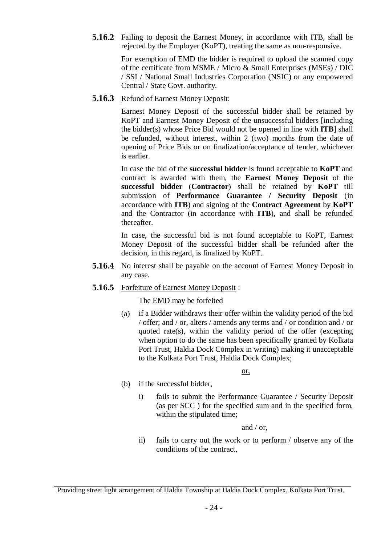**5.16.2** Failing to deposit the Earnest Money, in accordance with ITB, shall be rejected by the Employer (KoPT), treating the same as non-responsive.

> For exemption of EMD the bidder is required to upload the scanned copy of the certificate from MSME / Micro & Small Enterprises (MSEs) / DIC / SSI / National Small Industries Corporation (NSIC) or any empowered Central / State Govt. authority.

**5.16.3** Refund of Earnest Money Deposit:

Earnest Money Deposit of the successful bidder shall be retained by KoPT and Earnest Money Deposit of the unsuccessful bidders [including the bidder(s) whose Price Bid would not be opened in line with **ITB**] shall be refunded, without interest, within 2 (two) months from the date of opening of Price Bids or on finalization/acceptance of tender, whichever is earlier.

In case the bid of the **successful bidder** is found acceptable to **KoPT** and contract is awarded with them, the **Earnest Money Deposit** of the **successful bidder** (**Contractor**) shall be retained by **KoPT** till submission of **Performance Guarantee / Security Deposit** (in accordance with **ITB**) and signing of the **Contract Agreement** by **KoPT**  and the Contractor (in accordance with **ITB**)**,** and shall be refunded thereafter.

In case, the successful bid is not found acceptable to KoPT, Earnest Money Deposit of the successful bidder shall be refunded after the decision, in this regard, is finalized by KoPT.

- **5.16.4** No interest shall be payable on the account of Earnest Money Deposit in any case.
- **5.16.5** Forfeiture of Earnest Money Deposit :

The EMD may be forfeited

(a) if a Bidder withdraws their offer within the validity period of the bid / offer; and / or, alters / amends any terms and / or condition and / or quoted rate(s), within the validity period of the offer (excepting when option to do the same has been specifically granted by Kolkata Port Trust, Haldia Dock Complex in writing) making it unacceptable to the Kolkata Port Trust, Haldia Dock Complex;

or,

- (b) if the successful bidder,
	- i) fails to submit the Performance Guarantee / Security Deposit (as per SCC ) for the specified sum and in the specified form, within the stipulated time;

and / or,

ii) fails to carry out the work or to perform / observe any of the conditions of the contract,

Providing street light arrangement of Haldia Township at Haldia Dock Complex, Kolkata Port Trust.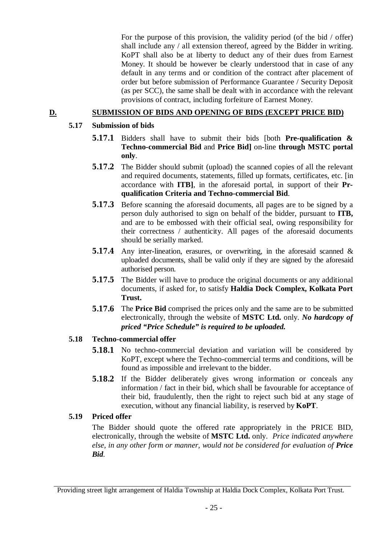For the purpose of this provision, the validity period (of the bid / offer) shall include any / all extension thereof, agreed by the Bidder in writing. KoPT shall also be at liberty to deduct any of their dues from Earnest Money. It should be however be clearly understood that in case of any default in any terms and or condition of the contract after placement of order but before submission of Performance Guarantee / Security Deposit (as per SCC), the same shall be dealt with in accordance with the relevant provisions of contract, including forfeiture of Earnest Money.

## **D. SUBMISSION OF BIDS AND OPENING OF BIDS (EXCEPT PRICE BID)**

## **5.17 Submission of bids**

- **5.17.1** Bidders shall have to submit their bids [both **Pre-qualification & Techno-commercial Bid** and **Price Bid]** on-line **through MSTC portal only**.
- **5.17.2** The Bidder should submit (upload) the scanned copies of all the relevant and required documents, statements, filled up formats, certificates, etc. [in accordance with **ITB]**, in the aforesaid portal, in support of their **Prqualification Criteria and Techno-commercial Bid**.
- **5.17.3** Before scanning the aforesaid documents, all pages are to be signed by a person duly authorised to sign on behalf of the bidder, pursuant to **ITB,** and are to be embossed with their official seal, owing responsibility for their correctness / authenticity. All pages of the aforesaid documents should be serially marked.
- **5.17.4** Any inter-lineation, erasures, or overwriting, in the aforesaid scanned & uploaded documents, shall be valid only if they are signed by the aforesaid authorised person.
- **5.17.5** The Bidder will have to produce the original documents or any additional documents, if asked for, to satisfy **Haldia Dock Complex, Kolkata Port Trust.**
- **5.17.6** The **Price Bid** comprised the prices only and the same are to be submitted electronically, through the website of **MSTC Ltd.** only. *No hardcopy of priced "Price Schedule" is required to be uploaded.*

## **5.18 Techno-commercial offer**

- **5.18.1** No techno-commercial deviation and variation will be considered by KoPT, except where the Techno-commercial terms and conditions, will be found as impossible and irrelevant to the bidder.
- **5.18.2** If the Bidder deliberately gives wrong information or conceals any information / fact in their bid, which shall be favourable for acceptance of their bid, fraudulently, then the right to reject such bid at any stage of execution, without any financial liability, is reserved by **KoPT**.

## **5.19 Priced offer**

The Bidder should quote the offered rate appropriately in the PRICE BID, electronically, through the website of **MSTC Ltd.** only. *Price indicated anywhere else, in any other form or manner, would not be considered for evaluation of Price Bid.*

Providing street light arrangement of Haldia Township at Haldia Dock Complex, Kolkata Port Trust.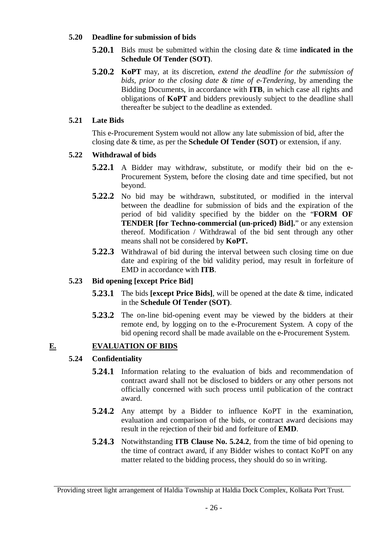#### **5.20 Deadline for submission of bids**

- **5.20.1** Bids must be submitted within the closing date & time **indicated in the Schedule Of Tender (SOT)**.
- **5.20.2 KoPT** may, at its discretion, *extend the deadline for the submission of bids, prior to the closing date & time of e-Tendering*, by amending the Bidding Documents, in accordance with **ITB**, in which case all rights and obligations of **KoPT** and bidders previously subject to the deadline shall thereafter be subject to the deadline as extended.

## **5.21 Late Bids**

This e-Procurement System would not allow any late submission of bid, after the closing date & time, as per the **Schedule Of Tender (SOT)** or extension, if any.

## **5.22 Withdrawal of bids**

- **5.22.1** A Bidder may withdraw, substitute, or modify their bid on the e-Procurement System, before the closing date and time specified, but not beyond.
- **5.22.2** No bid may be withdrawn, substituted, or modified in the interval between the deadline for submission of bids and the expiration of the period of bid validity specified by the bidder on the "**FORM OF TENDER [for Techno-commercial (un-priced) Bid].**" or any extension thereof. Modification / Withdrawal of the bid sent through any other means shall not be considered by **KoPT.**
- **5.22.3** Withdrawal of bid during the interval between such closing time on due date and expiring of the bid validity period, may result in forfeiture of EMD in accordance with **ITB**.

## **5.23 Bid opening [except Price Bid]**

- **5.23.1** The bids **[except Price Bids]**, will be opened at the date & time, indicated in the **Schedule Of Tender (SOT)**.
- **5.23.2** The on-line bid-opening event may be viewed by the bidders at their remote end, by logging on to the e-Procurement System. A copy of the bid opening record shall be made available on the e-Procurement System.

## **E. EVALUATION OF BIDS**

## **5.24 Confidentiality**

- **5.24.1** Information relating to the evaluation of bids and recommendation of contract award shall not be disclosed to bidders or any other persons not officially concerned with such process until publication of the contract award.
- **5.24.2** Any attempt by a Bidder to influence KoPT in the examination, evaluation and comparison of the bids, or contract award decisions may result in the rejection of their bid and forfeiture of **EMD**.
- **5.24.3** Notwithstanding **ITB Clause No. 5.24.2**, from the time of bid opening to the time of contract award, if any Bidder wishes to contact KoPT on any matter related to the bidding process, they should do so in writing.

Providing street light arrangement of Haldia Township at Haldia Dock Complex, Kolkata Port Trust.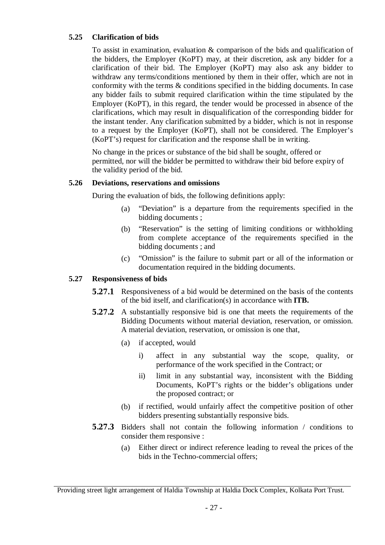## **5.25 Clarification of bids**

To assist in examination, evaluation & comparison of the bids and qualification of the bidders, the Employer (KoPT) may, at their discretion, ask any bidder for a clarification of their bid. The Employer (KoPT) may also ask any bidder to withdraw any terms/conditions mentioned by them in their offer, which are not in conformity with the terms & conditions specified in the bidding documents. In case any bidder fails to submit required clarification within the time stipulated by the Employer (KoPT), in this regard, the tender would be processed in absence of the clarifications, which may result in disqualification of the corresponding bidder for the instant tender. Any clarification submitted by a bidder, which is not in response to a request by the Employer (KoPT), shall not be considered. The Employer's (KoPT's) request for clarification and the response shall be in writing.

No change in the prices or substance of the bid shall be sought, offered or permitted, nor will the bidder be permitted to withdraw their bid before expiry of the validity period of the bid.

## **5.26 Deviations, reservations and omissions**

During the evaluation of bids, the following definitions apply:

- (a) "Deviation" is a departure from the requirements specified in the bidding documents ;
- (b) "Reservation" is the setting of limiting conditions or withholding from complete acceptance of the requirements specified in the bidding documents ; and
- (c) "Omission" is the failure to submit part or all of the information or documentation required in the bidding documents.

## **5.27 Responsiveness of bids**

- **5.27.1** Responsiveness of a bid would be determined on the basis of the contents of the bid itself, and clarification(s) in accordance with **ITB.**
- **5.27.2** A substantially responsive bid is one that meets the requirements of the Bidding Documents without material deviation, reservation, or omission. A material deviation, reservation, or omission is one that,
	- (a) if accepted, would
		- i) affect in any substantial way the scope, quality, or performance of the work specified in the Contract; or
		- ii) limit in any substantial way, inconsistent with the Bidding Documents, KoPT's rights or the bidder's obligations under the proposed contract; or
	- (b) if rectified, would unfairly affect the competitive position of other bidders presenting substantially responsive bids.
- **5.27.3** Bidders shall not contain the following information / conditions to consider them responsive :
	- (a) Either direct or indirect reference leading to reveal the prices of the bids in the Techno-commercial offers;

Providing street light arrangement of Haldia Township at Haldia Dock Complex, Kolkata Port Trust.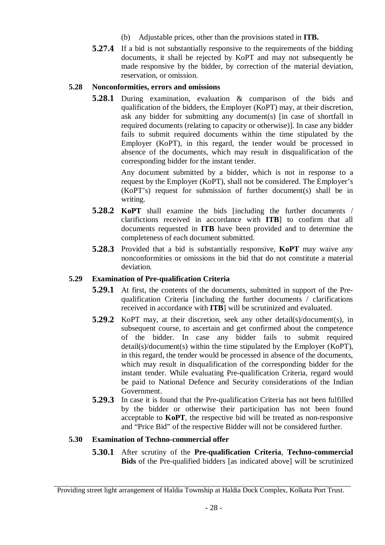- (b) Adjustable prices, other than the provisions stated in **ITB.**
- **5.27.4** If a bid is not substantially responsive to the requirements of the bidding documents, it shall be rejected by KoPT and may not subsequently be made responsive by the bidder, by correction of the material deviation, reservation, or omission.

## **5.28 Nonconformities, errors and omissions**

**5.28.1** During examination, evaluation & comparison of the bids and qualification of the bidders, the Employer (KoPT) may, at their discretion, ask any bidder for submitting any document(s) [in case of shortfall in required documents (relating to capacity or otherwise)]. In case any bidder fails to submit required documents within the time stipulated by the Employer (KoPT), in this regard, the tender would be processed in absence of the documents, which may result in disqualification of the corresponding bidder for the instant tender.

> Any document submitted by a bidder, which is not in response to a request by the Employer (KoPT), shall not be considered. The Employer's (KoPT's) request for submission of further document(s) shall be in writing.

- **5.28.2 KoPT** shall examine the bids [including the further documents / clarifictions received in accordance with **ITB**] to confirm that all documents requested in **ITB** have been provided and to determine the completeness of each document submitted.
- **5.28.3** Provided that a bid is substantially responsive, **KoPT** may waive any nonconformities or omissions in the bid that do not constitute a material deviation*.*

## **5.29 Examination of Pre-qualification Criteria**

- **5.29.1** At first, the contents of the documents, submitted in support of the Prequalification Criteria [including the further documents / clarifications received in accordance with **ITB**] will be scrutinized and evaluated.
- **5.29.2** KoPT may, at their discretion, seek any other detail(s)/document(s), in subsequent course, to ascertain and get confirmed about the competence of the bidder. In case any bidder fails to submit required detail(s)/document(s) within the time stipulated by the Employer (KoPT), in this regard, the tender would be processed in absence of the documents, which may result in disqualification of the corresponding bidder for the instant tender. While evaluating Pre-qualification Criteria, regard would be paid to National Defence and Security considerations of the Indian Government.
- **5.29.3** In case it is found that the Pre-qualification Criteria has not been fulfilled by the bidder or otherwise their participation has not been found acceptable to **KoPT**, the respective bid will be treated as non-responsive and "Price Bid" of the respective Bidder will not be considered further.

## **5.30 Examination of Techno-commercial offer**

**5.30.1** After scrutiny of the **Pre-qualification Criteria**, **Techno-commercial Bids** of the Pre-qualified bidders [as indicated above] will be scrutinized

Providing street light arrangement of Haldia Township at Haldia Dock Complex, Kolkata Port Trust.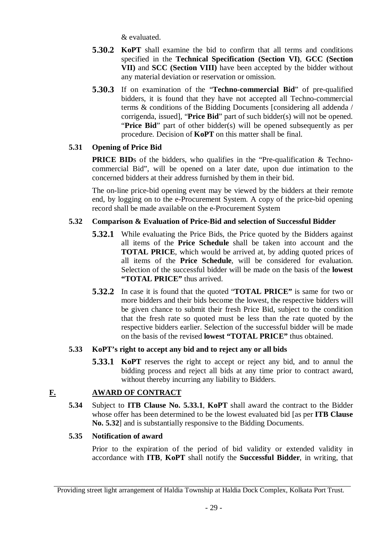& evaluated.

- **5.30.2 KoPT** shall examine the bid to confirm that all terms and conditions specified in the **Technical Specification (Section VI)**, **GCC (Section VII)** and **SCC (Section VIII)** have been accepted by the bidder without any material deviation or reservation or omission.
- **5.30.3** If on examination of the "**Techno-commercial Bid**" of pre-qualified bidders, it is found that they have not accepted all Techno-commercial terms & conditions of the Bidding Documents [considering all addenda / corrigenda, issued], "**Price Bid**" part of such bidder(s) will not be opened. "**Price Bid**" part of other bidder(s) will be opened subsequently as per procedure. Decision of **KoPT** on this matter shall be final.

## **5.31 Opening of Price Bid**

**PRICE BID**s of the bidders, who qualifies in the "Pre-qualification & Technocommercial Bid", will be opened on a later date, upon due intimation to the concerned bidders at their address furnished by them in their bid.

The on-line price-bid opening event may be viewed by the bidders at their remote end, by logging on to the e-Procurement System. A copy of the price-bid opening record shall be made available on the e-Procurement System

## **5.32 Comparison & Evaluation of Price-Bid and selection of Successful Bidder**

- **5.32.1** While evaluating the Price Bids, the Price quoted by the Bidders against all items of the **Price Schedule** shall be taken into account and the **TOTAL PRICE**, which would be arrived at, by adding quoted prices of all items of the **Price Schedule**, will be considered for evaluation. Selection of the successful bidder will be made on the basis of the **lowest "TOTAL PRICE"** thus arrived.
- **5.32.2** In case it is found that the quoted "**TOTAL PRICE"** is same for two or more bidders and their bids become the lowest, the respective bidders will be given chance to submit their fresh Price Bid, subject to the condition that the fresh rate so quoted must be less than the rate quoted by the respective bidders earlier. Selection of the successful bidder will be made on the basis of the revised **lowest "TOTAL PRICE"** thus obtained.

## **5.33 KoPT's right to accept any bid and to reject any or all bids**

**5.33.1 KoPT** reserves the right to accept or reject any bid, and to annul the bidding process and reject all bids at any time prior to contract award, without thereby incurring any liability to Bidders.

## **F. AWARD OF CONTRACT**

**5.34** Subject to **ITB Clause No. 5.33.1**, **KoPT** shall award the contract to the Bidder whose offer has been determined to be the lowest evaluated bid [as per **ITB Clause No. 5.32**] and is substantially responsive to the Bidding Documents.

## **5.35 Notification of award**

Prior to the expiration of the period of bid validity or extended validity in accordance with **ITB**, **KoPT** shall notify the **Successful Bidder**, in writing, that

Providing street light arrangement of Haldia Township at Haldia Dock Complex, Kolkata Port Trust.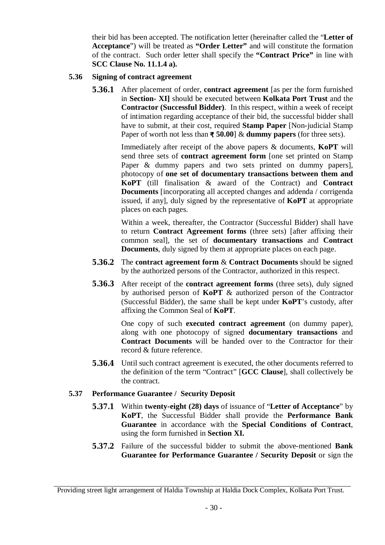their bid has been accepted. The notification letter (hereinafter called the "**Letter of Acceptance**") will be treated as **"Order Letter"** and will constitute the formation of the contract. Such order letter shall specify the **"Contract Price"** in line with **SCC Clause No. 11.1.4 a).**

#### **5.36 Signing of contract agreement**

**5.36.1** After placement of order, **contract agreement** [as per the form furnished in **Section- XI]** should be executed between **Kolkata Port Trust** and the **Contractor (Successful Bidder)**. In this respect, within a week of receipt of intimation regarding acceptance of their bid, the successful bidder shall have to submit, at their cost, required **Stamp Paper** [Non-judicial Stamp Paper of worth not less than **₹ 50.00**] & **dummy papers** (for three sets).

> Immediately after receipt of the above papers & documents, **KoPT** will send three sets of **contract agreement form** [one set printed on Stamp Paper & dummy papers and two sets printed on dummy papers], photocopy of **one set of documentary transactions between them and KoPT** (till finalisation & award of the Contract) and **Contract Documents** [incorporating all accepted changes and addenda / corrigenda issued, if any], duly signed by the representative of **KoPT** at appropriate places on each pages.

> Within a week, thereafter, the Contractor (Successful Bidder) shall have to return **Contract Agreement forms** (three sets) [after affixing their common seal], the set of **documentary transactions** and **Contract Documents**, duly signed by them at appropriate places on each page.

- **5.36.2** The **contract agreement form** & **Contract Documents** should be signed by the authorized persons of the Contractor, authorized in this respect.
- **5.36.3** After receipt of the **contract agreement forms** (three sets), duly signed by authorised person of **KoPT** & authorized person of the Contractor (Successful Bidder), the same shall be kept under **KoPT**'s custody, after affixing the Common Seal of **KoPT**.

One copy of such **executed contract agreement** (on dummy paper), along with one photocopy of signed **documentary transactions** and **Contract Documents** will be handed over to the Contractor for their record & future reference.

**5.36.4** Until such contract agreement is executed, the other documents referred to the definition of the term "Contract" [**GCC Clause**], shall collectively be the contract.

## **5.37 Performance Guarantee / Security Deposit**

- **5.37.1** Within **twenty-eight (28) days** of issuance of "**Letter of Acceptance**" by **KoPT**, the Successful Bidder shall provide the **Performance Bank Guarantee** in accordance with the **Special Conditions of Contract**, using the form furnished in **Section XI.**
- **5.37.2** Failure of the successful bidder to submit the above-mentioned **Bank Guarantee for Performance Guarantee / Security Deposit** or sign the

Providing street light arrangement of Haldia Township at Haldia Dock Complex, Kolkata Port Trust.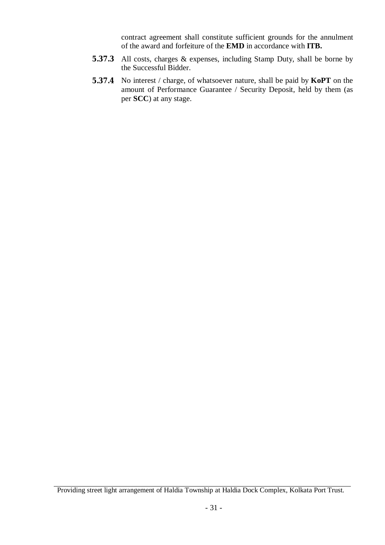contract agreement shall constitute sufficient grounds for the annulment of the award and forfeiture of the **EMD** in accordance with **ITB.**

- **5.37.3** All costs, charges & expenses, including Stamp Duty, shall be borne by the Successful Bidder.
- **5.37.4** No interest / charge, of whatsoever nature, shall be paid by **KoPT** on the amount of Performance Guarantee / Security Deposit, held by them (as per **SCC**) at any stage.

Providing street light arrangement of Haldia Township at Haldia Dock Complex, Kolkata Port Trust.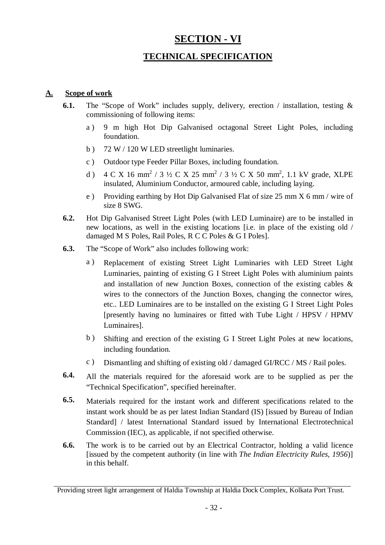# **SECTION - VI**

## **TECHNICAL SPECIFICATION**

## **A. Scope of work**

- **6.1.** The "Scope of Work" includes supply, delivery, erection / installation, testing & commissioning of following items:
	- a ) 9 m high Hot Dip Galvanised octagonal Street Light Poles, including foundation.
	- b ) 72 W / 120 W LED streetlight luminaries.
	- c ) Outdoor type Feeder Pillar Boxes, including foundation.
	- d )  $4 \text{ C X } 16 \text{ mm}^2 / 3 \frac{1}{2} \text{ C X } 25 \text{ mm}^2 / 3 \frac{1}{2} \text{ C X } 50 \text{ mm}^2$ , 1.1 kV grade, XLPE insulated, Aluminium Conductor, armoured cable, including laying.
	- e ) Providing earthing by Hot Dip Galvanised Flat of size 25 mm X 6 mm / wire of size 8 SWG.
- **6.2.** Hot Dip Galvanised Street Light Poles (with LED Luminaire) are to be installed in new locations, as well in the existing locations [i.e. in place of the existing old / damaged M S Poles, Rail Poles, R C C Poles & G I Poles].
- **6.3.** The "Scope of Work" also includes following work:
	- a ) Replacement of existing Street Light Luminaries with LED Street Light Luminaries, painting of existing G I Street Light Poles with aluminium paints and installation of new Junction Boxes, connection of the existing cables & wires to the connectors of the Junction Boxes, changing the connector wires, etc.. LED Luminaires are to be installed on the existing G I Street Light Poles [presently having no luminaires or fitted with Tube Light / HPSV / HPMV Luminaires].
	- b ) Shifting and erection of the existing G I Street Light Poles at new locations, including foundation.
	- c ) Dismantling and shifting of existing old / damaged GI/RCC / MS / Rail poles.
- **6.4.** All the materials required for the aforesaid work are to be supplied as per the "Technical Specification", specified hereinafter.
- **6.5.** Materials required for the instant work and different specifications related to the instant work should be as per latest Indian Standard (IS) [issued by Bureau of Indian Standard] / latest International Standard issued by International Electrotechnical Commission (IEC), as applicable, if not specified otherwise.
- **6.6.** The work is to be carried out by an Electrical Contractor, holding a valid licence [issued by the competent authority (in line with *The Indian Electricity Rules, 1956*)] in this behalf.

Providing street light arrangement of Haldia Township at Haldia Dock Complex, Kolkata Port Trust.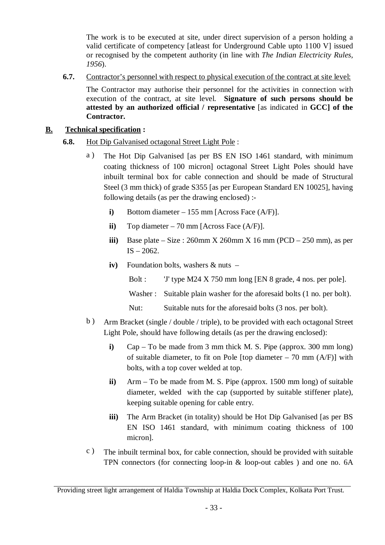The work is to be executed at site, under direct supervision of a person holding a valid certificate of competency [atleast for Underground Cable upto 1100 V] issued or recognised by the competent authority (in line with *The Indian Electricity Rules, 1956*).

**6.7.** Contractor's personnel with respect to physical execution of the contract at site level:

The Contractor may authorise their personnel for the activities in connection with execution of the contract, at site level. **Signature of such persons should be attested by an authorized official / representative** [as indicated in **GCC] of the Contractor.**

## **B. Technical specification :**

## **6.8.** Hot Dip Galvanised octagonal Street Light Pole :

- a ) The Hot Dip Galvanised [as per BS EN ISO 1461 standard, with minimum coating thickness of 100 micron] octagonal Street Light Poles should have inbuilt terminal box for cable connection and should be made of Structural Steel (3 mm thick) of grade S355 [as per European Standard EN 10025], having following details (as per the drawing enclosed) :
	- **i)** Bottom diameter 155 mm [Across Face (A/F)].
	- **ii)** Top diameter 70 mm [Across Face (A/F)].
	- **iii**) Base plate Size :  $260$ mm X  $260$ mm X  $16$  mm (PCD  $250$  mm), as per  $IS - 2062.$
	- **iv)** Foundation bolts, washers & nuts
		- Bolt : 'J' type M24 X 750 mm long [EN 8 grade, 4 nos. per pole].
		- Washer : Suitable plain washer for the aforesaid bolts (1 no. per bolt).
		- Nut: Suitable nuts for the aforesaid bolts (3 nos. per bolt).
- b ) Arm Bracket (single / double / triple), to be provided with each octagonal Street Light Pole, should have following details (as per the drawing enclosed):
	- **i)** Cap To be made from 3 mm thick M. S. Pipe (approx. 300 mm long) of suitable diameter, to fit on Pole [top diameter  $-70$  mm (A/F)] with bolts, with a top cover welded at top.
	- **ii)** Arm To be made from M. S. Pipe (approx. 1500 mm long) of suitable diameter, welded with the cap (supported by suitable stiffener plate), keeping suitable opening for cable entry.
	- **iii)** The Arm Bracket (in totality) should be Hot Dip Galvanised [as per BS EN ISO 1461 standard, with minimum coating thickness of 100 micron].
- c ) The inbuilt terminal box, for cable connection, should be provided with suitable TPN connectors (for connecting loop-in & loop-out cables ) and one no. 6A

Providing street light arrangement of Haldia Township at Haldia Dock Complex, Kolkata Port Trust.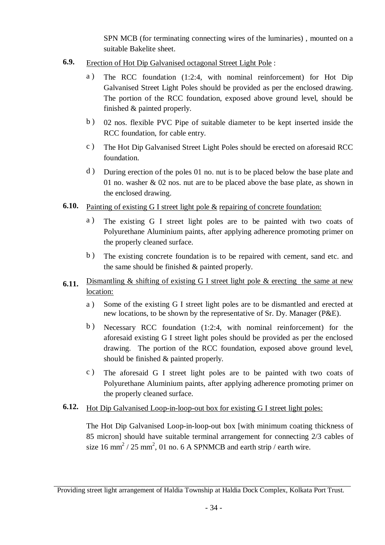SPN MCB (for terminating connecting wires of the luminaries) , mounted on a suitable Bakelite sheet.

- **6.9.** Erection of Hot Dip Galvanised octagonal Street Light Pole :
	- a ) The RCC foundation (1:2:4, with nominal reinforcement) for Hot Dip Galvanised Street Light Poles should be provided as per the enclosed drawing. The portion of the RCC foundation, exposed above ground level, should be finished & painted properly.
	- b ) 02 nos. flexible PVC Pipe of suitable diameter to be kept inserted inside the RCC foundation, for cable entry.
	- c ) The Hot Dip Galvanised Street Light Poles should be erected on aforesaid RCC foundation.
	- d ) During erection of the poles 01 no. nut is to be placed below the base plate and 01 no. washer & 02 nos. nut are to be placed above the base plate, as shown in the enclosed drawing.
- **6.10.** Painting of existing G I street light pole & repairing of concrete foundation:
	- a ) The existing G I street light poles are to be painted with two coats of Polyurethane Aluminium paints, after applying adherence promoting primer on the properly cleaned surface.
	- b ) The existing concrete foundation is to be repaired with cement, sand etc. and the same should be finished & painted properly.
- **6.11.** Dismantling & shifting of existing G I street light pole & erecting the same at new location:
	- a ) Some of the existing G I street light poles are to be dismantled and erected at new locations, to be shown by the representative of Sr. Dy. Manager (P&E).
	- b ) Necessary RCC foundation (1:2:4, with nominal reinforcement) for the aforesaid existing G I street light poles should be provided as per the enclosed drawing. The portion of the RCC foundation, exposed above ground level, should be finished & painted properly.
	- c ) The aforesaid G I street light poles are to be painted with two coats of Polyurethane Aluminium paints, after applying adherence promoting primer on the properly cleaned surface.
- **6.12.** Hot Dip Galvanised Loop-in-loop-out box for existing G I street light poles:

The Hot Dip Galvanised Loop-in-loop-out box [with minimum coating thickness of 85 micron] should have suitable terminal arrangement for connecting 2/3 cables of size 16 mm<sup>2</sup> / 25 mm<sup>2</sup>, 01 no. 6 A SPNMCB and earth strip / earth wire.

Providing street light arrangement of Haldia Township at Haldia Dock Complex, Kolkata Port Trust.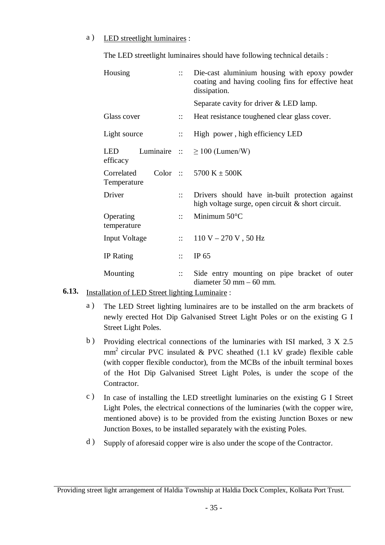#### a ) LED streetlight luminaires :

The LED streetlight luminaires should have following technical details :

| Housing                   | $\mathbb{R}^{\mathbb{Z}}$ | Die-cast aluminium housing with epoxy powder<br>coating and having cooling fins for effective heat<br>dissipation. |
|---------------------------|---------------------------|--------------------------------------------------------------------------------------------------------------------|
|                           |                           | Separate cavity for driver & LED lamp.                                                                             |
| Glass cover               | $\mathbb{R}^{\mathbb{Z}}$ | Heat resistance toughened clear glass cover.                                                                       |
| Light source              | $\mathbb{R}$              | High power, high efficiency LED                                                                                    |
| LED<br>efficacy           |                           | Luminaire $\therefore \ge 100$ (Lumen/W)                                                                           |
| Correlated<br>Temperature |                           | Color :: $5700 K \pm 500K$                                                                                         |
| Driver                    | $\mathbf{::}$             | Drivers should have in-built protection against<br>high voltage surge, open circuit & short circuit.               |
| Operating<br>temperature  | $\mathbb{R}^{\bullet}$    | Minimum $50^{\circ}$ C                                                                                             |
| <b>Input Voltage</b>      | $\mathbb{R}^{\mathbb{Z}}$ | $110 V - 270 V$ , 50 Hz                                                                                            |
| <b>IP</b> Rating          | $\mathbb{R}^{\bullet}$    | IP $65$                                                                                                            |
| Mounting                  | $\mathbf{::}$             | Side entry mounting on pipe bracket of outer<br>diameter $50 \text{ mm} - 60 \text{ mm}$ .                         |

# **6.13.** Installation of LED Street lighting Luminaire :

- a ) The LED Street lighting luminaires are to be installed on the arm brackets of newly erected Hot Dip Galvanised Street Light Poles or on the existing G I Street Light Poles.
- b ) Providing electrical connections of the luminaries with ISI marked, 3 X 2.5  $mm<sup>2</sup>$  circular PVC insulated & PVC sheathed (1.1 kV grade) flexible cable (with copper flexible conductor), from the MCBs of the inbuilt terminal boxes of the Hot Dip Galvanised Street Light Poles, is under the scope of the Contractor.
- c ) In case of installing the LED streetlight luminaries on the existing G I Street Light Poles, the electrical connections of the luminaries (with the copper wire, mentioned above) is to be provided from the existing Junction Boxes or new Junction Boxes, to be installed separately with the existing Poles.
- d ) Supply of aforesaid copper wire is also under the scope of the Contractor.

Providing street light arrangement of Haldia Township at Haldia Dock Complex, Kolkata Port Trust.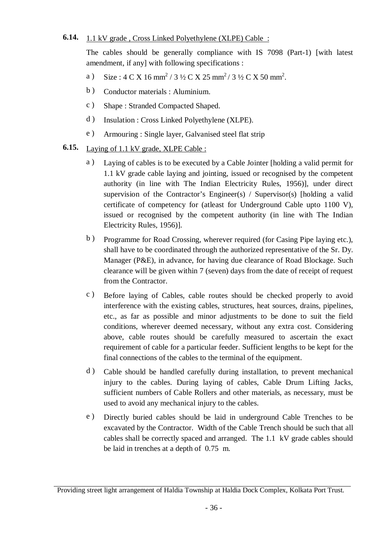# **6.14.** 1.1 kV grade, Cross Linked Polyethylene (XLPE) Cable :

The cables should be generally compliance with IS 7098 (Part-1) [with latest amendment, if any] with following specifications :

- a ) Size :  $4 \text{ C X } 16 \text{ mm}^2 / 3 \frac{1}{2} \text{ C X } 25 \text{ mm}^2 / 3 \frac{1}{2} \text{ C X } 50 \text{ mm}^2$ .
- b ) Conductor materials : Aluminium.
- c ) Shape : Stranded Compacted Shaped.
- d ) Insulation : Cross Linked Polyethylene (XLPE).
- e ) Armouring : Single layer, Galvanised steel flat strip
- **6.15.** Laying of 1.1 kV grade, XLPE Cable :
	- a ) Laying of cables is to be executed by a Cable Jointer [holding a valid permit for 1.1 kV grade cable laying and jointing, issued or recognised by the competent authority (in line with The Indian Electricity Rules, 1956)], under direct supervision of the Contractor's Engineer(s) / Supervisor(s) [holding a valid certificate of competency for (atleast for Underground Cable upto 1100 V), issued or recognised by the competent authority (in line with The Indian Electricity Rules, 1956)].
	- b ) Programme for Road Crossing, wherever required (for Casing Pipe laying etc.), shall have to be coordinated through the authorized representative of the Sr. Dy. Manager (P&E), in advance, for having due clearance of Road Blockage. Such clearance will be given within 7 (seven) days from the date of receipt of request from the Contractor.
	- c ) Before laying of Cables, cable routes should be checked properly to avoid interference with the existing cables, structures, heat sources, drains, pipelines, etc., as far as possible and minor adjustments to be done to suit the field conditions, wherever deemed necessary, without any extra cost. Considering above, cable routes should be carefully measured to ascertain the exact requirement of cable for a particular feeder. Sufficient lengths to be kept for the final connections of the cables to the terminal of the equipment.
	- d ) Cable should be handled carefully during installation, to prevent mechanical injury to the cables. During laying of cables, Cable Drum Lifting Jacks, sufficient numbers of Cable Rollers and other materials, as necessary, must be used to avoid any mechanical injury to the cables.
	- e ) Directly buried cables should be laid in underground Cable Trenches to be excavated by the Contractor. Width of the Cable Trench should be such that all cables shall be correctly spaced and arranged. The 1.1 kV grade cables should be laid in trenches at a depth of 0.75 m.

Providing street light arrangement of Haldia Township at Haldia Dock Complex, Kolkata Port Trust.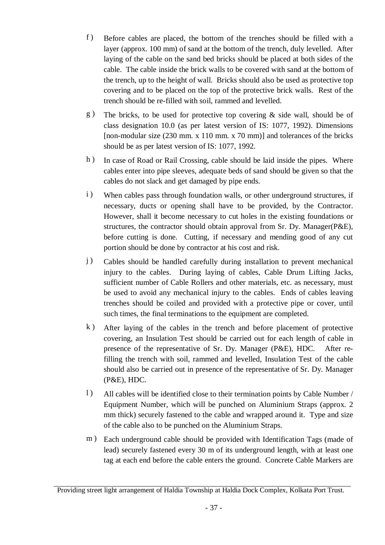- f ) Before cables are placed, the bottom of the trenches should be filled with a layer (approx. 100 mm) of sand at the bottom of the trench, duly levelled. After laying of the cable on the sand bed bricks should be placed at both sides of the cable. The cable inside the brick walls to be covered with sand at the bottom of the trench, up to the height of wall. Bricks should also be used as protective top covering and to be placed on the top of the protective brick walls. Rest of the trench should be re-filled with soil, rammed and levelled.
- g ) The bricks, to be used for protective top covering & side wall, should be of class designation 10.0 (as per latest version of IS: 1077, 1992). Dimensions [non-modular size (230 mm. x 110 mm. x 70 mm)] and tolerances of the bricks should be as per latest version of IS: 1077, 1992.
- h ) In case of Road or Rail Crossing, cable should be laid inside the pipes. Where cables enter into pipe sleeves, adequate beds of sand should be given so that the cables do not slack and get damaged by pipe ends.
- i) When cables pass through foundation walls, or other underground structures, if necessary, ducts or opening shall have to be provided, by the Contractor. However, shall it become necessary to cut holes in the existing foundations or structures, the contractor should obtain approval from Sr. Dy. Manager(P&E), before cutting is done. Cutting, if necessary and mending good of any cut portion should be done by contractor at his cost and risk.
- j ) Cables should be handled carefully during installation to prevent mechanical injury to the cables. During laying of cables, Cable Drum Lifting Jacks, sufficient number of Cable Rollers and other materials, etc. as necessary, must be used to avoid any mechanical injury to the cables. Ends of cables leaving trenches should be coiled and provided with a protective pipe or cover, until such times, the final terminations to the equipment are completed.
- k ) After laying of the cables in the trench and before placement of protective covering, an Insulation Test should be carried out for each length of cable in presence of the representative of Sr. Dy. Manager (P&E), HDC. After refilling the trench with soil, rammed and levelled, Insulation Test of the cable should also be carried out in presence of the representative of Sr. Dy. Manager (P&E), HDC.
- l ) All cables will be identified close to their termination points by Cable Number / Equipment Number, which will be punched on Aluminium Straps (approx. 2 mm thick) securely fastened to the cable and wrapped around it. Type and size of the cable also to be punched on the Aluminium Straps.
- m) Each underground cable should be provided with Identification Tags (made of lead) securely fastened every 30 m of its underground length, with at least one tag at each end before the cable enters the ground. Concrete Cable Markers are

Providing street light arrangement of Haldia Township at Haldia Dock Complex, Kolkata Port Trust.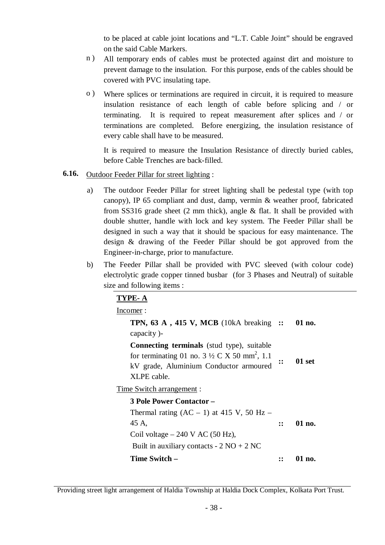to be placed at cable joint locations and "L.T. Cable Joint" should be engraved on the said Cable Markers.

- n ) All temporary ends of cables must be protected against dirt and moisture to prevent damage to the insulation. For this purpose, ends of the cables should be covered with PVC insulating tape.
- o ) Where splices or terminations are required in circuit, it is required to measure insulation resistance of each length of cable before splicing and / or terminating. It is required to repeat measurement after splices and / or terminations are completed. Before energizing, the insulation resistance of every cable shall have to be measured.

It is required to measure the Insulation Resistance of directly buried cables, before Cable Trenches are back-filled.

- **6.16.** Outdoor Feeder Pillar for street lighting :
	- a) The outdoor Feeder Pillar for street lighting shall be pedestal type (with top canopy), IP 65 compliant and dust, damp, vermin & weather proof, fabricated from SS316 grade sheet (2 mm thick), angle & flat. It shall be provided with double shutter, handle with lock and key system. The Feeder Pillar shall be designed in such a way that it should be spacious for easy maintenance. The design & drawing of the Feeder Pillar should be got approved from the Engineer-in-charge, prior to manufacture.
	- b) The Feeder Pillar shall be provided with PVC sleeved (with colour code) electrolytic grade copper tinned busbar (for 3 Phases and Neutral) of suitable size and following items :

| TYPE-A                                                                                                                                                                          |                    |          |
|---------------------------------------------------------------------------------------------------------------------------------------------------------------------------------|--------------------|----------|
| Incomer:                                                                                                                                                                        |                    |          |
| <b>TPN, 63 A, 415 V, MCB</b> (10kA breaking ::<br>capacity)-                                                                                                                    |                    | $01$ no. |
| <b>Connecting terminals</b> (stud type), suitable<br>for terminating 01 no. $3\frac{1}{2}C X 50$ mm <sup>2</sup> , 1.1<br>kV grade, Aluminium Conductor armoured<br>XLPE cable. | $\mathbf{\ddot{}}$ | 01 set   |
| <u>Time Switch arrangement:</u>                                                                                                                                                 |                    |          |
| 3 Pole Power Contactor -                                                                                                                                                        |                    |          |
| Thermal rating $(AC – 1)$ at 415 V, 50 Hz –<br>45 A,<br>Coil voltage $-240$ V AC (50 Hz),<br>Built in auxiliary contacts - $2 \text{ NO} + 2 \text{ NC}$                        | $\mathbf{H}$       | 01 no.   |
| Time Switch –                                                                                                                                                                   |                    | 01 no.   |

Providing street light arrangement of Haldia Township at Haldia Dock Complex, Kolkata Port Trust.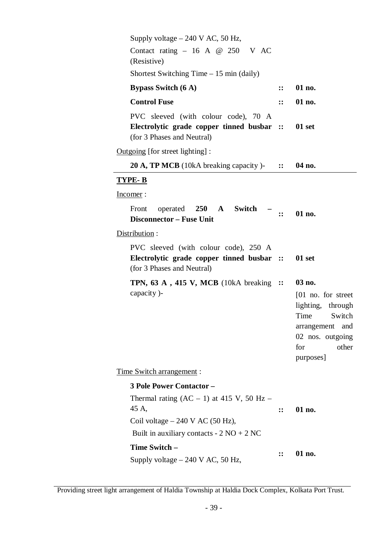| Supply voltage $-240$ V AC, 50 Hz,<br>Contact rating $-16$ A @ 250 V AC<br>(Resistive)                            |                 |                                                                                                                                            |
|-------------------------------------------------------------------------------------------------------------------|-----------------|--------------------------------------------------------------------------------------------------------------------------------------------|
| Shortest Switching Time $-15$ min (daily)                                                                         |                 |                                                                                                                                            |
| <b>Bypass Switch (6 A)</b>                                                                                        | $\mathbf{::}$   | 01 no.                                                                                                                                     |
| <b>Control Fuse</b>                                                                                               | $\dddot{\cdot}$ | 01 no.                                                                                                                                     |
| PVC sleeved (with colour code), 70 A<br>Electrolytic grade copper tinned busbar ::<br>(for 3 Phases and Neutral)  |                 | 01 set                                                                                                                                     |
| Outgoing [for street lighting] :                                                                                  |                 |                                                                                                                                            |
| <b>20 A, TP MCB</b> (10kA breaking capacity)- $\therefore$                                                        |                 | 04 no.                                                                                                                                     |
| <u>TYPE- B</u>                                                                                                    |                 |                                                                                                                                            |
| <u>Incomer</u> :                                                                                                  |                 |                                                                                                                                            |
| operated 250 A<br>Switch<br>Front<br><b>Disconnector – Fuse Unit</b>                                              | -               | 01 no.                                                                                                                                     |
| Distribution:                                                                                                     |                 |                                                                                                                                            |
| PVC sleeved (with colour code), 250 A<br>Electrolytic grade copper tinned busbar ::<br>(for 3 Phases and Neutral) |                 | 01 set                                                                                                                                     |
| <b>TPN, 63 A, 415 V, MCB</b> (10kA breaking $::$<br>capacity)-                                                    |                 | 03 no.<br>[01 no. for street<br>lighting, through<br>Switch<br>Time<br>arrangement<br>and<br>02 nos. outgoing<br>other<br>for<br>purposes] |
| <u>Time Switch arrangement</u> :                                                                                  |                 |                                                                                                                                            |
| <b>3 Pole Power Contactor -</b>                                                                                   |                 |                                                                                                                                            |
| Thermal rating $(AC – 1)$ at 415 V, 50 Hz –<br>45 A,                                                              | $\mathbf{::}$   | 01 no.                                                                                                                                     |
| Coil voltage $-240$ V AC (50 Hz),                                                                                 |                 |                                                                                                                                            |
| Built in auxiliary contacts - $2 \text{ NO} + 2 \text{ NC}$                                                       |                 |                                                                                                                                            |
| Time Switch -<br>Supply voltage $-240$ V AC, 50 Hz,                                                               | $\mathbf{::}$   | 01 no.                                                                                                                                     |

Providing street light arrangement of Haldia Township at Haldia Dock Complex, Kolkata Port Trust.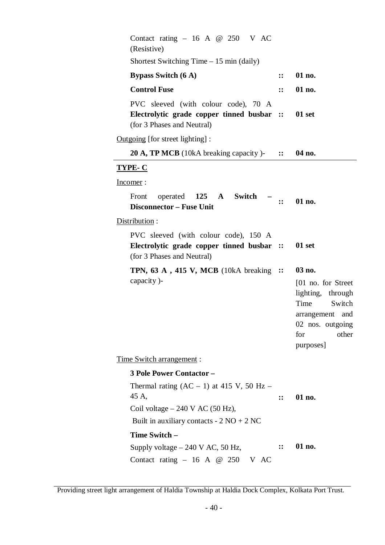| Contact rating $-16$ A @ 250 V AC<br>(Resistive)                                                                                                         |                     |                                                                                                                                          |
|----------------------------------------------------------------------------------------------------------------------------------------------------------|---------------------|------------------------------------------------------------------------------------------------------------------------------------------|
| Shortest Switching Time $-15$ min (daily)                                                                                                                |                     |                                                                                                                                          |
| <b>Bypass Switch (6 A)</b>                                                                                                                               | $\mathbf{::}$       | 01 no.                                                                                                                                   |
| <b>Control Fuse</b>                                                                                                                                      | $\mathbf{::}$       | 01 no.                                                                                                                                   |
| PVC sleeved (with colour code), 70 A<br>Electrolytic grade copper tinned busbar ::<br>(for 3 Phases and Neutral)                                         |                     | 01 set                                                                                                                                   |
| Outgoing [for street lighting] :                                                                                                                         |                     |                                                                                                                                          |
| <b>20 A, TP MCB</b> (10kA breaking capacity) $\cdot$ ::                                                                                                  |                     | 04 no.                                                                                                                                   |
| <b>TYPE-C</b>                                                                                                                                            |                     |                                                                                                                                          |
| Incomer:                                                                                                                                                 |                     |                                                                                                                                          |
| operated 125 A Switch<br>Front<br><b>Disconnector - Fuse Unit</b>                                                                                        | $\ddot{\mathbf{z}}$ | 01 no.                                                                                                                                   |
| Distribution:                                                                                                                                            |                     |                                                                                                                                          |
| PVC sleeved (with colour code), 150 A<br>Electrolytic grade copper tinned busbar ::<br>(for 3 Phases and Neutral)                                        |                     | 01 set                                                                                                                                   |
| <b>TPN, 63 A, 415 V, MCB</b> (10kA breaking $::$<br>capacity)-                                                                                           |                     | 03 no.<br>[01 no. for Street]<br>lighting, through<br>Time<br>Switch<br>arrangement and<br>02 nos. outgoing<br>for<br>other<br>purposes] |
| <u>Time Switch arrangement:</u>                                                                                                                          |                     |                                                                                                                                          |
| <b>3 Pole Power Contactor -</b>                                                                                                                          |                     |                                                                                                                                          |
| Thermal rating $(AC – 1)$ at 415 V, 50 Hz –<br>45 A,<br>Coil voltage $-240$ V AC (50 Hz),<br>Built in auxiliary contacts - $2 \text{ NO} + 2 \text{ NC}$ | $\dddot{\cdot}$     | 01 no.                                                                                                                                   |
| Time Switch -                                                                                                                                            |                     |                                                                                                                                          |
| Supply voltage $-240$ V AC, 50 Hz,<br>Contact rating $-16$ A @ 250 V AC                                                                                  | $\mathbf{::}$       | 01 no.                                                                                                                                   |

Providing street light arrangement of Haldia Township at Haldia Dock Complex, Kolkata Port Trust.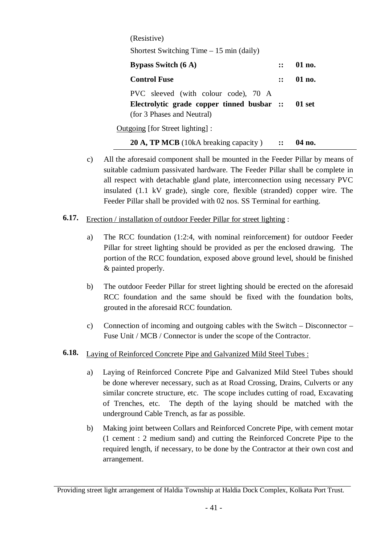| (Resistive)                                                                                                             |                        |          |
|-------------------------------------------------------------------------------------------------------------------------|------------------------|----------|
| Shortest Switching Time $-15$ min (daily)                                                                               |                        |          |
| <b>Bypass Switch (6 A)</b>                                                                                              | $\mathbf{1}\mathbf{2}$ | $01$ no. |
| <b>Control Fuse</b>                                                                                                     | $\mathbf{H}$           | 01 no.   |
| PVC sleeved (with colour code), 70 A<br>Electrolytic grade copper tinned busbar :: 01 set<br>(for 3 Phases and Neutral) |                        |          |
| Outgoing [for Street lighting] :                                                                                        |                        |          |
| 20 A, TP MCB (10kA breaking capacity)                                                                                   |                        | 04 no.   |

- c) All the aforesaid component shall be mounted in the Feeder Pillar by means of suitable cadmium passivated hardware. The Feeder Pillar shall be complete in all respect with detachable gland plate, interconnection using necessary PVC insulated (1.1 kV grade), single core, flexible (stranded) copper wire. The Feeder Pillar shall be provided with 02 nos. SS Terminal for earthing.
- **6.17.** Erection / installation of outdoor Feeder Pillar for street lighting :
	- a) The RCC foundation (1:2:4, with nominal reinforcement) for outdoor Feeder Pillar for street lighting should be provided as per the enclosed drawing. The portion of the RCC foundation, exposed above ground level, should be finished & painted properly.
	- b) The outdoor Feeder Pillar for street lighting should be erected on the aforesaid RCC foundation and the same should be fixed with the foundation bolts, grouted in the aforesaid RCC foundation.
	- c) Connection of incoming and outgoing cables with the Switch Disconnector Fuse Unit / MCB / Connector is under the scope of the Contractor.
- **6.18.** Laying of Reinforced Concrete Pipe and Galvanized Mild Steel Tubes :
	- a) Laying of Reinforced Concrete Pipe and Galvanized Mild Steel Tubes should be done wherever necessary, such as at Road Crossing, Drains, Culverts or any similar concrete structure, etc. The scope includes cutting of road, Excavating of Trenches, etc. The depth of the laying should be matched with the underground Cable Trench, as far as possible.
	- b) Making joint between Collars and Reinforced Concrete Pipe, with cement motar (1 cement : 2 medium sand) and cutting the Reinforced Concrete Pipe to the required length, if necessary, to be done by the Contractor at their own cost and arrangement.

Providing street light arrangement of Haldia Township at Haldia Dock Complex, Kolkata Port Trust.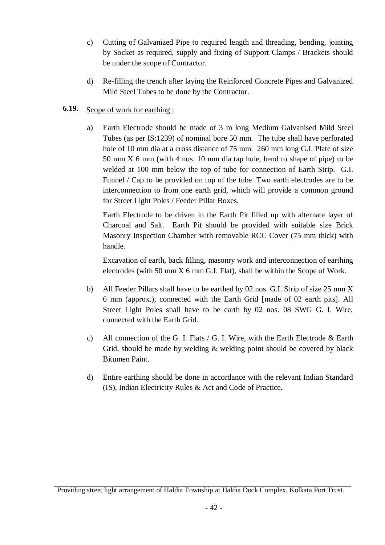- c) Cutting of Galvanized Pipe to required length and threading, bending, jointing by Socket as required, supply and fixing of Support Clamps / Brackets should be under the scope of Contractor.
- d) Re-filling the trench after laying the Reinforced Concrete Pipes and Galvanized Mild Steel Tubes to be done by the Contractor.

# **6.19.** Scope of work for earthing :

a) Earth Electrode should be made of 3 m long Medium Galvanised Mild Steel Tubes (as per IS:1239) of nominal bore 50 mm. The tube shall have perforated hole of 10 mm dia at a cross distance of 75 mm. 260 mm long G.I. Plate of size 50 mm X 6 mm (with 4 nos. 10 mm dia tap hole, bend to shape of pipe) to be welded at 100 mm below the top of tube for connection of Earth Strip. G.I. Funnel / Cap to be provided on top of the tube. Two earth electrodes are to be interconnection to from one earth grid, which will provide a common ground for Street Light Poles / Feeder Pillar Boxes.

Earth Electrode to be driven in the Earth Pit filled up with alternate layer of Charcoal and Salt. Earth Pit should be provided with suitable size Brick Masonry Inspection Chamber with removable RCC Cover (75 mm thick) with handle.

Excavation of earth, back filling, masonry work and interconnection of earthing electrodes (with 50 mm X 6 mm G.I. Flat), shall be within the Scope of Work.

- b) All Feeder Pillars shall have to be earthed by 02 nos. G.I. Strip of size 25 mm X 6 mm (approx.), connected with the Earth Grid [made of 02 earth pits]. All Street Light Poles shall have to be earth by 02 nos. 08 SWG G. I. Wire, connected with the Earth Grid.
- c) All connection of the G. I. Flats  $/G$ . I. Wire, with the Earth Electrode & Earth Grid, should be made by welding & welding point should be covered by black Bitumen Paint.
- d) Entire earthing should be done in accordance with the relevant Indian Standard (IS), Indian Electricity Rules & Act and Code of Practice.

Providing street light arrangement of Haldia Township at Haldia Dock Complex, Kolkata Port Trust.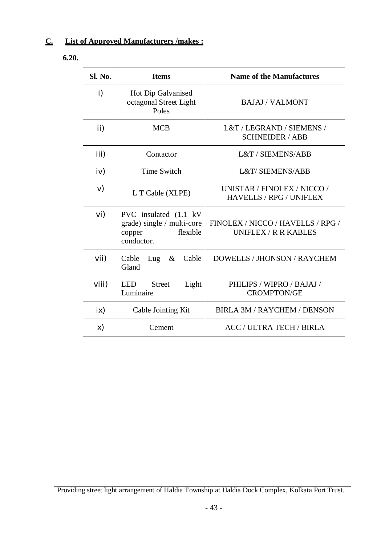# **C. List of Approved Manufacturers /makes :**

**6.20.**

| <b>Sl. No.</b> | <b>Items</b>                                                                             | <b>Name of the Manufactures</b>                               |
|----------------|------------------------------------------------------------------------------------------|---------------------------------------------------------------|
| i)             | Hot Dip Galvanised<br>octagonal Street Light<br>Poles                                    | <b>BAJAJ/VALMONT</b>                                          |
| ii)            | <b>MCB</b>                                                                               | L&T / LEGRAND / SIEMENS /<br><b>SCHNEIDER / ABB</b>           |
| iii)           | Contactor                                                                                | L&T / SIEMENS/ABB                                             |
| iv)            | <b>Time Switch</b>                                                                       | <b>L&amp;T/ SIEMENS/ABB</b>                                   |
| V)             | L T Cable (XLPE)                                                                         | UNISTAR / FINOLEX / NICCO /<br><b>HAVELLS / RPG / UNIFLEX</b> |
| vi)            | PVC insulated (1.1 kV)<br>grade) single / multi-core<br>flexible<br>copper<br>conductor. | FINOLEX / NICCO / HAVELLS / RPG /<br>UNIFLEX / R R KABLES     |
| V <sub>1</sub> | Cable<br>Lug $\&$<br>Cable<br>Gland                                                      | DOWELLS / JHONSON / RAYCHEM                                   |
| Viii)          | LED<br><b>Street</b><br>Light<br>Luminaire                                               | PHILIPS / WIPRO / BAJAJ /<br><b>CROMPTON/GE</b>               |
| ix)            | Cable Jointing Kit                                                                       | BIRLA 3M / RAYCHEM / DENSON                                   |
| X)             | Cement                                                                                   | <b>ACC / ULTRA TECH / BIRLA</b>                               |

Providing street light arrangement of Haldia Township at Haldia Dock Complex, Kolkata Port Trust.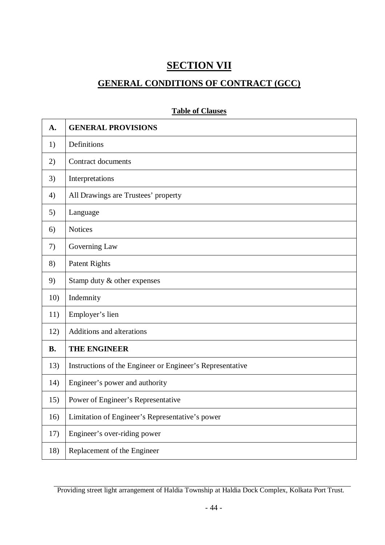# **SECTION VII**

# **GENERAL CONDITIONS OF CONTRACT (GCC)**

| A.        | <b>GENERAL PROVISIONS</b>                                 |
|-----------|-----------------------------------------------------------|
| 1)        | Definitions                                               |
| 2)        | Contract documents                                        |
| 3)        | Interpretations                                           |
| 4)        | All Drawings are Trustees' property                       |
| 5)        | Language                                                  |
| 6)        | <b>Notices</b>                                            |
| 7)        | Governing Law                                             |
| 8)        | <b>Patent Rights</b>                                      |
| 9)        | Stamp duty & other expenses                               |
| 10)       | Indemnity                                                 |
| 11)       | Employer's lien                                           |
| 12)       | Additions and alterations                                 |
| <b>B.</b> | THE ENGINEER                                              |
| 13)       | Instructions of the Engineer or Engineer's Representative |
| 14)       | Engineer's power and authority                            |
| 15)       | Power of Engineer's Representative                        |
| 16)       | Limitation of Engineer's Representative's power           |
| 17)       | Engineer's over-riding power                              |
| 18)       | Replacement of the Engineer                               |

# **Table of Clauses**

Providing street light arrangement of Haldia Township at Haldia Dock Complex, Kolkata Port Trust.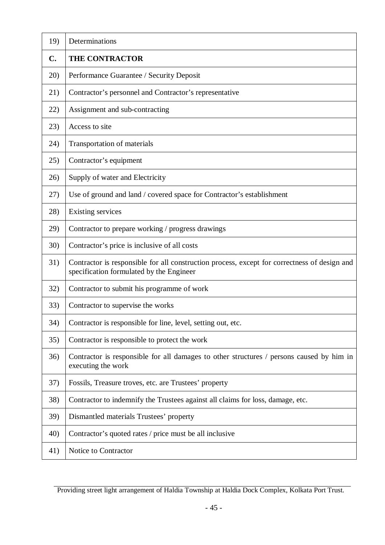| 19)         | Determinations                                                                                                                           |
|-------------|------------------------------------------------------------------------------------------------------------------------------------------|
| C.          | <b>THE CONTRACTOR</b>                                                                                                                    |
| 20)         | Performance Guarantee / Security Deposit                                                                                                 |
| 21)         | Contractor's personnel and Contractor's representative                                                                                   |
| 22)         | Assignment and sub-contracting                                                                                                           |
| 23)         | Access to site                                                                                                                           |
| 24)         | Transportation of materials                                                                                                              |
| 25)         | Contractor's equipment                                                                                                                   |
| 26)         | Supply of water and Electricity                                                                                                          |
| 27)         | Use of ground and land / covered space for Contractor's establishment                                                                    |
| 28)         | <b>Existing services</b>                                                                                                                 |
| 29)         | Contractor to prepare working / progress drawings                                                                                        |
| <b>30</b> ) | Contractor's price is inclusive of all costs                                                                                             |
| 31)         | Contractor is responsible for all construction process, except for correctness of design and<br>specification formulated by the Engineer |
| 32)         | Contractor to submit his programme of work                                                                                               |
| 33)         | Contractor to supervise the works                                                                                                        |
| 34)         | Contractor is responsible for line, level, setting out, etc.                                                                             |
| 35)         | Contractor is responsible to protect the work                                                                                            |
| 36)         | Contractor is responsible for all damages to other structures / persons caused by him in<br>executing the work                           |
| 37)         | Fossils, Treasure troves, etc. are Trustees' property                                                                                    |
| 38)         | Contractor to indemnify the Trustees against all claims for loss, damage, etc.                                                           |
| 39)         | Dismantled materials Trustees' property                                                                                                  |
| 40)         | Contractor's quoted rates / price must be all inclusive                                                                                  |
| 41)         | Notice to Contractor                                                                                                                     |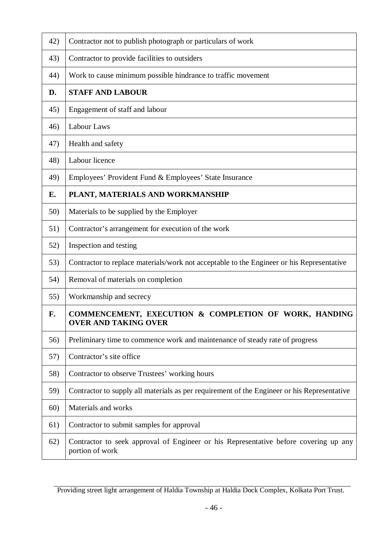| 42) | Contractor not to publish photograph or particulars of work                                             |
|-----|---------------------------------------------------------------------------------------------------------|
| 43) | Contractor to provide facilities to outsiders                                                           |
| 44) | Work to cause minimum possible hindrance to traffic movement                                            |
| D.  | <b>STAFF AND LABOUR</b>                                                                                 |
| 45) | Engagement of staff and labour                                                                          |
| 46) | <b>Labour Laws</b>                                                                                      |
| 47) | Health and safety                                                                                       |
| 48) | Labour licence                                                                                          |
| 49) | Employees' Provident Fund & Employees' State Insurance                                                  |
| Е.  | PLANT, MATERIALS AND WORKMANSHIP                                                                        |
| 50) | Materials to be supplied by the Employer                                                                |
| 51) | Contractor's arrangement for execution of the work                                                      |
| 52) | Inspection and testing                                                                                  |
| 53) | Contractor to replace materials/work not acceptable to the Engineer or his Representative               |
| 54) | Removal of materials on completion                                                                      |
| 55) | Workmanship and secrecy                                                                                 |
| F.  | COMMENCEMENT, EXECUTION & COMPLETION OF WORK, HANDING<br><b>OVER AND TAKING OVER</b>                    |
| 56) | Preliminary time to commence work and maintenance of steady rate of progress                            |
| 57) | Contractor's site office                                                                                |
| 58) | Contractor to observe Trustees' working hours                                                           |
| 59) | Contractor to supply all materials as per requirement of the Engineer or his Representative             |
| 60) | Materials and works                                                                                     |
| 61) | Contractor to submit samples for approval                                                               |
| 62) | Contractor to seek approval of Engineer or his Representative before covering up any<br>portion of work |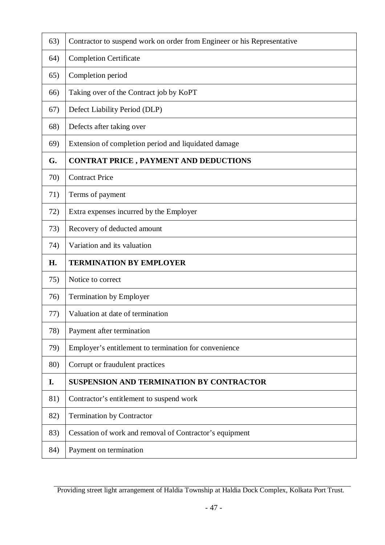| 63) | Contractor to suspend work on order from Engineer or his Representative |
|-----|-------------------------------------------------------------------------|
| 64) | <b>Completion Certificate</b>                                           |
| 65) | Completion period                                                       |
| 66) | Taking over of the Contract job by KoPT                                 |
| 67) | Defect Liability Period (DLP)                                           |
| 68) | Defects after taking over                                               |
| 69) | Extension of completion period and liquidated damage                    |
| G.  | <b>CONTRAT PRICE, PAYMENT AND DEDUCTIONS</b>                            |
| 70) | <b>Contract Price</b>                                                   |
| 71) | Terms of payment                                                        |
| 72) | Extra expenses incurred by the Employer                                 |
| 73) | Recovery of deducted amount                                             |
| 74) | Variation and its valuation                                             |
| H.  | <b>TERMINATION BY EMPLOYER</b>                                          |
| 75) | Notice to correct                                                       |
| 76) | <b>Termination by Employer</b>                                          |
| 77) | Valuation at date of termination                                        |
| 78) | Payment after termination                                               |
| 79) | Employer's entitlement to termination for convenience                   |
| 80) | Corrupt or fraudulent practices                                         |
| I.  | <b>SUSPENSION AND TERMINATION BY CONTRACTOR</b>                         |
| 81) | Contractor's entitlement to suspend work                                |
| 82) | <b>Termination by Contractor</b>                                        |
| 83) | Cessation of work and removal of Contractor's equipment                 |
| 84) | Payment on termination                                                  |

Providing street light arrangement of Haldia Township at Haldia Dock Complex, Kolkata Port Trust.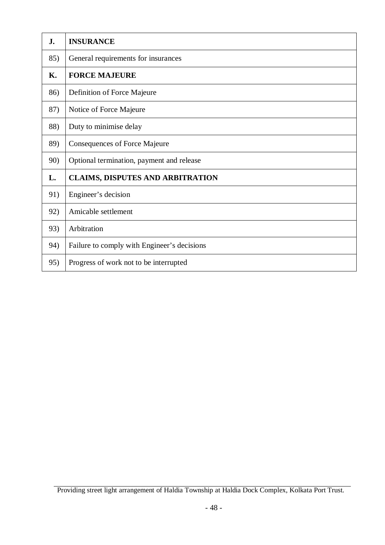| J.  | <b>INSURANCE</b>                            |
|-----|---------------------------------------------|
| 85) | General requirements for insurances         |
| Κ.  | <b>FORCE MAJEURE</b>                        |
| 86) | Definition of Force Majeure                 |
| 87) | Notice of Force Majeure                     |
| 88) | Duty to minimise delay                      |
| 89) | <b>Consequences of Force Majeure</b>        |
| 90) | Optional termination, payment and release   |
| L.  | <b>CLAIMS, DISPUTES AND ARBITRATION</b>     |
| 91) | Engineer's decision                         |
| 92) | Amicable settlement                         |
| 93) | Arbitration                                 |
| 94) | Failure to comply with Engineer's decisions |
| 95) | Progress of work not to be interrupted      |

Providing street light arrangement of Haldia Township at Haldia Dock Complex, Kolkata Port Trust.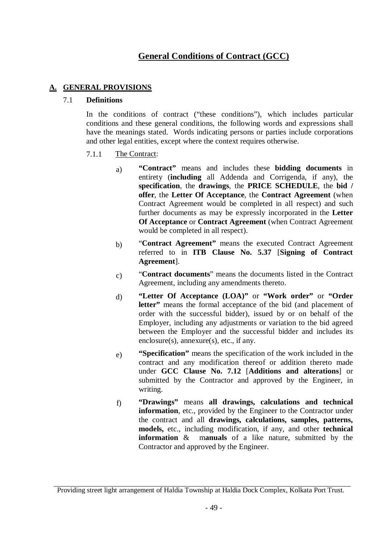# **General Conditions of Contract (GCC)**

# **A. GENERAL PROVISIONS**

#### 7.1 **Definitions**

In the conditions of contract ("these conditions"), which includes particular conditions and these general conditions, the following words and expressions shall have the meanings stated. Words indicating persons or parties include corporations and other legal entities, except where the context requires otherwise.

#### 7.1.1 The Contract:

- a) **"Contract"** means and includes these **bidding documents** in entirety (**including** all Addenda and Corrigenda, if any), the **specification**, the **drawings**, the **PRICE SCHEDULE**, the **bid / offer**, the **Letter Of Acceptance**, the **Contract Agreement** (when Contract Agreement would be completed in all respect) and such further documents as may be expressly incorporated in the **Letter Of Acceptance** or **Contract Agreement** (when Contract Agreement would be completed in all respect).
- b) "**Contract Agreement"** means the executed Contract Agreement referred to in **ITB Clause No. 5.37** [**Signing of Contract Agreement**].
- c) "**Contract documents**" means the documents listed in the Contract Agreement, including any amendments thereto.
- d) **"Letter Of Acceptance (LOA)"** or **"Work order"** or **"Order letter"** means the formal acceptance of the bid (and placement of order with the successful bidder), issued by or on behalf of the Employer, including any adjustments or variation to the bid agreed between the Employer and the successful bidder and includes its enclosure(s), annexure(s), etc., if any.
- e) **"Specification"** means the specification of the work included in the contract and any modification thereof or addition thereto made under **GCC Clause No. 7.12** [**Additions and alterations**] or submitted by the Contractor and approved by the Engineer, in writing.
- f) **"Drawings"** means **all drawings, calculations and technical information**, etc., provided by the Engineer to the Contractor under the contract and all **drawings, calculations, samples, patterns, models,** etc., including modification, if any, and other **technical information** & m**anuals** of a like nature, submitted by the Contractor and approved by the Engineer.

Providing street light arrangement of Haldia Township at Haldia Dock Complex, Kolkata Port Trust.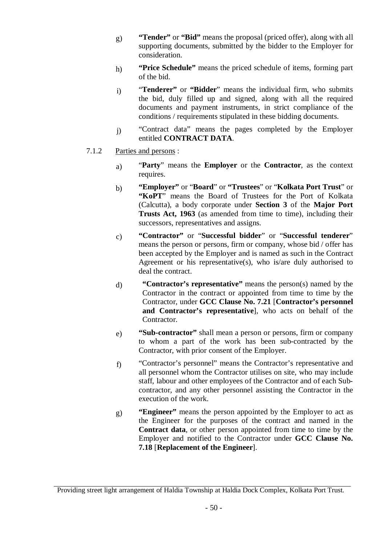- g) **"Tender"** or **"Bid"** means the proposal (priced offer), along with all supporting documents, submitted by the bidder to the Employer for consideration.
- h) **"Price Schedule"** means the priced schedule of items, forming part of the bid.
- i) "**Tenderer"** or **"Bidder**" means the individual firm, who submits the bid, duly filled up and signed, along with all the required documents and payment instruments, in strict compliance of the conditions / requirements stipulated in these bidding documents.
- j) "Contract data" means the pages completed by the Employer entitled **CONTRACT DATA**.
- 7.1.2 Parties and persons :
	- a) "**Party**" means the **Employer** or the **Contractor**, as the context requires.
	- b) **"Employer"** or "**Board**" or **"Trustees**" or "**Kolkata Port Trust**" or **"KoPT**" means the Board of Trustees for the Port of Kolkata (Calcutta), a body corporate under **Section 3** of the **Major Port Trusts Act, 1963** (as amended from time to time), including their successors, representatives and assigns.
	- c) **"Contractor"** or "**Successful bidder**" or "**Successful tenderer**" means the person or persons, firm or company, whose bid / offer has been accepted by the Employer and is named as such in the Contract Agreement or his representative(s), who is/are duly authorised to deal the contract.
	- d) **"Contractor's representative"** means the person(s) named by the Contractor in the contract or appointed from time to time by the Contractor, under **GCC Clause No. 7.21** [**Contractor's personnel and Contractor's representative**], who acts on behalf of the Contractor.
	- e) **"Sub-contractor"** shall mean a person or persons, firm or company to whom a part of the work has been sub-contracted by the Contractor, with prior consent of the Employer.
	- f) "Contractor's personnel" means the Contractor's representative and all personnel whom the Contractor utilises on site, who may include staff, labour and other employees of the Contractor and of each Subcontractor, and any other personnel assisting the Contractor in the execution of the work.
	- g) **"Engineer"** means the person appointed by the Employer to act as the Engineer for the purposes of the contract and named in the **Contract data**, or other person appointed from time to time by the Employer and notified to the Contractor under **GCC Clause No. 7.18** [**Replacement of the Engineer**].

Providing street light arrangement of Haldia Township at Haldia Dock Complex, Kolkata Port Trust.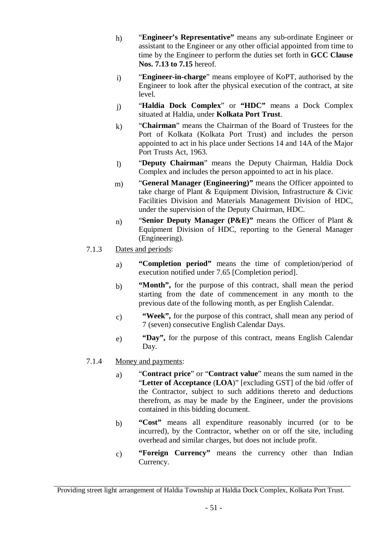- h) "**Engineer's Representative"** means any sub-ordinate Engineer or assistant to the Engineer or any other official appointed from time to time by the Engineer to perform the duties set forth in **GCC Clause Nos. 7.13 to 7.15** hereof.
- i) "**Engineer-in-charge**" means employee of KoPT, authorised by the Engineer to look after the physical execution of the contract, at site level.
- j) "**Haldia Dock Complex**" or **"HDC"** means a Dock Complex situated at Haldia, under **Kolkata Port Trust**.
- k) "**Chairman**" means the Chairman of the Board of Trustees for the Port of Kolkata (Kolkata Port Trust) and includes the person appointed to act in his place under Sections 14 and 14A of the Major Port Trusts Act, 1963.
- l) "**Deputy Chairman**" means the Deputy Chairman, Haldia Dock Complex and includes the person appointed to act in his place.
- m) "**General Manager (Engineering)"** means the Officer appointed to take charge of Plant & Equipment Division, Infrastructure & Civic Facilities Division and Materials Management Division of HDC, under the supervision of the Deputy Chairman, HDC.
- n) "**Senior Deputy Manager (P&E)"** means the Officer of Plant & Equipment Division of HDC, reporting to the General Manager (Engineering).
- 7.1.3 Dates and periods:
	- a) **"Completion period"** means the time of completion/period of execution notified under 7.65 [Completion period].
	- b) **"Month",** for the purpose of this contract, shall mean the period starting from the date of commencement in any month to the previous date of the following month, as per English Calendar.
	- c) **"Week",** for the purpose of this contract, shall mean any period of 7 (seven) consecutive English Calendar Days.
	- e) **"Day",** for the purpose of this contract, means English Calendar Day.

# 7.1.4 Money and payments:

- a) "**Contract price**" or "**Contract value**" means the sum named in the "**Letter of Acceptance** (**LOA**)" [excluding GST] of the bid /offer of the Contractor, subject to such additions thereto and deductions therefrom, as may be made by the Engineer, under the provisions contained in this bidding document.
- b) **"Cost"** means all expenditure reasonably incurred (or to be incurred), by the Contractor, whether on or off the site, including overhead and similar charges, but does not include profit.
- c) **"Foreign Currency"** means the currency other than Indian Currency.

Providing street light arrangement of Haldia Township at Haldia Dock Complex, Kolkata Port Trust.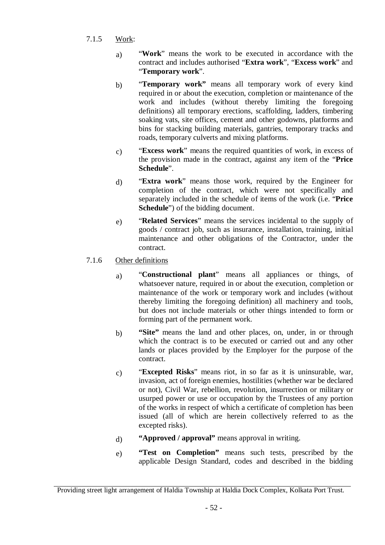- 7.1.5 Work:
	- a) "**Work**" means the work to be executed in accordance with the contract and includes authorised "**Extra work**", "**Excess work**" and "**Temporary work**".
	- b) "**Temporary work"** means all temporary work of every kind required in or about the execution, completion or maintenance of the work and includes (without thereby limiting the foregoing definitions) all temporary erections, scaffolding, ladders, timbering soaking vats, site offices, cement and other godowns, platforms and bins for stacking building materials, gantries, temporary tracks and roads, temporary culverts and mixing platforms.
	- c) "**Excess work**" means the required quantities of work, in excess of the provision made in the contract, against any item of the "**Price Schedule**".
	- d) "**Extra work**" means those work, required by the Engineer for completion of the contract, which were not specifically and separately included in the schedule of items of the work (i.e. "**Price Schedule**") of the bidding document.
	- e) "**Related Services**" means the services incidental to the supply of goods / contract job, such as insurance, installation, training, initial maintenance and other obligations of the Contractor, under the contract.

# 7.1.6 Other definitions

- a) "**Constructional plant**" means all appliances or things, of whatsoever nature, required in or about the execution, completion or maintenance of the work or temporary work and includes (without thereby limiting the foregoing definition) all machinery and tools, but does not include materials or other things intended to form or forming part of the permanent work.
- b) **"Site"** means the land and other places, on, under, in or through which the contract is to be executed or carried out and any other lands or places provided by the Employer for the purpose of the contract.
- c) "**Excepted Risks**" means riot, in so far as it is uninsurable, war, invasion, act of foreign enemies, hostilities (whether war be declared or not), Civil War, rebellion, revolution, insurrection or military or usurped power or use or occupation by the Trustees of any portion of the works in respect of which a certificate of completion has been issued (all of which are herein collectively referred to as the excepted risks).
- d) **"Approved / approval"** means approval in writing.
- e) **"Test on Completion"** means such tests, prescribed by the applicable Design Standard, codes and described in the bidding

Providing street light arrangement of Haldia Township at Haldia Dock Complex, Kolkata Port Trust.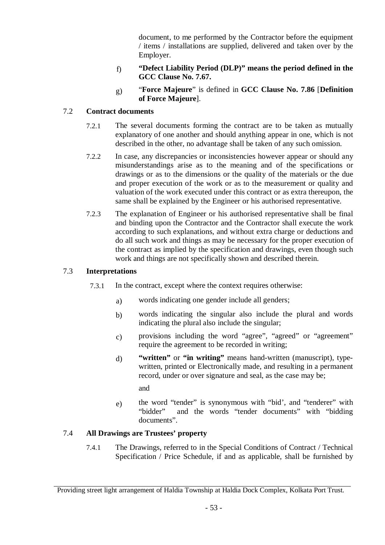document, to me performed by the Contractor before the equipment / items / installations are supplied, delivered and taken over by the Employer.

- f) **"Defect Liability Period (DLP)" means the period defined in the GCC Clause No. 7.67.**
- g) "**Force Majeure**" is defined in **GCC Clause No. 7.86** [**Definition of Force Majeure**].

# 7.2 **Contract documents**

- 7.2.1 The several documents forming the contract are to be taken as mutually explanatory of one another and should anything appear in one, which is not described in the other, no advantage shall be taken of any such omission.
- 7.2.2 In case, any discrepancies or inconsistencies however appear or should any misunderstandings arise as to the meaning and of the specifications or drawings or as to the dimensions or the quality of the materials or the due and proper execution of the work or as to the measurement or quality and valuation of the work executed under this contract or as extra thereupon, the same shall be explained by the Engineer or his authorised representative.
- 7.2.3 The explanation of Engineer or his authorised representative shall be final and binding upon the Contractor and the Contractor shall execute the work according to such explanations, and without extra charge or deductions and do all such work and things as may be necessary for the proper execution of the contract as implied by the specification and drawings, even though such work and things are not specifically shown and described therein.

# 7.3 **Interpretations**

- 7.3.1 In the contract, except where the context requires otherwise:
	- a) words indicating one gender include all genders;
	- b) words indicating the singular also include the plural and words indicating the plural also include the singular;
	- c) provisions including the word "agree", "agreed" or "agreement" require the agreement to be recorded in writing;
	- d) **"written"** or **"in writing"** means hand-written (manuscript), typewritten, printed or Electronically made, and resulting in a permanent record, under or over signature and seal, as the case may be;

and

e) the word "tender" is synonymous with "bid", and "tenderer" with "bidder" and the words "tender documents" with "bidding and the words "tender documents" with "bidding documents".

# 7.4 **All Drawings are Trustees' property**

7.4.1 The Drawings, referred to in the Special Conditions of Contract / Technical Specification / Price Schedule, if and as applicable, shall be furnished by

Providing street light arrangement of Haldia Township at Haldia Dock Complex, Kolkata Port Trust.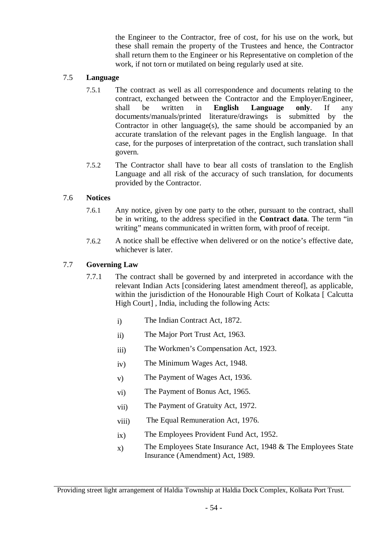the Engineer to the Contractor, free of cost, for his use on the work, but these shall remain the property of the Trustees and hence, the Contractor shall return them to the Engineer or his Representative on completion of the work, if not torn or mutilated on being regularly used at site.

#### 7.5 **Language**

- 7.5.1 The contract as well as all correspondence and documents relating to the contract, exchanged between the Contractor and the Employer/Engineer, shall be written in **English Language only**. If any documents/manuals/printed literature/drawings is submitted by the Contractor in other language(s), the same should be accompanied by an accurate translation of the relevant pages in the English language. In that case, for the purposes of interpretation of the contract, such translation shall govern.
- 7.5.2 The Contractor shall have to bear all costs of translation to the English Language and all risk of the accuracy of such translation, for documents provided by the Contractor.

#### 7.6 **Notices**

- 7.6.1 Any notice, given by one party to the other, pursuant to the contract, shall be in writing, to the address specified in the **Contract data**. The term "in writing" means communicated in written form, with proof of receipt.
- 7.6.2 A notice shall be effective when delivered or on the notice's effective date, whichever is later.

#### 7.7 **Governing Law**

- 7.7.1 The contract shall be governed by and interpreted in accordance with the relevant Indian Acts [considering latest amendment thereof], as applicable, within the jurisdiction of the Honourable High Court of Kolkata [ Calcutta High Court] , India, including the following Acts:
	- i) The Indian Contract Act, 1872.
	- ii) The Major Port Trust Act, 1963.
	- iii) The Workmen's Compensation Act, 1923.
	- iv) The Minimum Wages Act, 1948.
	- v) The Payment of Wages Act, 1936.
	- vi) The Payment of Bonus Act, 1965.
	- vii) The Payment of Gratuity Act, 1972.
	- viii) The Equal Remuneration Act, 1976.
	- ix) The Employees Provident Fund Act, 1952.
	- $x)$  The Employees State Insurance Act, 1948 & The Employees State Insurance (Amendment) Act, 1989.

Providing street light arrangement of Haldia Township at Haldia Dock Complex, Kolkata Port Trust.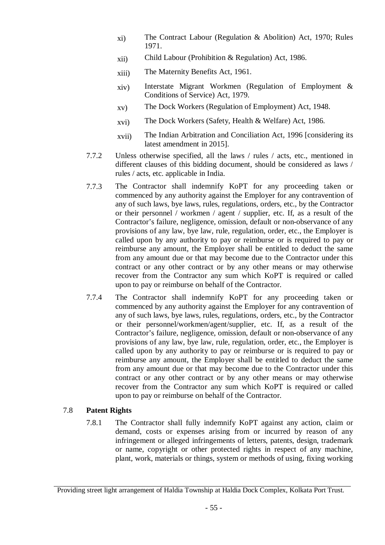- xi) The Contract Labour (Regulation & Abolition) Act, 1970; Rules 1971.
- xii) Child Labour (Prohibition & Regulation) Act, 1986.
- xiii) The Maternity Benefits Act, 1961.
- xiv) Interstate Migrant Workmen (Regulation of Employment & Conditions of Service) Act, 1979.
- xv) The Dock Workers (Regulation of Employment) Act, 1948.
- xvi) The Dock Workers (Safety, Health & Welfare) Act, 1986.
- xvii) The Indian Arbitration and Conciliation Act, 1996 [considering its latest amendment in 2015].
- 7.7.2 Unless otherwise specified, all the laws / rules / acts, etc., mentioned in different clauses of this bidding document, should be considered as laws / rules / acts, etc. applicable in India.
- 7.7.3 The Contractor shall indemnify KoPT for any proceeding taken or commenced by any authority against the Employer for any contravention of any of such laws, bye laws, rules, regulations, orders, etc., by the Contractor or their personnel / workmen / agent / supplier, etc. If, as a result of the Contractor's failure, negligence, omission, default or non-observance of any provisions of any law, bye law, rule, regulation, order, etc., the Employer is called upon by any authority to pay or reimburse or is required to pay or reimburse any amount, the Employer shall be entitled to deduct the same from any amount due or that may become due to the Contractor under this contract or any other contract or by any other means or may otherwise recover from the Contractor any sum which KoPT is required or called upon to pay or reimburse on behalf of the Contractor.
- 7.7.4 The Contractor shall indemnify KoPT for any proceeding taken or commenced by any authority against the Employer for any contravention of any of such laws, bye laws, rules, regulations, orders, etc., by the Contractor or their personnel/workmen/agent/supplier, etc. If, as a result of the Contractor's failure, negligence, omission, default or non-observance of any provisions of any law, bye law, rule, regulation, order, etc., the Employer is called upon by any authority to pay or reimburse or is required to pay or reimburse any amount, the Employer shall be entitled to deduct the same from any amount due or that may become due to the Contractor under this contract or any other contract or by any other means or may otherwise recover from the Contractor any sum which KoPT is required or called upon to pay or reimburse on behalf of the Contractor.

# 7.8 **Patent Rights**

7.8.1 The Contractor shall fully indemnify KoPT against any action, claim or demand, costs or expenses arising from or incurred by reason of any infringement or alleged infringements of letters, patents, design, trademark or name, copyright or other protected rights in respect of any machine, plant, work, materials or things, system or methods of using, fixing working

Providing street light arrangement of Haldia Township at Haldia Dock Complex, Kolkata Port Trust.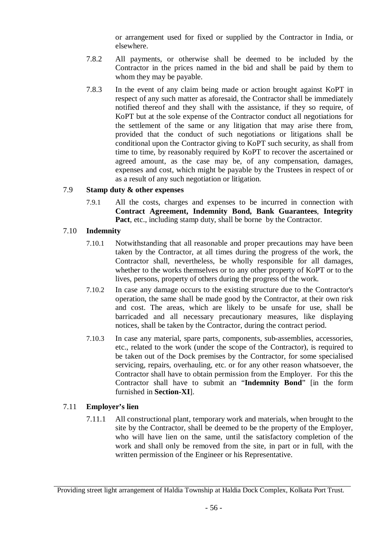or arrangement used for fixed or supplied by the Contractor in India, or elsewhere.

- 7.8.2 All payments, or otherwise shall be deemed to be included by the Contractor in the prices named in the bid and shall be paid by them to whom they may be payable.
- 7.8.3 In the event of any claim being made or action brought against KoPT in respect of any such matter as aforesaid, the Contractor shall be immediately notified thereof and they shall with the assistance, if they so require, of KoPT but at the sole expense of the Contractor conduct all negotiations for the settlement of the same or any litigation that may arise there from, provided that the conduct of such negotiations or litigations shall be conditional upon the Contractor giving to KoPT such security, as shall from time to time, by reasonably required by KoPT to recover the ascertained or agreed amount, as the case may be, of any compensation, damages, expenses and cost, which might be payable by the Trustees in respect of or as a result of any such negotiation or litigation.

#### 7.9 **Stamp duty & other expenses**

7.9.1 All the costs, charges and expenses to be incurred in connection with **Contract Agreement, Indemnity Bond, Bank Guarantees**, **Integrity Pact**, etc., including stamp duty, shall be borne by the Contractor.

#### 7.10 **Indemnity**

- 7.10.1 Notwithstanding that all reasonable and proper precautions may have been taken by the Contractor, at all times during the progress of the work, the Contractor shall, nevertheless, be wholly responsible for all damages, whether to the works themselves or to any other property of KoPT or to the lives, persons, property of others during the progress of the work.
- 7.10.2 In case any damage occurs to the existing structure due to the Contractor's operation, the same shall be made good by the Contractor, at their own risk and cost. The areas, which are likely to be unsafe for use, shall be barricaded and all necessary precautionary measures, like displaying notices, shall be taken by the Contractor, during the contract period.
- 7.10.3 In case any material, spare parts, components, sub-assemblies, accessories, etc., related to the work (under the scope of the Contractor), is required to be taken out of the Dock premises by the Contractor, for some specialised servicing, repairs, overhauling, etc. or for any other reason whatsoever, the Contractor shall have to obtain permission from the Employer. For this the Contractor shall have to submit an "**Indemnity Bond**" [in the form furnished in **Section-XI**].

# 7.11 **Employer's lien**

7.11.1 All constructional plant, temporary work and materials, when brought to the site by the Contractor, shall be deemed to be the property of the Employer, who will have lien on the same, until the satisfactory completion of the work and shall only be removed from the site, in part or in full, with the written permission of the Engineer or his Representative.

Providing street light arrangement of Haldia Township at Haldia Dock Complex, Kolkata Port Trust.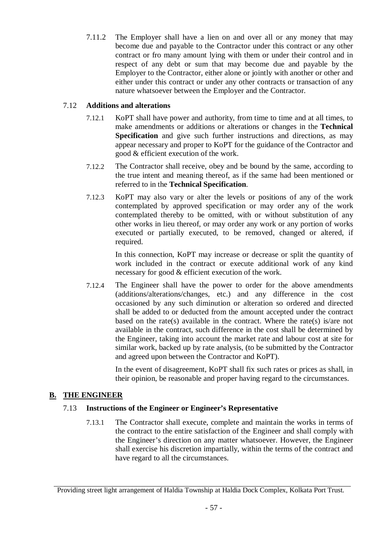7.11.2 The Employer shall have a lien on and over all or any money that may become due and payable to the Contractor under this contract or any other contract or fro many amount lying with them or under their control and in respect of any debt or sum that may become due and payable by the Employer to the Contractor, either alone or jointly with another or other and either under this contract or under any other contracts or transaction of any nature whatsoever between the Employer and the Contractor.

# 7.12 **Additions and alterations**

- 7.12.1 KoPT shall have power and authority, from time to time and at all times, to make amendments or additions or alterations or changes in the **Technical Specification** and give such further instructions and directions, as may appear necessary and proper to KoPT for the guidance of the Contractor and good & efficient execution of the work.
- 7.12.2 The Contractor shall receive, obey and be bound by the same, according to the true intent and meaning thereof, as if the same had been mentioned or referred to in the **Technical Specification**.
- 7.12.3 KoPT may also vary or alter the levels or positions of any of the work contemplated by approved specification or may order any of the work contemplated thereby to be omitted, with or without substitution of any other works in lieu thereof, or may order any work or any portion of works executed or partially executed, to be removed, changed or altered, if required.

In this connection, KoPT may increase or decrease or split the quantity of work included in the contract or execute additional work of any kind necessary for good & efficient execution of the work.

7.12.4 The Engineer shall have the power to order for the above amendments (additions/alterations/changes, etc.) and any difference in the cost occasioned by any such diminution or alteration so ordered and directed shall be added to or deducted from the amount accepted under the contract based on the rate(s) available in the contract. Where the rate(s) is/are not available in the contract, such difference in the cost shall be determined by the Engineer, taking into account the market rate and labour cost at site for similar work, backed up by rate analysis, (to be submitted by the Contractor and agreed upon between the Contractor and KoPT).

> In the event of disagreement, KoPT shall fix such rates or prices as shall, in their opinion, be reasonable and proper having regard to the circumstances.

# **B. THE ENGINEER**

# 7.13 **Instructions of the Engineer or Engineer's Representative**

7.13.1 The Contractor shall execute, complete and maintain the works in terms of the contract to the entire satisfaction of the Engineer and shall comply with the Engineer's direction on any matter whatsoever. However, the Engineer shall exercise his discretion impartially, within the terms of the contract and have regard to all the circumstances.

Providing street light arrangement of Haldia Township at Haldia Dock Complex, Kolkata Port Trust.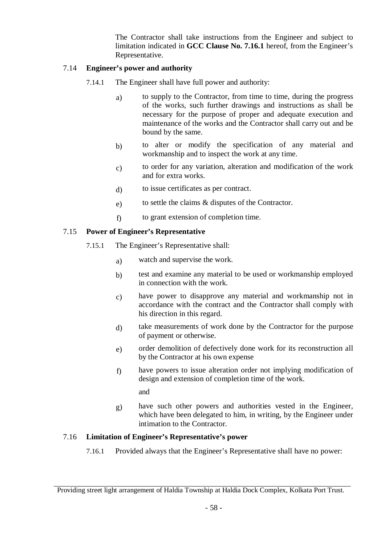The Contractor shall take instructions from the Engineer and subject to limitation indicated in **GCC Clause No. 7.16.1** hereof, from the Engineer's Representative.

#### 7.14 **Engineer's power and authority**

- 7.14.1 The Engineer shall have full power and authority:
	- a) to supply to the Contractor, from time to time, during the progress of the works, such further drawings and instructions as shall be necessary for the purpose of proper and adequate execution and maintenance of the works and the Contractor shall carry out and be bound by the same.
	- b) to alter or modify the specification of any material and workmanship and to inspect the work at any time.
	- c) to order for any variation, alteration and modification of the work and for extra works.
	- d) to issue certificates as per contract.
	- e) to settle the claims & disputes of the Contractor.
	- f) to grant extension of completion time.

#### 7.15 **Power of Engineer's Representative**

- 7.15.1 The Engineer's Representative shall:
	- a) watch and supervise the work.
	- b) test and examine any material to be used or workmanship employed in connection with the work.
	- c) have power to disapprove any material and workmanship not in accordance with the contract and the Contractor shall comply with his direction in this regard.
	- d) take measurements of work done by the Contractor for the purpose of payment or otherwise.
	- e) order demolition of defectively done work for its reconstruction all by the Contractor at his own expense
	- f) have powers to issue alteration order not implying modification of design and extension of completion time of the work.

and

g) have such other powers and authorities vested in the Engineer, which have been delegated to him, in writing, by the Engineer under intimation to the Contractor.

#### 7.16 **Limitation of Engineer's Representative's power**

7.16.1 Provided always that the Engineer's Representative shall have no power:

Providing street light arrangement of Haldia Township at Haldia Dock Complex, Kolkata Port Trust.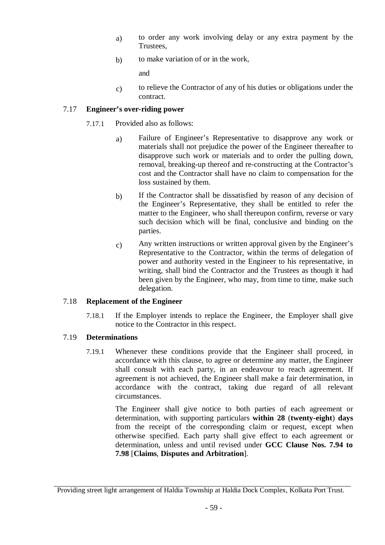- a) to order any work involving delay or any extra payment by the Trustees,
- b) to make variation of or in the work,

and

c) to relieve the Contractor of any of his duties or obligations under the contract.

# 7.17 **Engineer's over-riding power**

- 7.17.1 Provided also as follows:
	- a) Failure of Engineer's Representative to disapprove any work or materials shall not prejudice the power of the Engineer thereafter to disapprove such work or materials and to order the pulling down, removal, breaking-up thereof and re-constructing at the Contractor's cost and the Contractor shall have no claim to compensation for the loss sustained by them.
	- b) If the Contractor shall be dissatisfied by reason of any decision of the Engineer's Representative, they shall be entitled to refer the matter to the Engineer, who shall thereupon confirm, reverse or vary such decision which will be final, conclusive and binding on the parties.
	- c) Any written instructions or written approval given by the Engineer's Representative to the Contractor, within the terms of delegation of power and authority vested in the Engineer to his representative, in writing, shall bind the Contractor and the Trustees as though it had been given by the Engineer, who may, from time to time, make such delegation.

# 7.18 **Replacement of the Engineer**

7.18.1 If the Employer intends to replace the Engineer, the Employer shall give notice to the Contractor in this respect.

# 7.19 **Determinations**

7.19.1 Whenever these conditions provide that the Engineer shall proceed, in accordance with this clause, to agree or determine any matter, the Engineer shall consult with each party, in an endeavour to reach agreement. If agreement is not achieved, the Engineer shall make a fair determination, in accordance with the contract, taking due regard of all relevant circumstances.

> The Engineer shall give notice to both parties of each agreement or determination, with supporting particulars **within 28** (**twenty-eight**) **days** from the receipt of the corresponding claim or request, except when otherwise specified. Each party shall give effect to each agreement or determination, unless and until revised under **GCC Clause Nos. 7.94 to 7.98** [**Claims**, **Disputes and Arbitration**].

Providing street light arrangement of Haldia Township at Haldia Dock Complex, Kolkata Port Trust.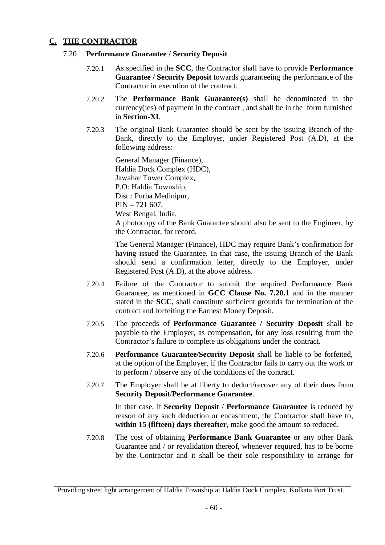# **C. THE CONTRACTOR**

#### 7.20 **Performance Guarantee / Security Deposit**

- 7.20.1 As specified in the **SCC**, the Contractor shall have to provide **Performance Guarantee / Security Deposit** towards guaranteeing the performance of the Contractor in execution of the contract.
- 7.20.2 The **Performance Bank Guarantee(s)** shall be denominated in the currency(ies) of payment in the contract , and shall be in the form furnished in **Section-XI**.
- 7.20.3 The original Bank Guarantee should be sent by the issuing Branch of the Bank, directly to the Employer, under Registered Post (A.D), at the following address:

General Manager (Finance), Haldia Dock Complex (HDC), Jawahar Tower Complex, P.O: Haldia Township, Dist.: Purba Medinipur, PIN – 721 607, West Bengal, India. A photocopy of the Bank Guarantee should also be sent to the Engineer, by the Contractor, for record.

The General Manager (Finance), HDC may require Bank's confirmation for having issued the Guarantee. In that case, the issuing Branch of the Bank should send a confirmation letter, directly to the Employer, under Registered Post (A.D), at the above address.

- 7.20.4 Failure of the Contractor to submit the required Performance Bank Guarantee, as mentioned in **GCC Clause No. 7.20.1** and in the manner stated in the **SCC**, shall constitute sufficient grounds for termination of the contract and forfeiting the Earnest Money Deposit.
- 7.20.5 The proceeds of **Performance Guarantee / Security Deposit** shall be payable to the Employer, as compensation, for any loss resulting from the Contractor's failure to complete its obligations under the contract.
- 7.20.6 **Performance Guarantee/Security Deposit** shall be liable to be forfeited, at the option of the Employer, if the Contractor fails to carry out the work or to perform / observe any of the conditions of the contract.
- 7.20.7 The Employer shall be at liberty to deduct/recover any of their dues from **Security Deposit**/**Performance Guarantee**.

In that case, if **Security Deposit** / **Performance Guarantee** is reduced by reason of any such deduction or encashment, the Contractor shall have to, **within 15 (fifteen) days thereafter**, make good the amount so reduced.

7.20.8 The cost of obtaining **Performance Bank Guarantee** or any other Bank Guarantee and / or revalidation thereof, whenever required, has to be borne by the Contractor and it shall be their sole responsibility to arrange for

Providing street light arrangement of Haldia Township at Haldia Dock Complex, Kolkata Port Trust.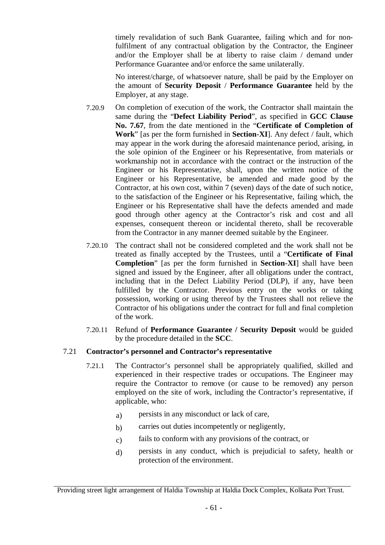timely revalidation of such Bank Guarantee, failing which and for nonfulfilment of any contractual obligation by the Contractor, the Engineer and/or the Employer shall be at liberty to raise claim / demand under Performance Guarantee and/or enforce the same unilaterally.

No interest/charge, of whatsoever nature, shall be paid by the Employer on the amount of **Security Deposit** / **Performance Guarantee** held by the Employer, at any stage.

- 7.20.9 On completion of execution of the work, the Contractor shall maintain the same during the "**Defect Liability Period**", as specified in **GCC Clause No. 7.67**, from the date mentioned in the "**Certificate of Completion of Work**" [as per the form furnished in **Section**-**XI**]. Any defect / fault, which may appear in the work during the aforesaid maintenance period, arising, in the sole opinion of the Engineer or his Representative, from materials or workmanship not in accordance with the contract or the instruction of the Engineer or his Representative, shall, upon the written notice of the Engineer or his Representative, be amended and made good by the Contractor, at his own cost, within 7 (seven) days of the date of such notice, to the satisfaction of the Engineer or his Representative, failing which, the Engineer or his Representative shall have the defects amended and made good through other agency at the Contractor's risk and cost and all expenses, consequent thereon or incidental thereto, shall be recoverable from the Contractor in any manner deemed suitable by the Engineer.
- 7.20.10 The contract shall not be considered completed and the work shall not be treated as finally accepted by the Trustees, until a "**Certificate of Final Completion**" [as per the form furnished in **Section**-**XI**] shall have been signed and issued by the Engineer, after all obligations under the contract, including that in the Defect Liability Period (DLP), if any, have been fulfilled by the Contractor. Previous entry on the works or taking possession, working or using thereof by the Trustees shall not relieve the Contractor of his obligations under the contract for full and final completion of the work.
- 7.20.11 Refund of **Performance Guarantee / Security Deposit** would be guided by the procedure detailed in the **SCC**.

#### 7.21 **Contractor's personnel and Contractor's representative**

- 7.21.1 The Contractor's personnel shall be appropriately qualified, skilled and experienced in their respective trades or occupations. The Engineer may require the Contractor to remove (or cause to be removed) any person employed on the site of work, including the Contractor's representative, if applicable, who:
	- a) persists in any misconduct or lack of care,
	- b) carries out duties incompetently or negligently,
	- c) fails to conform with any provisions of the contract, or
	- d) persists in any conduct, which is prejudicial to safety, health or protection of the environment.

Providing street light arrangement of Haldia Township at Haldia Dock Complex, Kolkata Port Trust.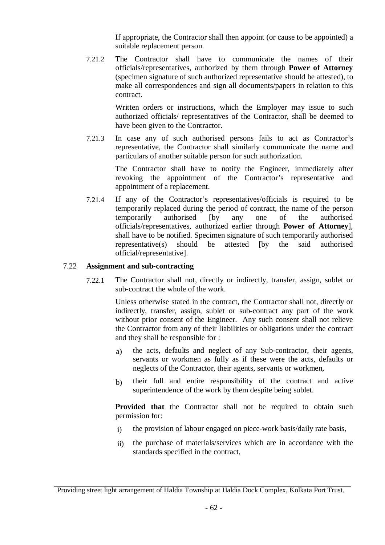If appropriate, the Contractor shall then appoint (or cause to be appointed) a suitable replacement person.

7.21.2 The Contractor shall have to communicate the names of their officials/representatives, authorized by them through **Power of Attorney** (specimen signature of such authorized representative should be attested), to make all correspondences and sign all documents/papers in relation to this contract.

> Written orders or instructions, which the Employer may issue to such authorized officials/ representatives of the Contractor, shall be deemed to have been given to the Contractor.

7.21.3 In case any of such authorised persons fails to act as Contractor's representative, the Contractor shall similarly communicate the name and particulars of another suitable person for such authorization.

> The Contractor shall have to notify the Engineer, immediately after revoking the appointment of the Contractor's representative and appointment of a replacement.

7.21.4 If any of the Contractor's representatives/officials is required to be temporarily replaced during the period of contract, the name of the person temporarily authorised [by any one of the authorised officials/representatives, authorized earlier through **Power of Attorney**], shall have to be notified. Specimen signature of such temporarily authorised representative(s) should be attested [by the said authorised official/representative].

#### 7.22 **Assignment and sub-contracting**

7.22.1 The Contractor shall not, directly or indirectly, transfer, assign, sublet or sub-contract the whole of the work.

> Unless otherwise stated in the contract, the Contractor shall not, directly or indirectly, transfer, assign, sublet or sub-contract any part of the work without prior consent of the Engineer. Any such consent shall not relieve the Contractor from any of their liabilities or obligations under the contract and they shall be responsible for :

- a) the acts, defaults and neglect of any Sub-contractor, their agents, servants or workmen as fully as if these were the acts, defaults or neglects of the Contractor, their agents, servants or workmen,
- b) their full and entire responsibility of the contract and active superintendence of the work by them despite being sublet.

**Provided that** the Contractor shall not be required to obtain such permission for:

- i) the provision of labour engaged on piece-work basis/daily rate basis,
- ii) the purchase of materials/services which are in accordance with the standards specified in the contract,

Providing street light arrangement of Haldia Township at Haldia Dock Complex, Kolkata Port Trust.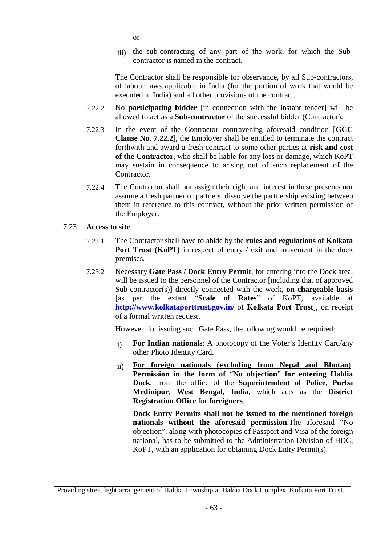- or
- iii) the sub-contracting of any part of the work, for which the Subcontractor is named in the contract.

The Contractor shall be responsible for observance, by all Sub-contractors, of labour laws applicable in India (for the portion of work that would be executed in India) and all other provisions of the contract.

- 7.22.2 No **participating bidder** [in connection with the instant tender] will be allowed to act as a **Sub-contractor** of the successful bidder (Contractor).
- 7.22.3 In the event of the Contractor contravening aforesaid condition [**GCC Clause No. 7.22.2**], the Employer shall be entitled to terminate the contract forthwith and award a fresh contract to some other parties at **risk and cost of the Contractor**, who shall be liable for any loss or damage, which KoPT may sustain in consequence to arising out of such replacement of the Contractor.
- 7.22.4 The Contractor shall not assign their right and interest in these presents nor assume a fresh partner or partners, dissolve the partnership existing between them in reference to this contract, without the prior written permission of the Employer.

# 7.23 **Access to site**

- 7.23.1 The Contractor shall have to abide by the **rules and regulations of Kolkata Port Trust (KoPT)** in respect of entry / exit and movement in the dock premises.
- 7.23.2 Necessary **Gate Pass / Dock Entry Permit**, for entering into the Dock area, will be issued to the personnel of the Contractor [including that of approved Sub-contractor(s)] directly connected with the work, **on chargeable basis** [as per the extant "**Scale of Rates**" of KoPT, available at **http://www.kolkataporttrust.gov.in/** of **Kolkata Port Trust**], on receipt of a formal written request.

However, for issuing such Gate Pass, the following would be required:

- i) **For Indian nationals**: A photocopy of the Voter's Identity Card/any other Photo Identity Card.
- ii) **For foreign nationals (excluding from Nepal and Bhutan)**: **Permission in the form of** "**No objection**" **for entering Haldia Dock**, from the office of the **Superintendent of Police**, **Purba Medinipur, West Bengal, India**, which acts as the **District Registration Office** for **foreigners**.

**Dock Entry Permits shall not be issued to the mentioned foreign nationals without the aforesaid permission**.The aforesaid "No objection", along with photocopies of Passport and Visa of the foreign national, has to be submitted to the Administration Division of HDC, KoPT, with an application for obtaining Dock Entry Permit(s).

Providing street light arrangement of Haldia Township at Haldia Dock Complex, Kolkata Port Trust.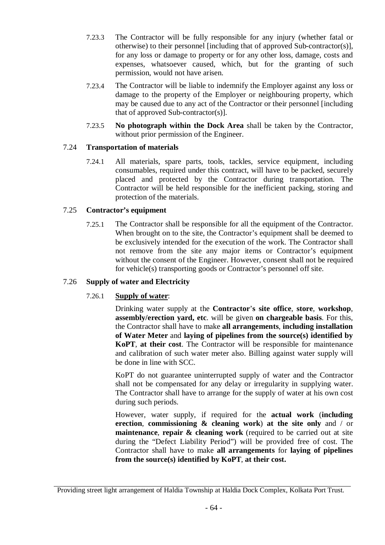- 7.23.3 The Contractor will be fully responsible for any injury (whether fatal or otherwise) to their personnel [including that of approved Sub-contractor(s)], for any loss or damage to property or for any other loss, damage, costs and expenses, whatsoever caused, which, but for the granting of such permission, would not have arisen.
- 7.23.4 The Contractor will be liable to indemnify the Employer against any loss or damage to the property of the Employer or neighbouring property, which may be caused due to any act of the Contractor or their personnel [including that of approved Sub-contractor(s)].
- 7.23.5 **No photograph within the Dock Area** shall be taken by the Contractor, without prior permission of the Engineer.

# 7.24 **Transportation of materials**

7.24.1 All materials, spare parts, tools, tackles, service equipment, including consumables, required under this contract, will have to be packed, securely placed and protected by the Contractor during transportation. The Contractor will be held responsible for the inefficient packing, storing and protection of the materials.

# 7.25 **Contractor's equipment**

7.25.1 The Contractor shall be responsible for all the equipment of the Contractor. When brought on to the site, the Contractor's equipment shall be deemed to be exclusively intended for the execution of the work. The Contractor shall not remove from the site any major items or Contractor's equipment without the consent of the Engineer. However, consent shall not be required for vehicle(s) transporting goods or Contractor's personnel off site.

# 7.26 **Supply of water and Electricity**

# 7.26.1 **Supply of water**:

Drinking water supply at the **Contractor**'**s site office**, **store**, **workshop**, **assembly/erection yard, etc**. will be given **on chargeable basis**. For this, the Contractor shall have to make **all arrangements**, **including installation of Water Meter** and **laying of pipelines from the source(s) identified by KoPT**, **at their cost**. The Contractor will be responsible for maintenance and calibration of such water meter also. Billing against water supply will be done in line with SCC.

KoPT do not guarantee uninterrupted supply of water and the Contractor shall not be compensated for any delay or irregularity in supplying water. The Contractor shall have to arrange for the supply of water at his own cost during such periods.

However, water supply, if required for the **actual work** (**including erection**, **commissioning & cleaning work**) **at the site only** and / or **maintenance**, **repair & cleaning work** (required to be carried out at site during the "Defect Liability Period") will be provided free of cost. The Contractor shall have to make **all arrangements** for **laying of pipelines from the source(s) identified by KoPT**, **at their cost.**

Providing street light arrangement of Haldia Township at Haldia Dock Complex, Kolkata Port Trust.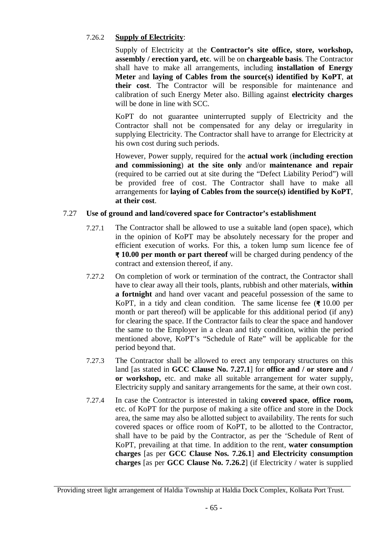# 7.26.2 **Supply of Electricity**:

Supply of Electricity at the **Contractor's site office, store, workshop, assembly / erection yard, etc**. will be on **chargeable basis**. The Contractor shall have to make all arrangements, including **installation of Energy Meter** and **laying of Cables from the source(s) identified by KoPT**, **at their cost**. The Contractor will be responsible for maintenance and calibration of such Energy Meter also. Billing against **electricity charges** will be done in line with SCC.

KoPT do not guarantee uninterrupted supply of Electricity and the Contractor shall not be compensated for any delay or irregularity in supplying Electricity. The Contractor shall have to arrange for Electricity at his own cost during such periods.

However, Power supply, required for the **actual work** (**including erection and commissioning**) **at the site only** and/or **maintenance and repair**  (required to be carried out at site during the "Defect Liability Period") will be provided free of cost. The Contractor shall have to make all arrangements for **laying of Cables from the source(s) identified by KoPT**, **at their cost**.

# 7.27 **Use of ground and land/covered space for Contractor's establishment**

- 7.27.1 The Contractor shall be allowed to use a suitable land (open space), which in the opinion of KoPT may be absolutely necessary for the proper and efficient execution of works. For this, a token lump sum licence fee of **₹ 10.00 per month or part thereof** will be charged during pendency of the contract and extension thereof, if any.
- 7.27.2 On completion of work or termination of the contract, the Contractor shall have to clear away all their tools, plants, rubbish and other materials, **within a fortnight** and hand over vacant and peaceful possession of the same to KoPT, in a tidy and clean condition. The same license fee (**₹** 10.00 per month or part thereof) will be applicable for this additional period (if any) for clearing the space. If the Contractor fails to clear the space and handover the same to the Employer in a clean and tidy condition, within the period mentioned above, KoPT's "Schedule of Rate" will be applicable for the period beyond that.
- 7.27.3 The Contractor shall be allowed to erect any temporary structures on this land [as stated in **GCC Clause No. 7.27.1**] for **office and / or store and / or workshop,** etc. and make all suitable arrangement for water supply, Electricity supply and sanitary arrangements for the same, at their own cost.
- 7.27.4 In case the Contractor is interested in taking **covered space**, **office room,** etc. of KoPT for the purpose of making a site office and store in the Dock area, the same may also be allotted subject to availability. The rents for such covered spaces or office room of KoPT, to be allotted to the Contractor, shall have to be paid by the Contractor, as per the 'Schedule of Rent of KoPT, prevailing at that time. In addition to the rent, **water consumption charges** [as per **GCC Clause Nos. 7.26.1**] **and Electricity consumption charges** [as per **GCC Clause No. 7.26.2**] (if Electricity / water is supplied

Providing street light arrangement of Haldia Township at Haldia Dock Complex, Kolkata Port Trust.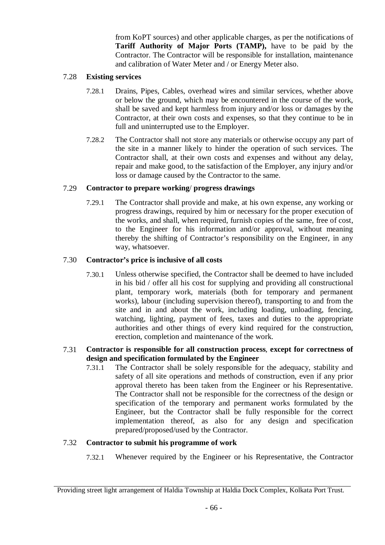from KoPT sources) and other applicable charges, as per the notifications of **Tariff Authority of Major Ports (TAMP),** have to be paid by the Contractor. The Contractor will be responsible for installation, maintenance and calibration of Water Meter and / or Energy Meter also.

### 7.28 **Existing services**

- 7.28.1 Drains, Pipes, Cables, overhead wires and similar services, whether above or below the ground, which may be encountered in the course of the work, shall be saved and kept harmless from injury and/or loss or damages by the Contractor, at their own costs and expenses, so that they continue to be in full and uninterrupted use to the Employer.
- 7.28.2 The Contractor shall not store any materials or otherwise occupy any part of the site in a manner likely to hinder the operation of such services. The Contractor shall, at their own costs and expenses and without any delay, repair and make good, to the satisfaction of the Employer, any injury and/or loss or damage caused by the Contractor to the same.

# 7.29 **Contractor to prepare working**/ **progress drawings**

7.29.1 The Contractor shall provide and make, at his own expense, any working or progress drawings, required by him or necessary for the proper execution of the works, and shall, when required, furnish copies of the same, free of cost, to the Engineer for his information and/or approval, without meaning thereby the shifting of Contractor's responsibility on the Engineer, in any way, whatsoever.

# 7.30 **Contractor's price is inclusive of all costs**

7.30.1 Unless otherwise specified, the Contractor shall be deemed to have included in his bid / offer all his cost for supplying and providing all constructional plant, temporary work, materials (both for temporary and permanent works), labour (including supervision thereof), transporting to and from the site and in and about the work, including loading, unloading, fencing, watching, lighting, payment of fees, taxes and duties to the appropriate authorities and other things of every kind required for the construction, erection, completion and maintenance of the work.

# 7.31 **Contractor is responsible for all construction process**, **except for correctness of design and specification formulated by the Engineer**

7.31.1 The Contractor shall be solely responsible for the adequacy, stability and safety of all site operations and methods of construction, even if any prior approval thereto has been taken from the Engineer or his Representative. The Contractor shall not be responsible for the correctness of the design or specification of the temporary and permanent works formulated by the Engineer, but the Contractor shall be fully responsible for the correct implementation thereof, as also for any design and specification prepared/proposed/used by the Contractor.

# 7.32 **Contractor to submit his programme of work**

7.32.1 Whenever required by the Engineer or his Representative, the Contractor

Providing street light arrangement of Haldia Township at Haldia Dock Complex, Kolkata Port Trust.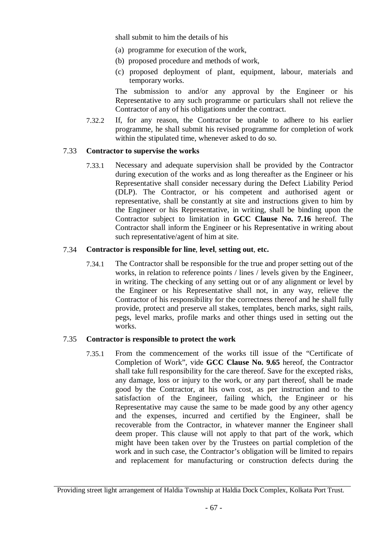shall submit to him the details of his

- (a) programme for execution of the work,
- (b) proposed procedure and methods of work,
- (c) proposed deployment of plant, equipment, labour, materials and temporary works.

The submission to and/or any approval by the Engineer or his Representative to any such programme or particulars shall not relieve the Contractor of any of his obligations under the contract.

7.32.2 If, for any reason, the Contractor be unable to adhere to his earlier programme, he shall submit his revised programme for completion of work within the stipulated time, whenever asked to do so.

#### 7.33 **Contractor to supervise the works**

7.33.1 Necessary and adequate supervision shall be provided by the Contractor during execution of the works and as long thereafter as the Engineer or his Representative shall consider necessary during the Defect Liability Period (DLP). The Contractor, or his competent and authorised agent or representative, shall be constantly at site and instructions given to him by the Engineer or his Representative, in writing, shall be binding upon the Contractor subject to limitation in **GCC Clause No. 7.16** hereof. The Contractor shall inform the Engineer or his Representative in writing about such representative/agent of him at site.

#### 7.34 **Contractor is responsible for line**, **level**, **setting out**, **etc.**

7.34.1 The Contractor shall be responsible for the true and proper setting out of the works, in relation to reference points / lines / levels given by the Engineer, in writing. The checking of any setting out or of any alignment or level by the Engineer or his Representative shall not, in any way, relieve the Contractor of his responsibility for the correctness thereof and he shall fully provide, protect and preserve all stakes, templates, bench marks, sight rails, pegs, level marks, profile marks and other things used in setting out the works.

#### 7.35 **Contractor is responsible to protect the work**

7.35.1 From the commencement of the works till issue of the "Certificate of Completion of Work", vide **GCC Clause No. 9.65** hereof, the Contractor shall take full responsibility for the care thereof. Save for the excepted risks, any damage, loss or injury to the work, or any part thereof, shall be made good by the Contractor, at his own cost, as per instruction and to the satisfaction of the Engineer, failing which, the Engineer or his Representative may cause the same to be made good by any other agency and the expenses, incurred and certified by the Engineer, shall be recoverable from the Contractor, in whatever manner the Engineer shall deem proper. This clause will not apply to that part of the work, which might have been taken over by the Trustees on partial completion of the work and in such case, the Contractor's obligation will be limited to repairs and replacement for manufacturing or construction defects during the

Providing street light arrangement of Haldia Township at Haldia Dock Complex, Kolkata Port Trust.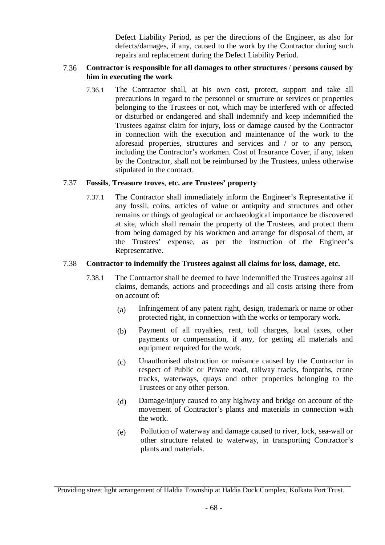Defect Liability Period, as per the directions of the Engineer, as also for defects/damages, if any, caused to the work by the Contractor during such repairs and replacement during the Defect Liability Period.

#### 7.36 **Contractor is responsible for all damages to other structures** / **persons caused by him in executing the work**

7.36.1 The Contractor shall, at his own cost, protect, support and take all precautions in regard to the personnel or structure or services or properties belonging to the Trustees or not, which may be interfered with or affected or disturbed or endangered and shall indemnify and keep indemnified the Trustees against claim for injury, loss or damage caused by the Contractor in connection with the execution and maintenance of the work to the aforesaid properties, structures and services and / or to any person, including the Contractor's workmen. Cost of Insurance Cover, if any, taken by the Contractor, shall not be reimbursed by the Trustees, unless otherwise stipulated in the contract.

#### 7.37 **Fossils**, **Treasure troves**, **etc. are Trustees' property**

7.37.1 The Contractor shall immediately inform the Engineer's Representative if any fossil, coins, articles of value or antiquity and structures and other remains or things of geological or archaeological importance be discovered at site, which shall remain the property of the Trustees, and protect them from being damaged by his workmen and arrange for disposal of them, at the Trustees' expense, as per the instruction of the Engineer's Representative.

#### 7.38 **Contractor to indemnify the Trustees against all claims for loss**, **damage**, **etc.**

- 7.38.1 The Contractor shall be deemed to have indemnified the Trustees against all claims, demands, actions and proceedings and all costs arising there from on account of:
	- (a) Infringement of any patent right, design, trademark or name or other protected right, in connection with the works or temporary work.
	- (b) Payment of all royalties, rent, toll charges, local taxes, other payments or compensation, if any, for getting all materials and equipment required for the work.
	- (c) Unauthorised obstruction or nuisance caused by the Contractor in respect of Public or Private road, railway tracks, footpaths, crane tracks, waterways, quays and other properties belonging to the Trustees or any other person.
	- (d) Damage/injury caused to any highway and bridge on account of the movement of Contractor's plants and materials in connection with the work.
	- (e) Pollution of waterway and damage caused to river, lock, sea-wall or other structure related to waterway, in transporting Contractor's plants and materials.

Providing street light arrangement of Haldia Township at Haldia Dock Complex, Kolkata Port Trust.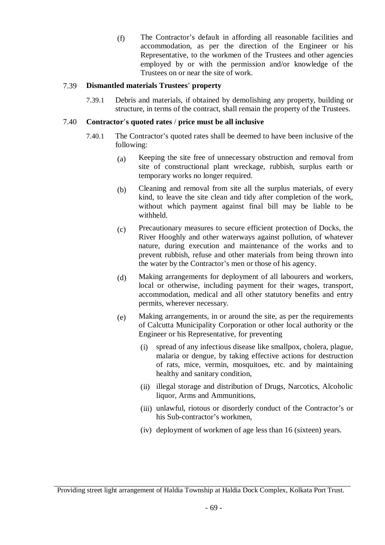(f) The Contractor's default in affording all reasonable facilities and accommodation, as per the direction of the Engineer or his Representative, to the workmen of the Trustees and other agencies employed by or with the permission and/or knowledge of the Trustees on or near the site of work.

### 7.39 **Dismantled materials Trustees**' **property**

7.39.1 Debris and materials, if obtained by demolishing any property, building or structure, in terms of the contract, shall remain the property of the Trustees.

#### 7.40 **Contractor**'**s quoted rates** / **price must be all inclusive**

- 7.40.1 The Contractor's quoted rates shall be deemed to have been inclusive of the following:
	- (a) Keeping the site free of unnecessary obstruction and removal from site of constructional plant wreckage, rubbish, surplus earth or temporary works no longer required.
	- (b) Cleaning and removal from site all the surplus materials, of every kind, to leave the site clean and tidy after completion of the work, without which payment against final bill may be liable to be withheld.
	- (c) Precautionary measures to secure efficient protection of Docks, the River Hooghly and other waterways against pollution, of whatever nature, during execution and maintenance of the works and to prevent rubbish, refuse and other materials from being thrown into the water by the Contractor's men or those of his agency.
	- (d) Making arrangements for deployment of all labourers and workers, local or otherwise, including payment for their wages, transport, accommodation, medical and all other statutory benefits and entry permits, wherever necessary.
	- (e) Making arrangements, in or around the site, as per the requirements of Calcutta Municipality Corporation or other local authority or the Engineer or his Representative, for preventing
		- (i) spread of any infectious disease like smallpox, cholera, plague, malaria or dengue, by taking effective actions for destruction of rats, mice, vermin, mosquitoes, etc. and by maintaining healthy and sanitary condition,
		- (ii) illegal storage and distribution of Drugs, Narcotics, Alcoholic liquor, Arms and Ammunitions,
		- (iii) unlawful, riotous or disorderly conduct of the Contractor's or his Sub-contractor's workmen,
		- (iv) deployment of workmen of age less than 16 (sixteen) years.

Providing street light arrangement of Haldia Township at Haldia Dock Complex, Kolkata Port Trust.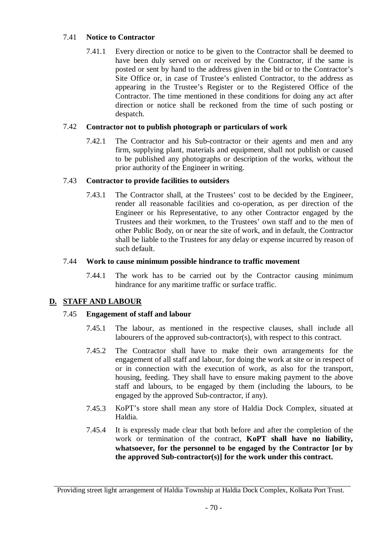# 7.41 **Notice to Contractor**

7.41.1 Every direction or notice to be given to the Contractor shall be deemed to have been duly served on or received by the Contractor, if the same is posted or sent by hand to the address given in the bid or to the Contractor's Site Office or, in case of Trustee's enlisted Contractor, to the address as appearing in the Trustee's Register or to the Registered Office of the Contractor. The time mentioned in these conditions for doing any act after direction or notice shall be reckoned from the time of such posting or despatch.

### 7.42 **Contractor not to publish photograph or particulars of work**

7.42.1 The Contractor and his Sub-contractor or their agents and men and any firm, supplying plant, materials and equipment, shall not publish or caused to be published any photographs or description of the works, without the prior authority of the Engineer in writing.

#### 7.43 **Contractor to provide facilities to outsiders**

7.43.1 The Contractor shall, at the Trustees' cost to be decided by the Engineer, render all reasonable facilities and co-operation, as per direction of the Engineer or his Representative, to any other Contractor engaged by the Trustees and their workmen, to the Trustees' own staff and to the men of other Public Body, on or near the site of work, and in default, the Contractor shall be liable to the Trustees for any delay or expense incurred by reason of such default.

#### 7.44 **Work to cause minimum possible hindrance to traffic movement**

7.44.1 The work has to be carried out by the Contractor causing minimum hindrance for any maritime traffic or surface traffic.

# **D. STAFF AND LABOUR**

# 7.45 **Engagement of staff and labour**

- 7.45.1 The labour, as mentioned in the respective clauses, shall include all labourers of the approved sub-contractor(s), with respect to this contract.
- 7.45.2 The Contractor shall have to make their own arrangements for the engagement of all staff and labour, for doing the work at site or in respect of or in connection with the execution of work, as also for the transport, housing, feeding. They shall have to ensure making payment to the above staff and labours, to be engaged by them (including the labours, to be engaged by the approved Sub-contractor, if any).
- 7.45.3 KoPT's store shall mean any store of Haldia Dock Complex, situated at Haldia.
- 7.45.4 It is expressly made clear that both before and after the completion of the work or termination of the contract, **KoPT shall have no liability, whatsoever, for the personnel to be engaged by the Contractor [or by the approved Sub-contractor(s)] for the work under this contract.**

Providing street light arrangement of Haldia Township at Haldia Dock Complex, Kolkata Port Trust.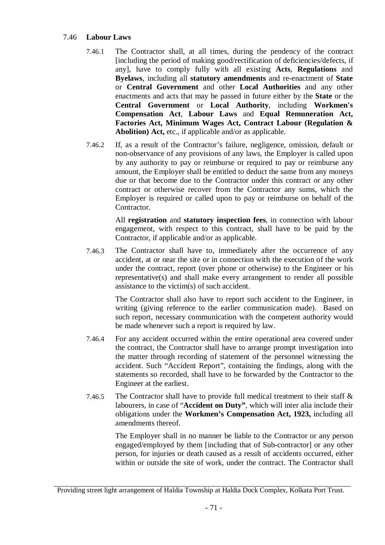#### 7.46 **Labour Laws**

- 7.46.1 The Contractor shall, at all times, during the pendency of the contract [including the period of making good/rectification of deficiencies/defects, if any], have to comply fully with all existing **Acts**, **Regulations** and **Byelaws**, including all **statutory amendments** and re-enactment of **State** or **Central Government** and other **Local Authorities** and any other enactments and acts that may be passed in future either by the **State** or the **Central Government** or **Local Authority**, including **Workmen's Compensation Act**, **Labour Laws** and **Equal Remuneration Act, Factories Act, Minimum Wages Act, Contract Labour (Regulation &**  Abolition) Act, etc., if applicable and/or as applicable.
- 7.46.2 If, as a result of the Contractor's failure, negligence, omission, default or non-observance of any provisions of any laws, the Employer is called upon by any authority to pay or reimburse or required to pay or reimburse any amount, the Employer shall be entitled to deduct the same from any moneys due or that become due to the Contractor under this contract or any other contract or otherwise recover from the Contractor any sums, which the Employer is required or called upon to pay or reimburse on behalf of the Contractor.

All **registration** and **statutory inspection fees**, in connection with labour engagement, with respect to this contract, shall have to be paid by the Contractor, if applicable and/or as applicable.

7.46.3 The Contractor shall have to, immediately after the occurrence of any accident, at or near the site or in connection with the execution of the work under the contract, report (over phone or otherwise) to the Engineer or his representative(s) and shall make every arrangement to render all possible assistance to the victim(s) of such accident.

> The Contractor shall also have to report such accident to the Engineer, in writing (giving reference to the earlier communication made). Based on such report, necessary communication with the competent authority would be made whenever such a report is required by law.

- 7.46.4 For any accident occurred within the entire operational area covered under the contract, the Contractor shall have to arrange prompt investigation into the matter through recording of statement of the personnel witnessing the accident. Such "Accident Report", containing the findings, along with the statements so recorded, shall have to be forwarded by the Contractor to the Engineer at the earliest.
- 7.46.5 The Contractor shall have to provide full medical treatment to their staff & labourers, in case of "**Accident on Duty"**, which will inter alia include their obligations under the **Workmen's Compensation Act, 1923,** including all amendments thereof.

The Employer shall in no manner be liable to the Contractor or any person engaged/employed by them [including that of Sub-contractor] or any other person, for injuries or death caused as a result of accidents occurred, either within or outside the site of work, under the contract. The Contractor shall

Providing street light arrangement of Haldia Township at Haldia Dock Complex, Kolkata Port Trust.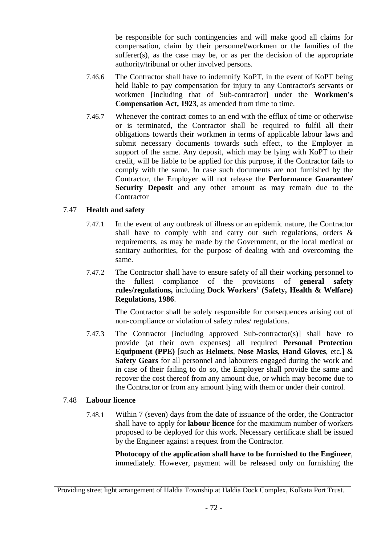be responsible for such contingencies and will make good all claims for compensation, claim by their personnel/workmen or the families of the sufferer(s), as the case may be, or as per the decision of the appropriate authority/tribunal or other involved persons.

- 7.46.6 The Contractor shall have to indemnify KoPT, in the event of KoPT being held liable to pay compensation for injury to any Contractor's servants or workmen [including that of Sub-contractor] under the **Workmen's Compensation Act, 1923**, as amended from time to time.
- 7.46.7 Whenever the contract comes to an end with the efflux of time or otherwise or is terminated, the Contractor shall be required to fulfil all their obligations towards their workmen in terms of applicable labour laws and submit necessary documents towards such effect, to the Employer in support of the same. Any deposit, which may be lying with KoPT to their credit, will be liable to be applied for this purpose, if the Contractor fails to comply with the same. In case such documents are not furnished by the Contractor, the Employer will not release the **Performance Guarantee/ Security Deposit** and any other amount as may remain due to the **Contractor**

#### 7.47 **Health and safety**

- 7.47.1 In the event of any outbreak of illness or an epidemic nature, the Contractor shall have to comply with and carry out such regulations, orders & requirements, as may be made by the Government, or the local medical or sanitary authorities, for the purpose of dealing with and overcoming the same.
- 7.47.2 The Contractor shall have to ensure safety of all their working personnel to the fullest compliance of the provisions of **general safety rules/regulations,** including **Dock Workers' (Safety, Health & Welfare) Regulations, 1986**.

The Contractor shall be solely responsible for consequences arising out of non-compliance or violation of safety rules/ regulations.

7.47.3 The Contractor [including approved Sub-contractor(s)] shall have to provide (at their own expenses) all required **Personal Protection Equipment (PPE)** [such as **Helmets**, **Nose Masks**, **Hand Gloves**, etc.] & **Safety Gears** for all personnel and labourers engaged during the work and in case of their failing to do so, the Employer shall provide the same and recover the cost thereof from any amount due, or which may become due to the Contractor or from any amount lying with them or under their control.

#### 7.48 **Labour licence**

7.48.1 Within 7 (seven) days from the date of issuance of the order, the Contractor shall have to apply for **labour licence** for the maximum number of workers proposed to be deployed for this work. Necessary certificate shall be issued by the Engineer against a request from the Contractor.

> **Photocopy of the application shall have to be furnished to the Engineer**, immediately. However, payment will be released only on furnishing the

Providing street light arrangement of Haldia Township at Haldia Dock Complex, Kolkata Port Trust.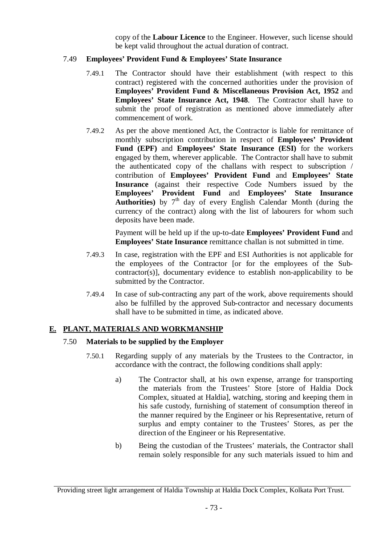copy of the **Labour Licence** to the Engineer. However, such license should be kept valid throughout the actual duration of contract.

#### 7.49 **Employees' Provident Fund & Employees' State Insurance**

- 7.49.1 The Contractor should have their establishment (with respect to this contract) registered with the concerned authorities under the provision of **Employees' Provident Fund & Miscellaneous Provision Act, 1952** and **Employees' State Insurance Act, 1948**. The Contractor shall have to submit the proof of registration as mentioned above immediately after commencement of work.
- 7.49.2 As per the above mentioned Act, the Contractor is liable for remittance of monthly subscription contribution in respect of **Employees' Provident Fund (EPF)** and **Employees' State Insurance (ESI)** for the workers engaged by them, wherever applicable. The Contractor shall have to submit the authenticated copy of the challans with respect to subscription / contribution of **Employees' Provident Fund** and **Employees' State Insurance** (against their respective Code Numbers issued by the **Employees' Provident Fund** and **Employees' State Insurance Authorities)** by  $7<sup>th</sup>$  day of every English Calendar Month (during the currency of the contract) along with the list of labourers for whom such deposits have been made.

Payment will be held up if the up-to-date **Employees' Provident Fund** and **Employees' State Insurance** remittance challan is not submitted in time.

- 7.49.3 In case, registration with the EPF and ESI Authorities is not applicable for the employees of the Contractor [or for the employees of the Subcontractor(s)], documentary evidence to establish non-applicability to be submitted by the Contractor.
- 7.49.4 In case of sub-contracting any part of the work, above requirements should also be fulfilled by the approved Sub-contractor and necessary documents shall have to be submitted in time, as indicated above.

#### **E. PLANT, MATERIALS AND WORKMANSHIP**

#### 7.50 **Materials to be supplied by the Employer**

- 7.50.1 Regarding supply of any materials by the Trustees to the Contractor, in accordance with the contract, the following conditions shall apply:
	- a) The Contractor shall, at his own expense, arrange for transporting the materials from the Trustees' Store [store of Haldia Dock Complex, situated at Haldia], watching, storing and keeping them in his safe custody, furnishing of statement of consumption thereof in the manner required by the Engineer or his Representative, return of surplus and empty container to the Trustees' Stores, as per the direction of the Engineer or his Representative.
	- b) Being the custodian of the Trustees' materials, the Contractor shall remain solely responsible for any such materials issued to him and

Providing street light arrangement of Haldia Township at Haldia Dock Complex, Kolkata Port Trust.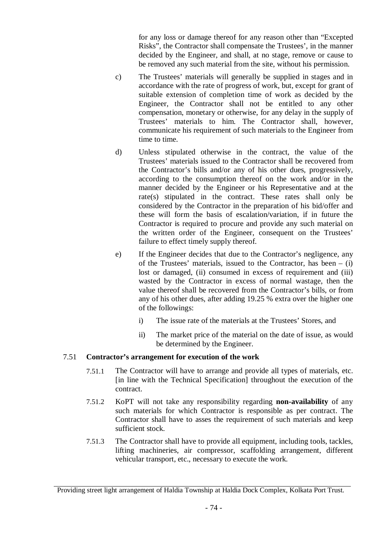for any loss or damage thereof for any reason other than "Excepted Risks", the Contractor shall compensate the Trustees', in the manner decided by the Engineer, and shall, at no stage, remove or cause to be removed any such material from the site, without his permission.

- c) The Trustees' materials will generally be supplied in stages and in accordance with the rate of progress of work, but, except for grant of suitable extension of completion time of work as decided by the Engineer, the Contractor shall not be entitled to any other compensation, monetary or otherwise, for any delay in the supply of Trustees' materials to him. The Contractor shall, however, communicate his requirement of such materials to the Engineer from time to time.
- d) Unless stipulated otherwise in the contract, the value of the Trustees' materials issued to the Contractor shall be recovered from the Contractor's bills and/or any of his other dues, progressively, according to the consumption thereof on the work and/or in the manner decided by the Engineer or his Representative and at the rate(s) stipulated in the contract. These rates shall only be considered by the Contractor in the preparation of his bid/offer and these will form the basis of escalation/variation, if in future the Contractor is required to procure and provide any such material on the written order of the Engineer, consequent on the Trustees' failure to effect timely supply thereof.
- e) If the Engineer decides that due to the Contractor's negligence, any of the Trustees' materials, issued to the Contractor, has been  $-$  (i) lost or damaged, (ii) consumed in excess of requirement and (iii) wasted by the Contractor in excess of normal wastage, then the value thereof shall be recovered from the Contractor's bills, or from any of his other dues, after adding 19.25 % extra over the higher one of the followings:
	- i) The issue rate of the materials at the Trustees' Stores, and
	- ii) The market price of the material on the date of issue, as would be determined by the Engineer.

#### 7.51 **Contractor's arrangement for execution of the work**

- 7.51.1 The Contractor will have to arrange and provide all types of materials, etc. [in line with the Technical Specification] throughout the execution of the contract.
- 7.51.2 KoPT will not take any responsibility regarding **non-availability** of any such materials for which Contractor is responsible as per contract. The Contractor shall have to asses the requirement of such materials and keep sufficient stock.
- 7.51.3 The Contractor shall have to provide all equipment, including tools, tackles, lifting machineries, air compressor, scaffolding arrangement, different vehicular transport, etc., necessary to execute the work.

Providing street light arrangement of Haldia Township at Haldia Dock Complex, Kolkata Port Trust.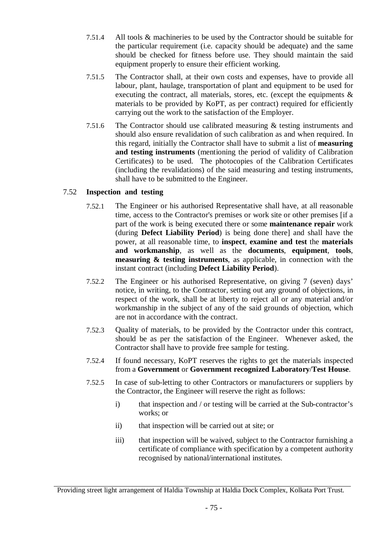- 7.51.4 All tools & machineries to be used by the Contractor should be suitable for the particular requirement (i.e. capacity should be adequate) and the same should be checked for fitness before use. They should maintain the said equipment properly to ensure their efficient working.
- 7.51.5 The Contractor shall, at their own costs and expenses, have to provide all labour, plant, haulage, transportation of plant and equipment to be used for executing the contract, all materials, stores, etc. (except the equipments  $\&$ materials to be provided by KoPT, as per contract) required for efficiently carrying out the work to the satisfaction of the Employer.
- 7.51.6 The Contractor should use calibrated measuring & testing instruments and should also ensure revalidation of such calibration as and when required. In this regard, initially the Contractor shall have to submit a list of **measuring and testing instruments** (mentioning the period of validity of Calibration Certificates) to be used. The photocopies of the Calibration Certificates (including the revalidations) of the said measuring and testing instruments, shall have to be submitted to the Engineer.

#### 7.52 **Inspection and testing**

- 7.52.1 The Engineer or his authorised Representative shall have, at all reasonable time, access to the Contractor's premises or work site or other premises [if a part of the work is being executed there or some **maintenance repair** work (during **Defect Liability Period**) is being done there] and shall have the power, at all reasonable time, to **inspect**, **examine and test** the **materials and workmanship**, as well as the **documents**, **equipment**, **tools**, **measuring & testing instruments**, as applicable, in connection with the instant contract (including **Defect Liability Period**).
- 7.52.2 The Engineer or his authorised Representative, on giving 7 (seven) days' notice, in writing, to the Contractor, setting out any ground of objections, in respect of the work, shall be at liberty to reject all or any material and/or workmanship in the subject of any of the said grounds of objection, which are not in accordance with the contract.
- 7.52.3 Quality of materials, to be provided by the Contractor under this contract, should be as per the satisfaction of the Engineer. Whenever asked, the Contractor shall have to provide free sample for testing.
- 7.52.4 If found necessary, KoPT reserves the rights to get the materials inspected from a **Government** or **Government recognized Laboratory**/**Test House**.
- 7.52.5 In case of sub-letting to other Contractors or manufacturers or suppliers by the Contractor, the Engineer will reserve the right as follows:
	- i) that inspection and / or testing will be carried at the Sub-contractor's works; or
	- ii) that inspection will be carried out at site; or
	- iii) that inspection will be waived, subject to the Contractor furnishing a certificate of compliance with specification by a competent authority recognised by national/international institutes.

Providing street light arrangement of Haldia Township at Haldia Dock Complex, Kolkata Port Trust.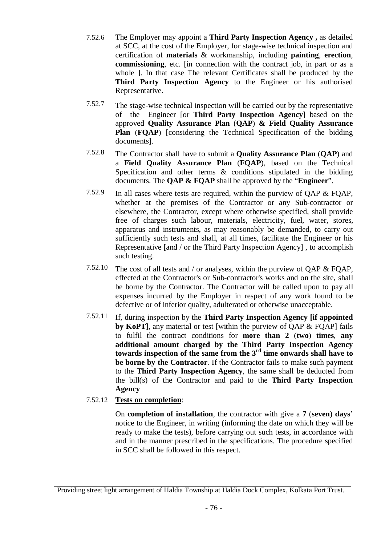- 7.52.6 The Employer may appoint a **Third Party Inspection Agency ,** as detailed at SCC, at the cost of the Employer, for stage-wise technical inspection and certification of **materials** & workmanship, including **painting**, **erection**, **commissioning**, etc. [in connection with the contract job, in part or as a whole ]. In that case The relevant Certificates shall be produced by the **Third Party Inspection Agency** to the Engineer or his authorised Representative.
- 7.52.7 The stage-wise technical inspection will be carried out by the representative of the Engineer [or **Third Party Inspection Agency]** based on the approved **Quality Assurance Plan** (**QAP**) **& Field Quality Assurance Plan** (**FQAP**) [considering the Technical Specification of the bidding documents].
- 7.52.8 The Contractor shall have to submit a **Quality Assurance Plan** (**QAP**) and a **Field Quality Assurance Plan** (**FQAP**), based on the Technical Specification and other terms  $\&$  conditions stipulated in the bidding documents. The **QAP & FQAP** shall be approved by the "**Engineer**".
- 7.52.9 In all cases where tests are required, within the purview of QAP & FQAP, whether at the premises of the Contractor or any Sub-contractor or elsewhere, the Contractor, except where otherwise specified, shall provide free of charges such labour, materials, electricity, fuel, water, stores, apparatus and instruments, as may reasonably be demanded, to carry out sufficiently such tests and shall, at all times, facilitate the Engineer or his Representative [and / or the Third Party Inspection Agency] , to accomplish such testing.
- 7.52.10 The cost of all tests and / or analyses, within the purview of QAP & FQAP, effected at the Contractor's or Sub-contractor's works and on the site, shall be borne by the Contractor. The Contractor will be called upon to pay all expenses incurred by the Employer in respect of any work found to be defective or of inferior quality, adulterated or otherwise unacceptable.
- 7.52.11 If, during inspection by the **Third Party Inspection Agency [if appointed by KoPT**, any material or test [within the purview of OAP  $\&$  FOAP] fails to fulfil the contract conditions for **more than 2** (**two**) **times**, **any additional amount charged by the Third Party Inspection Agency towards inspection of the same from the 3rd time onwards shall have to be borne by the Contractor**. If the Contractor fails to make such payment to the **Third Party Inspection Agency**, the same shall be deducted from the bill(s) of the Contractor and paid to the **Third Party Inspection Agency**

#### 7.52.12 **Tests on completion**:

On **completion of installation**, the contractor with give a **7** (**seven**) **days**' notice to the Engineer, in writing (informing the date on which they will be ready to make the tests), before carrying out such tests, in accordance with and in the manner prescribed in the specifications. The procedure specified in SCC shall be followed in this respect.

Providing street light arrangement of Haldia Township at Haldia Dock Complex, Kolkata Port Trust.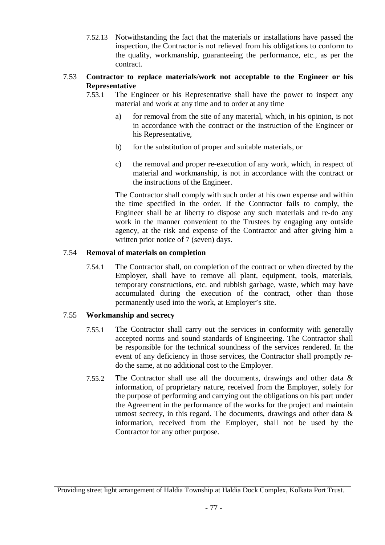7.52.13 Notwithstanding the fact that the materials or installations have passed the inspection, the Contractor is not relieved from his obligations to conform to the quality, workmanship, guaranteeing the performance, etc., as per the contract.

#### 7.53 **Contractor to replace materials**/**work not acceptable to the Engineer or his Representative**

- 7.53.1 The Engineer or his Representative shall have the power to inspect any material and work at any time and to order at any time
	- a) for removal from the site of any material, which, in his opinion, is not in accordance with the contract or the instruction of the Engineer or his Representative,
	- b) for the substitution of proper and suitable materials, or
	- c) the removal and proper re-execution of any work, which, in respect of material and workmanship, is not in accordance with the contract or the instructions of the Engineer.

The Contractor shall comply with such order at his own expense and within the time specified in the order. If the Contractor fails to comply, the Engineer shall be at liberty to dispose any such materials and re-do any work in the manner convenient to the Trustees by engaging any outside agency, at the risk and expense of the Contractor and after giving him a written prior notice of 7 (seven) days.

#### 7.54 **Removal of materials on completion**

7.54.1 The Contractor shall, on completion of the contract or when directed by the Employer, shall have to remove all plant, equipment, tools, materials, temporary constructions, etc. and rubbish garbage, waste, which may have accumulated during the execution of the contract, other than those permanently used into the work, at Employer's site.

#### 7.55 **Workmanship and secrecy**

- 7.55.1 The Contractor shall carry out the services in conformity with generally accepted norms and sound standards of Engineering. The Contractor shall be responsible for the technical soundness of the services rendered. In the event of any deficiency in those services, the Contractor shall promptly redo the same, at no additional cost to the Employer.
- 7.55.2 The Contractor shall use all the documents, drawings and other data & information, of proprietary nature, received from the Employer, solely for the purpose of performing and carrying out the obligations on his part under the Agreement in the performance of the works for the project and maintain utmost secrecy, in this regard. The documents, drawings and other data & information, received from the Employer, shall not be used by the Contractor for any other purpose.

Providing street light arrangement of Haldia Township at Haldia Dock Complex, Kolkata Port Trust.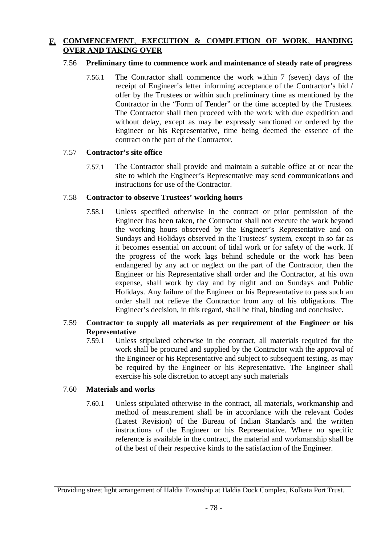#### **F. COMMENCEMENT**, **EXECUTION & COMPLETION OF WORK**, **HANDING OVER AND TAKING OVER**

#### 7.56 **Preliminary time to commence work and maintenance of steady rate of progress**

7.56.1 The Contractor shall commence the work within 7 (seven) days of the receipt of Engineer's letter informing acceptance of the Contractor's bid / offer by the Trustees or within such preliminary time as mentioned by the Contractor in the "Form of Tender" or the time accepted by the Trustees. The Contractor shall then proceed with the work with due expedition and without delay, except as may be expressly sanctioned or ordered by the Engineer or his Representative, time being deemed the essence of the contract on the part of the Contractor.

#### 7.57 **Contractor's site office**

7.57.1 The Contractor shall provide and maintain a suitable office at or near the site to which the Engineer's Representative may send communications and instructions for use of the Contractor.

#### 7.58 **Contractor to observe Trustees' working hours**

7.58.1 Unless specified otherwise in the contract or prior permission of the Engineer has been taken, the Contractor shall not execute the work beyond the working hours observed by the Engineer's Representative and on Sundays and Holidays observed in the Trustees' system, except in so far as it becomes essential on account of tidal work or for safety of the work. If the progress of the work lags behind schedule or the work has been endangered by any act or neglect on the part of the Contractor, then the Engineer or his Representative shall order and the Contractor, at his own expense, shall work by day and by night and on Sundays and Public Holidays. Any failure of the Engineer or his Representative to pass such an order shall not relieve the Contractor from any of his obligations. The Engineer's decision, in this regard, shall be final, binding and conclusive.

#### 7.59 **Contractor to supply all materials as per requirement of the Engineer or his Representative**

7.59.1 Unless stipulated otherwise in the contract, all materials required for the work shall be procured and supplied by the Contractor with the approval of the Engineer or his Representative and subject to subsequent testing, as may be required by the Engineer or his Representative. The Engineer shall exercise his sole discretion to accept any such materials

#### 7.60 **Materials and works**

7.60.1 Unless stipulated otherwise in the contract, all materials, workmanship and method of measurement shall be in accordance with the relevant Codes (Latest Revision) of the Bureau of Indian Standards and the written instructions of the Engineer or his Representative. Where no specific reference is available in the contract, the material and workmanship shall be of the best of their respective kinds to the satisfaction of the Engineer.

Providing street light arrangement of Haldia Township at Haldia Dock Complex, Kolkata Port Trust.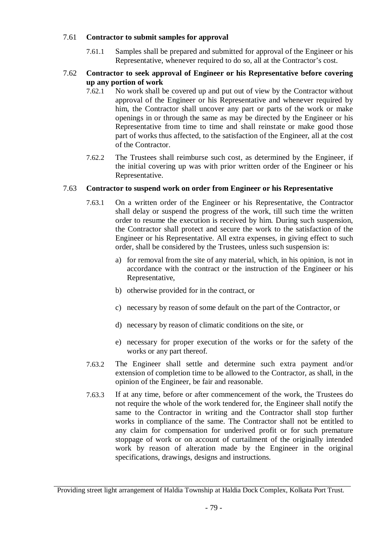#### 7.61 **Contractor to submit samples for approval**

7.61.1 Samples shall be prepared and submitted for approval of the Engineer or his Representative, whenever required to do so, all at the Contractor's cost.

#### 7.62 **Contractor to seek approval of Engineer or his Representative before covering up any portion of work**

- 7.62.1 No work shall be covered up and put out of view by the Contractor without approval of the Engineer or his Representative and whenever required by him, the Contractor shall uncover any part or parts of the work or make openings in or through the same as may be directed by the Engineer or his Representative from time to time and shall reinstate or make good those part of works thus affected, to the satisfaction of the Engineer, all at the cost of the Contractor.
- 7.62.2 The Trustees shall reimburse such cost, as determined by the Engineer, if the initial covering up was with prior written order of the Engineer or his Representative.

#### 7.63 **Contractor to suspend work on order from Engineer or his Representative**

- 7.63.1 On a written order of the Engineer or his Representative, the Contractor shall delay or suspend the progress of the work, till such time the written order to resume the execution is received by him. During such suspension, the Contractor shall protect and secure the work to the satisfaction of the Engineer or his Representative. All extra expenses, in giving effect to such order, shall be considered by the Trustees, unless such suspension is:
	- a) for removal from the site of any material, which, in his opinion, is not in accordance with the contract or the instruction of the Engineer or his Representative,
	- b) otherwise provided for in the contract, or
	- c) necessary by reason of some default on the part of the Contractor, or
	- d) necessary by reason of climatic conditions on the site, or
	- e) necessary for proper execution of the works or for the safety of the works or any part thereof.
- 7.63.2 The Engineer shall settle and determine such extra payment and/or extension of completion time to be allowed to the Contractor, as shall, in the opinion of the Engineer, be fair and reasonable.
- 7.63.3 If at any time, before or after commencement of the work, the Trustees do not require the whole of the work tendered for, the Engineer shall notify the same to the Contractor in writing and the Contractor shall stop further works in compliance of the same. The Contractor shall not be entitled to any claim for compensation for underived profit or for such premature stoppage of work or on account of curtailment of the originally intended work by reason of alteration made by the Engineer in the original specifications, drawings, designs and instructions.

Providing street light arrangement of Haldia Township at Haldia Dock Complex, Kolkata Port Trust.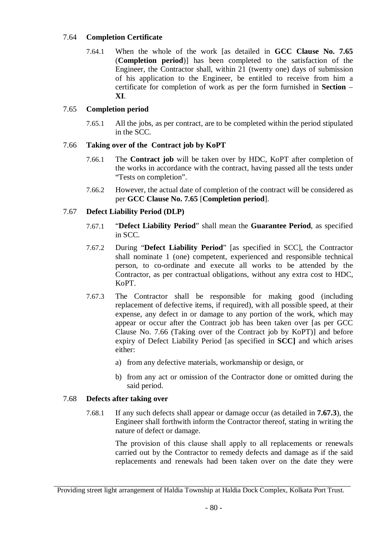#### 7.64 **Completion Certificate**

7.64.1 When the whole of the work [as detailed in **GCC Clause No. 7.65** (**Completion period**)] has been completed to the satisfaction of the Engineer, the Contractor shall, within 21 (twenty one) days of submission of his application to the Engineer, be entitled to receive from him a certificate for completion of work as per the form furnished in **Section** – **XI**.

#### 7.65 **Completion period**

7.65.1 All the jobs, as per contract, are to be completed within the period stipulated in the SCC.

#### 7.66 **Taking over of the Contract job by KoPT**

- 7.66.1 The **Contract job** will be taken over by HDC, KoPT after completion of the works in accordance with the contract, having passed all the tests under "Tests on completion".
- 7.66.2 However, the actual date of completion of the contract will be considered as per **GCC Clause No. 7.65** [**Completion period**].

#### 7.67 **Defect Liability Period (DLP)**

- 7.67.1 "**Defect Liability Period**" shall mean the **Guarantee Period**, as specified in SCC.
- 7.67.2 During "**Defect Liability Period**" [as specified in SCC], the Contractor shall nominate 1 (one) competent, experienced and responsible technical person, to co-ordinate and execute all works to be attended by the Contractor, as per contractual obligations, without any extra cost to HDC, KoPT.
- 7.67.3 The Contractor shall be responsible for making good (including replacement of defective items, if required), with all possible speed, at their expense, any defect in or damage to any portion of the work, which may appear or occur after the Contract job has been taken over [as per GCC Clause No. 7.66 (Taking over of the Contract job by KoPT)] and before expiry of Defect Liability Period [as specified in **SCC]** and which arises either:
	- a) from any defective materials, workmanship or design, or
	- b) from any act or omission of the Contractor done or omitted during the said period.

#### 7.68 **Defects after taking over**

7.68.1 If any such defects shall appear or damage occur (as detailed in **7.67.3**), the Engineer shall forthwith inform the Contractor thereof, stating in writing the nature of defect or damage.

> The provision of this clause shall apply to all replacements or renewals carried out by the Contractor to remedy defects and damage as if the said replacements and renewals had been taken over on the date they were

Providing street light arrangement of Haldia Township at Haldia Dock Complex, Kolkata Port Trust.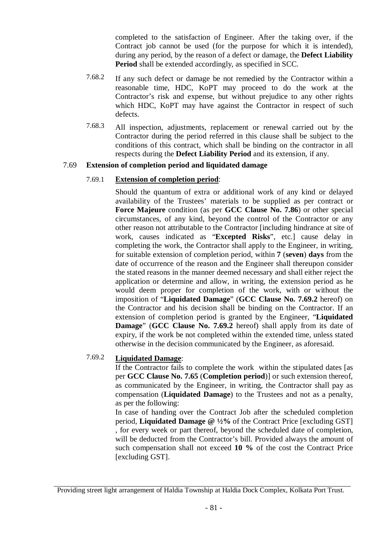completed to the satisfaction of Engineer. After the taking over, if the Contract job cannot be used (for the purpose for which it is intended), during any period, by the reason of a defect or damage, the **Defect Liability Period** shall be extended accordingly, as specified in SCC.

- 7.68.2 If any such defect or damage be not remedied by the Contractor within a reasonable time, HDC, KoPT may proceed to do the work at the Contractor's risk and expense, but without prejudice to any other rights which HDC, KoPT may have against the Contractor in respect of such defects.
- 7.68.3 All inspection, adjustments, replacement or renewal carried out by the Contractor during the period referred in this clause shall be subject to the conditions of this contract, which shall be binding on the contractor in all respects during the **Defect Liability Period** and its extension, if any.

#### 7.69 **Extension of completion period and liquidated damage**

#### 7.69.1 **Extension of completion period**:

Should the quantum of extra or additional work of any kind or delayed availability of the Trustees' materials to be supplied as per contract or **Force Majeure** condition (as per **GCC Clause No. 7.86**) or other special circumstances, of any kind, beyond the control of the Contractor or any other reason not attributable to the Contractor [including hindrance at site of work, causes indicated as "**Excepted Risks**", etc.] cause delay in completing the work, the Contractor shall apply to the Engineer, in writing, for suitable extension of completion period, within **7** (**seven**) **days** from the date of occurrence of the reason and the Engineer shall thereupon consider the stated reasons in the manner deemed necessary and shall either reject the application or determine and allow, in writing, the extension period as he would deem proper for completion of the work, with or without the imposition of "**Liquidated Damage**" (**GCC Clause No. 7.69.2** hereof) on the Contractor and his decision shall be binding on the Contractor. If an extension of completion period is granted by the Engineer, "**Liquidated Damage**" (**GCC Clause No. 7.69.2** hereof) shall apply from its date of expiry, if the work be not completed within the extended time, unless stated otherwise in the decision communicated by the Engineer, as aforesaid.

#### 7.69.2 **Liquidated Damage**:

If the Contractor fails to complete the work within the stipulated dates [as per **GCC Clause No. 7.65** (**Completion period**)] or such extension thereof, as communicated by the Engineer, in writing, the Contractor shall pay as compensation (**Liquidated Damage**) to the Trustees and not as a penalty, as per the following:

In case of handing over the Contract Job after the scheduled completion period, **Liquidated Damage @ ½%** of the Contract Price [excluding GST] , for every week or part thereof, beyond the scheduled date of completion, will be deducted from the Contractor's bill. Provided always the amount of such compensation shall not exceed **10 %** of the cost the Contract Price [excluding GST].

Providing street light arrangement of Haldia Township at Haldia Dock Complex, Kolkata Port Trust.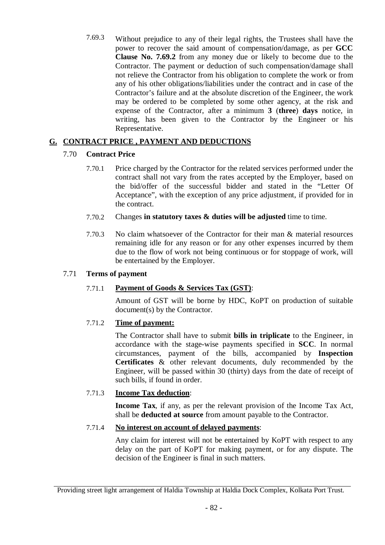7.69.3 Without prejudice to any of their legal rights, the Trustees shall have the power to recover the said amount of compensation/damage, as per **GCC Clause No. 7.69.2** from any money due or likely to become due to the Contractor. The payment or deduction of such compensation/damage shall not relieve the Contractor from his obligation to complete the work or from any of his other obligations/liabilities under the contract and in case of the Contractor's failure and at the absolute discretion of the Engineer, the work may be ordered to be completed by some other agency, at the risk and expense of the Contractor, after a minimum **3** (**three**) **days** notice, in writing, has been given to the Contractor by the Engineer or his Representative.

#### **G. CONTRACT PRICE , PAYMENT AND DEDUCTIONS**

#### 7.70 **Contract Price**

- 7.70.1 Price charged by the Contractor for the related services performed under the contract shall not vary from the rates accepted by the Employer, based on the bid/offer of the successful bidder and stated in the "Letter Of Acceptance", with the exception of any price adjustment, if provided for in the contract.
- 7.70.2 Changes **in statutory taxes & duties will be adjusted** time to time.
- 7.70.3 No claim whatsoever of the Contractor for their man & material resources remaining idle for any reason or for any other expenses incurred by them due to the flow of work not being continuous or for stoppage of work, will be entertained by the Employer.

#### 7.71 **Terms of payment**

#### 7.71.1 **Payment of Goods & Services Tax (GST)**:

Amount of GST will be borne by HDC, KoPT on production of suitable document(s) by the Contractor.

#### 7.71.2 **Time of payment:**

The Contractor shall have to submit **bills in triplicate** to the Engineer, in accordance with the stage-wise payments specified in **SCC**. In normal circumstances, payment of the bills, accompanied by **Inspection Certificates** & other relevant documents, duly recommended by the Engineer, will be passed within 30 (thirty) days from the date of receipt of such bills, if found in order.

#### 7.71.3 **Income Tax deduction**:

**Income Tax**, if any, as per the relevant provision of the Income Tax Act, shall be **deducted at source** from amount payable to the Contractor.

#### 7.71.4 **No interest on account of delayed payments**:

Any claim for interest will not be entertained by KoPT with respect to any delay on the part of KoPT for making payment, or for any dispute. The decision of the Engineer is final in such matters.

Providing street light arrangement of Haldia Township at Haldia Dock Complex, Kolkata Port Trust.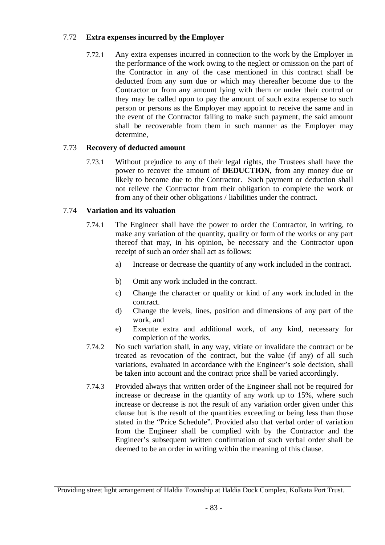#### 7.72 **Extra expenses incurred by the Employer**

7.72.1 Any extra expenses incurred in connection to the work by the Employer in the performance of the work owing to the neglect or omission on the part of the Contractor in any of the case mentioned in this contract shall be deducted from any sum due or which may thereafter become due to the Contractor or from any amount lying with them or under their control or they may be called upon to pay the amount of such extra expense to such person or persons as the Employer may appoint to receive the same and in the event of the Contractor failing to make such payment, the said amount shall be recoverable from them in such manner as the Employer may determine,

#### 7.73 **Recovery of deducted amount**

7.73.1 Without prejudice to any of their legal rights, the Trustees shall have the power to recover the amount of **DEDUCTION**, from any money due or likely to become due to the Contractor. Such payment or deduction shall not relieve the Contractor from their obligation to complete the work or from any of their other obligations / liabilities under the contract.

#### 7.74 **Variation and its valuation**

- 7.74.1 The Engineer shall have the power to order the Contractor, in writing, to make any variation of the quantity, quality or form of the works or any part thereof that may, in his opinion, be necessary and the Contractor upon receipt of such an order shall act as follows:
	- a) Increase or decrease the quantity of any work included in the contract.
	- b) Omit any work included in the contract.
	- c) Change the character or quality or kind of any work included in the contract.
	- d) Change the levels, lines, position and dimensions of any part of the work, and
	- e) Execute extra and additional work, of any kind, necessary for completion of the works.
- 7.74.2 No such variation shall, in any way, vitiate or invalidate the contract or be treated as revocation of the contract, but the value (if any) of all such variations, evaluated in accordance with the Engineer's sole decision, shall be taken into account and the contract price shall be varied accordingly.
- 7.74.3 Provided always that written order of the Engineer shall not be required for increase or decrease in the quantity of any work up to 15%, where such increase or decrease is not the result of any variation order given under this clause but is the result of the quantities exceeding or being less than those stated in the "Price Schedule". Provided also that verbal order of variation from the Engineer shall be complied with by the Contractor and the Engineer's subsequent written confirmation of such verbal order shall be deemed to be an order in writing within the meaning of this clause.

Providing street light arrangement of Haldia Township at Haldia Dock Complex, Kolkata Port Trust.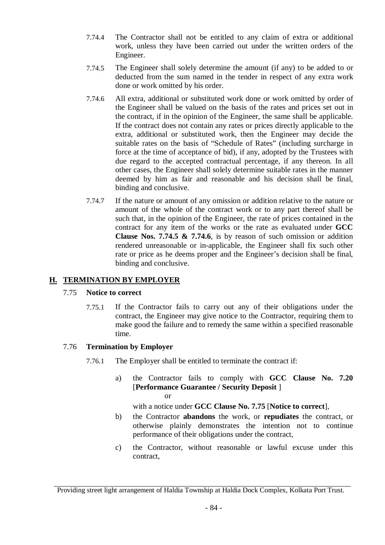- 7.74.4 The Contractor shall not be entitled to any claim of extra or additional work, unless they have been carried out under the written orders of the Engineer.
- 7.74.5 The Engineer shall solely determine the amount (if any) to be added to or deducted from the sum named in the tender in respect of any extra work done or work omitted by his order.
- 7.74.6 All extra, additional or substituted work done or work omitted by order of the Engineer shall be valued on the basis of the rates and prices set out in the contract, if in the opinion of the Engineer, the same shall be applicable. If the contract does not contain any rates or prices directly applicable to the extra, additional or substituted work, then the Engineer may decide the suitable rates on the basis of "Schedule of Rates" (including surcharge in force at the time of acceptance of bid), if any, adopted by the Trustees with due regard to the accepted contractual percentage, if any thereon. In all other cases, the Engineer shall solely determine suitable rates in the manner deemed by him as fair and reasonable and his decision shall be final, binding and conclusive.
- 7.74.7 If the nature or amount of any omission or addition relative to the nature or amount of the whole of the contract work or to any part thereof shall be such that, in the opinion of the Engineer, the rate of prices contained in the contract for any item of the works or the rate as evaluated under **GCC Clause Nos. 7.74.5 & 7.74.6**, is by reason of such omission or addition rendered unreasonable or in-applicable, the Engineer shall fix such other rate or price as he deems proper and the Engineer's decision shall be final, binding and conclusive.

#### **H. TERMINATION BY EMPLOYER**

#### 7.75 **Notice to correct**

7.75.1 If the Contractor fails to carry out any of their obligations under the contract, the Engineer may give notice to the Contractor, requiring them to make good the failure and to remedy the same within a specified reasonable time.

#### 7.76 **Termination by Employer**

- 7.76.1 The Employer shall be entitled to terminate the contract if:
	- a) the Contractor fails to comply with **GCC Clause No. 7.20** [**Performance Guarantee / Security Deposit** ] or

with a notice under **GCC Clause No. 7.75** [**Notice to correct**],

- b) the Contractor **abandons** the work, or **repudiates** the contract, or otherwise plainly demonstrates the intention not to continue performance of their obligations under the contract,
- c) the Contractor, without reasonable or lawful excuse under this contract,

Providing street light arrangement of Haldia Township at Haldia Dock Complex, Kolkata Port Trust.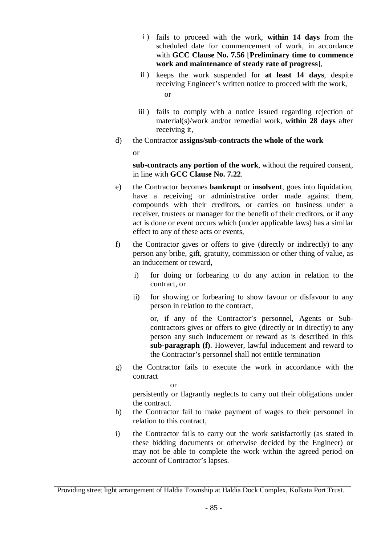- i) fails to proceed with the work, within 14 days from the scheduled date for commencement of work, in accordance with **GCC Clause No. 7.56** [**Preliminary time to commence work and maintenance of steady rate of progress**],
- ii ) keeps the work suspended for **at least 14 days**, despite receiving Engineer's written notice to proceed with the work, or
- iii) fails to comply with a notice issued regarding rejection of material(s)/work and/or remedial work, **within 28 days** after receiving it,
- d) the Contractor **assigns/sub-contracts the whole of the work**

or

**sub-contracts any portion of the work**, without the required consent, in line with **GCC Clause No. 7.22**.

- e) the Contractor becomes **bankrupt** or **insolvent**, goes into liquidation, have a receiving or administrative order made against them, compounds with their creditors, or carries on business under a receiver, trustees or manager for the benefit of their creditors, or if any act is done or event occurs which (under applicable laws) has a similar effect to any of these acts or events,
- f) the Contractor gives or offers to give (directly or indirectly) to any person any bribe, gift, gratuity, commission or other thing of value, as an inducement or reward,
	- i) for doing or forbearing to do any action in relation to the contract, or
	- ii) for showing or forbearing to show favour or disfavour to any person in relation to the contract,

or, if any of the Contractor's personnel, Agents or Subcontractors gives or offers to give (directly or in directly) to any person any such inducement or reward as is described in this **sub-paragraph (f)**. However, lawful inducement and reward to the Contractor's personnel shall not entitle termination

g) the Contractor fails to execute the work in accordance with the contract

or

persistently or flagrantly neglects to carry out their obligations under the contract.

- h) the Contractor fail to make payment of wages to their personnel in relation to this contract,
- i) the Contractor fails to carry out the work satisfactorily (as stated in these bidding documents or otherwise decided by the Engineer) or may not be able to complete the work within the agreed period on account of Contractor's lapses.

Providing street light arrangement of Haldia Township at Haldia Dock Complex, Kolkata Port Trust.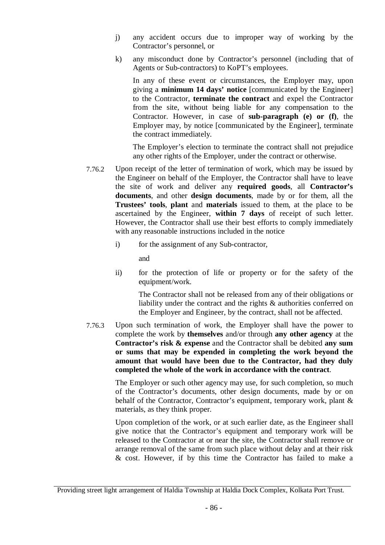- j) any accident occurs due to improper way of working by the Contractor's personnel, or
- k) any misconduct done by Contractor's personnel (including that of Agents or Sub-contractors) to KoPT's employees.

In any of these event or circumstances, the Employer may, upon giving a **minimum 14 days' notice** [communicated by the Engineer] to the Contractor, **terminate the contract** and expel the Contractor from the site, without being liable for any compensation to the Contractor. However, in case of **sub-paragraph (e) or (f)**, the Employer may, by notice [communicated by the Engineer], terminate the contract immediately.

The Employer's election to terminate the contract shall not prejudice any other rights of the Employer, under the contract or otherwise.

- 7.76.2 Upon receipt of the letter of termination of work, which may be issued by the Engineer on behalf of the Employer, the Contractor shall have to leave the site of work and deliver any **required goods**, all **Contractor's documents**, and other **design documents**, made by or for them, all the **Trustees' tools**, **plant** and **materials** issued to them, at the place to be ascertained by the Engineer, **within 7 days** of receipt of such letter. However, the Contractor shall use their best efforts to comply immediately with any reasonable instructions included in the notice
	- i) for the assignment of any Sub-contractor,

and

ii) for the protection of life or property or for the safety of the equipment/work.

The Contractor shall not be released from any of their obligations or liability under the contract and the rights & authorities conferred on the Employer and Engineer, by the contract, shall not be affected.

7.76.3 Upon such termination of work, the Employer shall have the power to complete the work by **themselves** and/or through **any other agency** at the **Contractor's risk & expense** and the Contractor shall be debited **any sum or sums that may be expended in completing the work beyond the amount that would have been due to the Contractor, had they duly completed the whole of the work in accordance with the contract**.

> The Employer or such other agency may use, for such completion, so much of the Contractor's documents, other design documents, made by or on behalf of the Contractor, Contractor's equipment, temporary work, plant & materials, as they think proper.

> Upon completion of the work, or at such earlier date, as the Engineer shall give notice that the Contractor's equipment and temporary work will be released to the Contractor at or near the site, the Contractor shall remove or arrange removal of the same from such place without delay and at their risk & cost. However, if by this time the Contractor has failed to make a

Providing street light arrangement of Haldia Township at Haldia Dock Complex, Kolkata Port Trust.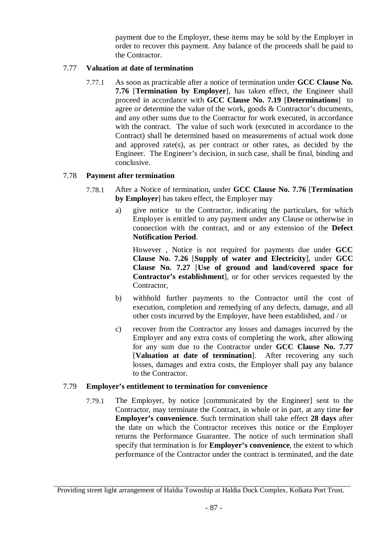payment due to the Employer, these items may be sold by the Employer in order to recover this payment. Any balance of the proceeds shall be paid to the Contractor.

#### 7.77 **Valuation at date of termination**

7.77.1 As soon as practicable after a notice of termination under **GCC Clause No. 7.76** [**Termination by Employer**], has taken effect, the Engineer shall proceed in accordance with **GCC Clause No. 7.19** [**Determinations**] to agree or determine the value of the work, goods & Contractor's documents, and any other sums due to the Contractor for work executed, in accordance with the contract. The value of such work (executed in accordance to the Contract) shall be determined based on measurements of actual work done and approved rate(s), as per contract or other rates, as decided by the Engineer. The Engineer's decision, in such case, shall be final, binding and conclusive.

#### 7.78 **Payment after termination**

- 7.78.1 After a Notice of termination, under **GCC Clause No. 7.76** [**Termination by Employer**] has taken effect, the Employer may
	- a) give notice to the Contractor, indicating the particulars, for which Employer is entitled to any payment under any Clause or otherwise in connection with the contract, and or any extension of the **Defect Notification Period**.

However , Notice is not required for payments due under **GCC Clause No. 7.26** [**Supply of water and Electricity**], under **GCC Clause No. 7.27** [**Use of ground and land/covered space for Contractor's establishment**], or for other services requested by the Contractor,

- b) withhold further payments to the Contractor until the cost of execution, completion and remedying of any defects, damage, and all other costs incurred by the Employer, have been established, and / or
- c) recover from the Contractor any losses and damages incurred by the Employer and any extra costs of completing the work, after allowing for any sum due to the Contractor under **GCC Clause No. 7.77** [**Valuation at date of termination**]. After recovering any such losses, damages and extra costs, the Employer shall pay any balance to the Contractor.

#### 7.79 **Employer's entitlement to termination for convenience**

7.79.1 The Employer, by notice [communicated by the Engineer] sent to the Contractor, may terminate the Contract, in whole or in part, at any time **for Employer's convenience**. Such termination shall take effect **28 days** after the date on which the Contractor receives this notice or the Employer returns the Performance Guarantee. The notice of such termination shall specify that termination is for **Employer's convenience**, the extent to which performance of the Contractor under the contract is terminated, and the date

Providing street light arrangement of Haldia Township at Haldia Dock Complex, Kolkata Port Trust.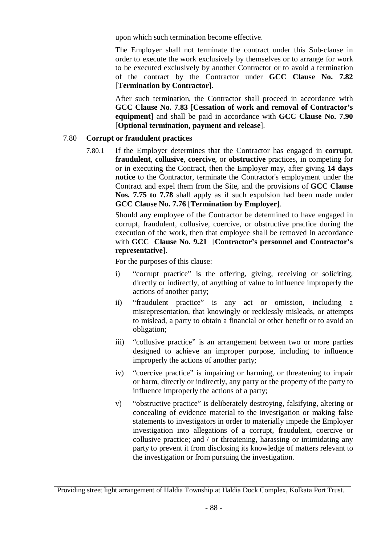upon which such termination become effective.

The Employer shall not terminate the contract under this Sub-clause in order to execute the work exclusively by themselves or to arrange for work to be executed exclusively by another Contractor or to avoid a termination of the contract by the Contractor under **GCC Clause No. 7.82** [**Termination by Contractor**].

After such termination, the Contractor shall proceed in accordance with **GCC Clause No. 7.83** [**Cessation of work and removal of Contractor's equipment**] and shall be paid in accordance with **GCC Clause No. 7.90** [**Optional termination, payment and release**].

#### 7.80 **Corrupt or fraudulent practices**

7.80.1 If the Employer determines that the Contractor has engaged in **corrupt**, **fraudulent**, **collusive**, **coercive**, or **obstructive** practices, in competing for or in executing the Contract, then the Employer may, after giving **14 days notice** to the Contractor, terminate the Contractor's employment under the Contract and expel them from the Site, and the provisions of **GCC Clause Nos. 7.75 to 7.78** shall apply as if such expulsion had been made under **GCC Clause No. 7.76** [**Termination by Employer**].

> Should any employee of the Contractor be determined to have engaged in corrupt, fraudulent, collusive, coercive, or obstructive practice during the execution of the work, then that employee shall be removed in accordance with **GCC Clause No. 9.21** [**Contractor's personnel and Contractor's representative**].

For the purposes of this clause:

- i) "corrupt practice" is the offering, giving, receiving or soliciting, directly or indirectly, of anything of value to influence improperly the actions of another party;
- ii) "fraudulent practice" is any act or omission, including a misrepresentation, that knowingly or recklessly misleads, or attempts to mislead, a party to obtain a financial or other benefit or to avoid an obligation;
- iii) "collusive practice" is an arrangement between two or more parties designed to achieve an improper purpose, including to influence improperly the actions of another party;
- iv) "coercive practice" is impairing or harming, or threatening to impair or harm, directly or indirectly, any party or the property of the party to influence improperly the actions of a party;
- v) "obstructive practice" is deliberately destroying, falsifying, altering or concealing of evidence material to the investigation or making false statements to investigators in order to materially impede the Employer investigation into allegations of a corrupt, fraudulent, coercive or collusive practice; and / or threatening, harassing or intimidating any party to prevent it from disclosing its knowledge of matters relevant to the investigation or from pursuing the investigation.

Providing street light arrangement of Haldia Township at Haldia Dock Complex, Kolkata Port Trust.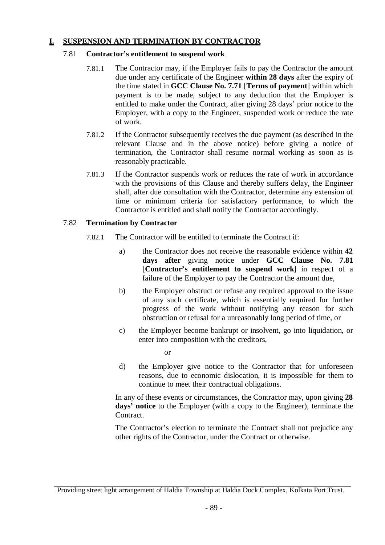#### **I. SUSPENSION AND TERMINATION BY CONTRACTOR**

#### 7.81 **Contractor's entitlement to suspend work**

- 7.81.1 The Contractor may, if the Employer fails to pay the Contractor the amount due under any certificate of the Engineer **within 28 days** after the expiry of the time stated in **GCC Clause No. 7.71** [**Terms of payment**] within which payment is to be made, subject to any deduction that the Employer is entitled to make under the Contract, after giving 28 days' prior notice to the Employer, with a copy to the Engineer, suspended work or reduce the rate of work.
- 7.81.2 If the Contractor subsequently receives the due payment (as described in the relevant Clause and in the above notice) before giving a notice of termination, the Contractor shall resume normal working as soon as is reasonably practicable.
- 7.81.3 If the Contractor suspends work or reduces the rate of work in accordance with the provisions of this Clause and thereby suffers delay, the Engineer shall, after due consultation with the Contractor, determine any extension of time or minimum criteria for satisfactory performance, to which the Contractor is entitled and shall notify the Contractor accordingly.

#### 7.82 **Termination by Contractor**

- 7.82.1 The Contractor will be entitled to terminate the Contract if:
	- a) the Contractor does not receive the reasonable evidence within **42 days after** giving notice under **GCC Clause No. 7.81** [**Contractor's entitlement to suspend work**] in respect of a failure of the Employer to pay the Contractor the amount due,
	- b) the Employer obstruct or refuse any required approval to the issue of any such certificate, which is essentially required for further progress of the work without notifying any reason for such obstruction or refusal for a unreasonably long period of time, or
	- c) the Employer become bankrupt or insolvent, go into liquidation, or enter into composition with the creditors,

or

d) the Employer give notice to the Contractor that for unforeseen reasons, due to economic dislocation, it is impossible for them to continue to meet their contractual obligations.

In any of these events or circumstances, the Contractor may, upon giving **28 days' notice** to the Employer (with a copy to the Engineer), terminate the Contract.

The Contractor's election to terminate the Contract shall not prejudice any other rights of the Contractor, under the Contract or otherwise.

Providing street light arrangement of Haldia Township at Haldia Dock Complex, Kolkata Port Trust.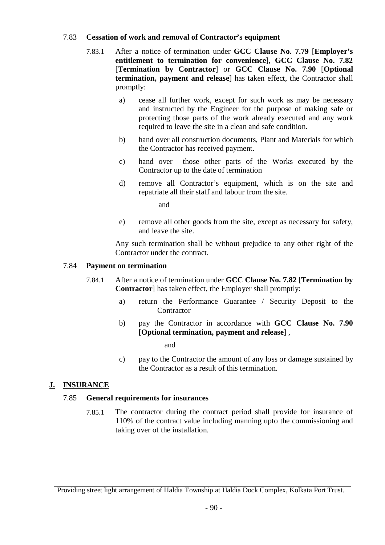#### 7.83 **Cessation of work and removal of Contractor's equipment**

- 7.83.1 After a notice of termination under **GCC Clause No. 7.79** [**Employer's entitlement to termination for convenience**], **GCC Clause No. 7.82** [**Termination by Contractor**] or **GCC Clause No. 7.90** [**Optional termination, payment and release**] has taken effect, the Contractor shall promptly:
	- a) cease all further work, except for such work as may be necessary and instructed by the Engineer for the purpose of making safe or protecting those parts of the work already executed and any work required to leave the site in a clean and safe condition.
	- b) hand over all construction documents, Plant and Materials for which the Contractor has received payment.
	- c) hand over those other parts of the Works executed by the Contractor up to the date of termination
	- d) remove all Contractor's equipment, which is on the site and repatriate all their staff and labour from the site.

and

e) remove all other goods from the site, except as necessary for safety, and leave the site.

Any such termination shall be without prejudice to any other right of the Contractor under the contract.

#### 7.84 **Payment on termination**

- 7.84.1 After a notice of termination under **GCC Clause No. 7.82** [**Termination by Contractor**] has taken effect, the Employer shall promptly:
	- a) return the Performance Guarantee / Security Deposit to the **Contractor**
	- b) pay the Contractor in accordance with **GCC Clause No. 7.90** [**Optional termination, payment and release**] ,

and

c) pay to the Contractor the amount of any loss or damage sustained by the Contractor as a result of this termination.

#### **J. INSURANCE**

#### 7.85 **General requirements for insurances**

7.85.1 The contractor during the contract period shall provide for insurance of 110% of the contract value including manning upto the commissioning and taking over of the installation.

Providing street light arrangement of Haldia Township at Haldia Dock Complex, Kolkata Port Trust.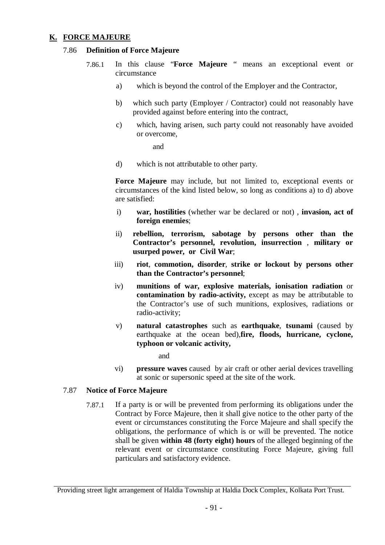#### **K. FORCE MAJEURE**

#### 7.86 **Definition of Force Majeure**

- 7.86.1 In this clause "**Force Majeure** " means an exceptional event or circumstance
	- a) which is beyond the control of the Employer and the Contractor,
	- b) which such party (Employer / Contractor) could not reasonably have provided against before entering into the contract,
	- c) which, having arisen, such party could not reasonably have avoided or overcome,

and

d) which is not attributable to other party.

**Force Majeure** may include, but not limited to, exceptional events or circumstances of the kind listed below, so long as conditions a) to d) above are satisfied:

- i) **war, hostilities** (whether war be declared or not) , **invasion, act of foreign enemies**;
- ii) **rebellion, terrorism, sabotage by persons other than the Contractor's personnel, revolution, insurrection** , **military or usurped power, or Civil War**;
- iii) **riot**, **commotion, disorder**, **strike or lockout by persons other than the Contractor's personnel**;
- iv) **munitions of war, explosive materials, ionisation radiation** or **contamination by radio-activity,** except as may be attributable to the Contractor's use of such munitions, explosives, radiations or radio-activity;
- v) **natural catastrophes** such as **earthquake**, **tsunami** (caused by earthquake at the ocean bed),**fire, floods, hurricane, cyclone, typhoon or volcanic activity,**

and

vi) **pressure waves** caused by air craft or other aerial devices travelling at sonic or supersonic speed at the site of the work.

#### 7.87 **Notice of Force Majeure**

7.87.1 If a party is or will be prevented from performing its obligations under the Contract by Force Majeure, then it shall give notice to the other party of the event or circumstances constituting the Force Majeure and shall specify the obligations, the performance of which is or will be prevented. The notice shall be given **within 48 (forty eight) hours** of the alleged beginning of the relevant event or circumstance constituting Force Majeure, giving full particulars and satisfactory evidence.

Providing street light arrangement of Haldia Township at Haldia Dock Complex, Kolkata Port Trust.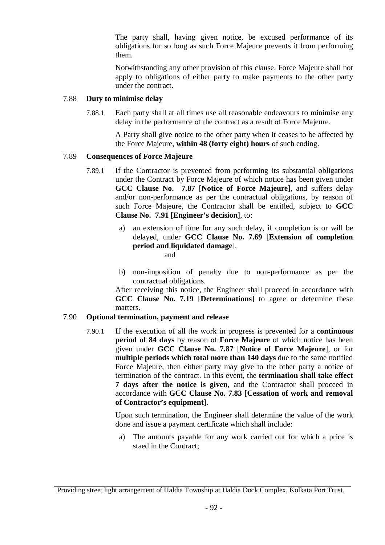The party shall, having given notice, be excused performance of its obligations for so long as such Force Majeure prevents it from performing them.

Notwithstanding any other provision of this clause, Force Majeure shall not apply to obligations of either party to make payments to the other party under the contract.

#### 7.88 **Duty to minimise delay**

7.88.1 Each party shall at all times use all reasonable endeavours to minimise any delay in the performance of the contract as a result of Force Majeure.

> A Party shall give notice to the other party when it ceases to be affected by the Force Majeure, **within 48 (forty eight) hours** of such ending.

#### 7.89 **Consequences of Force Majeure**

- 7.89.1 If the Contractor is prevented from performing its substantial obligations under the Contract by Force Majeure of which notice has been given under **GCC Clause No. 7.87** [**Notice of Force Majeure**], and suffers delay and/or non-performance as per the contractual obligations, by reason of such Force Majeure, the Contractor shall be entitled, subject to **GCC Clause No. 7.91** [**Engineer's decision**], to:
	- a) an extension of time for any such delay, if completion is or will be delayed, under **GCC Clause No. 7.69** [**Extension of completion period and liquidated damage**], and
		-
	- b) non-imposition of penalty due to non-performance as per the contractual obligations.

After receiving this notice, the Engineer shall proceed in accordance with **GCC Clause No. 7.19** [**Determinations**] to agree or determine these matters.

#### 7.90 **Optional termination, payment and release**

7.90.1 If the execution of all the work in progress is prevented for a **continuous period of 84 days** by reason of **Force Majeure** of which notice has been given under **GCC Clause No. 7.87** [**Notice of Force Majeure**], or for **multiple periods which total more than 140 days** due to the same notified Force Majeure, then either party may give to the other party a notice of termination of the contract. In this event, the **termination shall take effect 7 days after the notice is given**, and the Contractor shall proceed in accordance with **GCC Clause No. 7.83** [**Cessation of work and removal of Contractor's equipment**].

> Upon such termination, the Engineer shall determine the value of the work done and issue a payment certificate which shall include:

a) The amounts payable for any work carried out for which a price is staed in the Contract;

Providing street light arrangement of Haldia Township at Haldia Dock Complex, Kolkata Port Trust.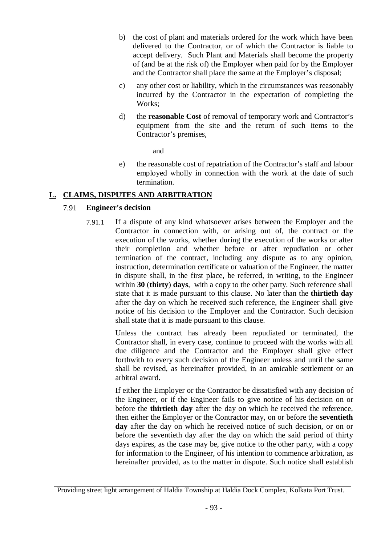- b) the cost of plant and materials ordered for the work which have been delivered to the Contractor, or of which the Contractor is liable to accept delivery. Such Plant and Materials shall become the property of (and be at the risk of) the Employer when paid for by the Employer and the Contractor shall place the same at the Employer's disposal;
- c) any other cost or liability, which in the circumstances was reasonably incurred by the Contractor in the expectation of completing the Works;
- d) the **reasonable Cost** of removal of temporary work and Contractor's equipment from the site and the return of such items to the Contractor's premises,

and

e) the reasonable cost of repatriation of the Contractor's staff and labour employed wholly in connection with the work at the date of such termination.

#### **L. CLAIMS, DISPUTES AND ARBITRATION**

#### 7.91 **Engineer**'**s decision**

7.91.1 If a dispute of any kind whatsoever arises between the Employer and the Contractor in connection with, or arising out of, the contract or the execution of the works, whether during the execution of the works or after their completion and whether before or after repudiation or other termination of the contract, including any dispute as to any opinion, instruction, determination certificate or valuation of the Engineer, the matter in dispute shall, in the first place, be referred, in writing, to the Engineer within **30** (**thirty**) **days**, with a copy to the other party. Such reference shall state that it is made pursuant to this clause. No later than the **thirtieth day** after the day on which he received such reference, the Engineer shall give notice of his decision to the Employer and the Contractor. Such decision shall state that it is made pursuant to this clause.

> Unless the contract has already been repudiated or terminated, the Contractor shall, in every case, continue to proceed with the works with all due diligence and the Contractor and the Employer shall give effect forthwith to every such decision of the Engineer unless and until the same shall be revised, as hereinafter provided, in an amicable settlement or an arbitral award.

> If either the Employer or the Contractor be dissatisfied with any decision of the Engineer, or if the Engineer fails to give notice of his decision on or before the **thirtieth day** after the day on which he received the reference, then either the Employer or the Contractor may, on or before the **seventieth**  day after the day on which he received notice of such decision, or on or before the seventieth day after the day on which the said period of thirty days expires, as the case may be, give notice to the other party, with a copy for information to the Engineer, of his intention to commence arbitration, as hereinafter provided, as to the matter in dispute. Such notice shall establish

Providing street light arrangement of Haldia Township at Haldia Dock Complex, Kolkata Port Trust.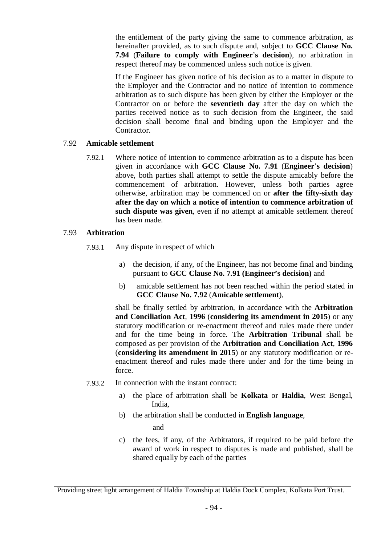the entitlement of the party giving the same to commence arbitration, as hereinafter provided, as to such dispute and, subject to **GCC Clause No. 7.94** (**Failure to comply with Engineer**'**s decision**), no arbitration in respect thereof may be commenced unless such notice is given.

If the Engineer has given notice of his decision as to a matter in dispute to the Employer and the Contractor and no notice of intention to commence arbitration as to such dispute has been given by either the Employer or the Contractor on or before the **seventieth day** after the day on which the parties received notice as to such decision from the Engineer, the said decision shall become final and binding upon the Employer and the Contractor.

#### 7.92 **Amicable settlement**

7.92.1 Where notice of intention to commence arbitration as to a dispute has been given in accordance with **GCC Clause No. 7.91** (**Engineer**'**s decision**) above, both parties shall attempt to settle the dispute amicably before the commencement of arbitration. However, unless both parties agree otherwise, arbitration may be commenced on or **after the fifty**-**sixth day after the day on which a notice of intention to commence arbitration of such dispute was given**, even if no attempt at amicable settlement thereof has been made.

#### 7.93 **Arbitration**

- 7.93.1 Any dispute in respect of which
	- a) the decision, if any, of the Engineer, has not become final and binding pursuant to **GCC Clause No. 7.91 (Engineer's decision)** and
	- b) amicable settlement has not been reached within the period stated in **GCC Clause No. 7.92** (**Amicable settlement**),

shall be finally settled by arbitration, in accordance with the **Arbitration and Conciliation Act**, **1996** (**considering its amendment in 2015**) or any statutory modification or re-enactment thereof and rules made there under and for the time being in force. The **Arbitration Tribunal** shall be composed as per provision of the **Arbitration and Conciliation Act**, **1996**  (**considering its amendment in 2015**) or any statutory modification or reenactment thereof and rules made there under and for the time being in force.

- 7.93.2 In connection with the instant contract:
	- a) the place of arbitration shall be **Kolkata** or **Haldia**, West Bengal, India,
	- b) the arbitration shall be conducted in **English language**,

and

c) the fees, if any, of the Arbitrators, if required to be paid before the award of work in respect to disputes is made and published, shall be shared equally by each of the parties

Providing street light arrangement of Haldia Township at Haldia Dock Complex, Kolkata Port Trust.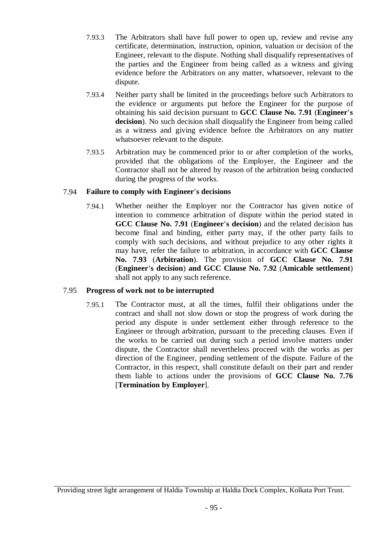- 7.93.3 The Arbitrators shall have full power to open up, review and revise any certificate, determination, instruction, opinion, valuation or decision of the Engineer, relevant to the dispute. Nothing shall disqualify representatives of the parties and the Engineer from being called as a witness and giving evidence before the Arbitrators on any matter, whatsoever, relevant to the dispute.
- 7.93.4 Neither party shall be limited in the proceedings before such Arbitrators to the evidence or arguments put before the Engineer for the purpose of obtaining his said decision pursuant to **GCC Clause No. 7.91** (**Engineer**'**s decision**). No such decision shall disqualify the Engineer from being called as a witness and giving evidence before the Arbitrators on any matter whatsoever relevant to the dispute.
- 7.93.5 Arbitration may be commenced prior to or after completion of the works, provided that the obligations of the Employer, the Engineer and the Contractor shall not be altered by reason of the arbitration being conducted during the progress of the works.

#### 7.94 **Failure to comply with Engineer**'**s decisions**

7.94.1 Whether neither the Employer nor the Contractor has given notice of intention to commence arbitration of dispute within the period stated in **GCC Clause No. 7.91** (**Engineer**'**s decision**) and the related decision has become final and binding, either party may, if the other party fails to comply with such decisions, and without prejudice to any other rights it may have, refer the failure to arbitration, in accordance with **GCC Clause No. 7.93** (**Arbitration**). The provision of **GCC Clause No. 7.91** (**Engineer**'**s decision**) **and GCC Clause No. 7.92** (**Amicable settlement**) shall not apply to any such reference.

#### 7.95 **Progress of work not to be interrupted**

7.95.1 The Contractor must, at all the times, fulfil their obligations under the contract and shall not slow down or stop the progress of work during the period any dispute is under settlement either through reference to the Engineer or through arbitration, pursuant to the preceding clauses. Even if the works to be carried out during such a period involve matters under dispute, the Contractor shall nevertheless proceed with the works as per direction of the Engineer, pending settlement of the dispute. Failure of the Contractor, in this respect, shall constitute default on their part and render them liable to actions under the provisions of **GCC Clause No. 7.76** [**Termination by Employer**].

Providing street light arrangement of Haldia Township at Haldia Dock Complex, Kolkata Port Trust.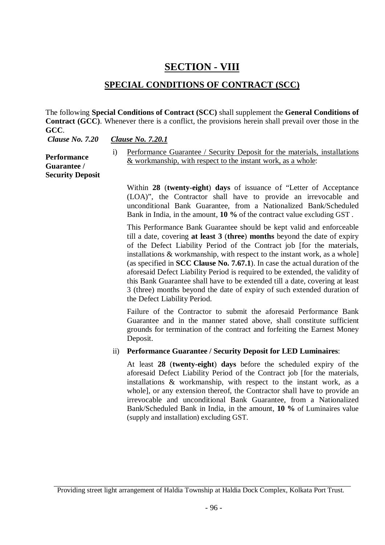### **SECTION - VIII**

### **SPECIAL CONDITIONS OF CONTRACT (SCC)**

The following **Special Conditions of Contract (SCC)** shall supplement the **General Conditions of Contract (GCC)**. Whenever there is a conflict, the provisions herein shall prevail over those in the **GCC**.

*Clause No. 7.20 Clause No. 7.20.1*

**Performance Guarantee / Security Deposit** i) Performance Guarantee / Security Deposit for the materials, installations & workmanship, with respect to the instant work, as a whole:

Within **28** (**twenty-eight**) **days** of issuance of "Letter of Acceptance (LOA)", the Contractor shall have to provide an irrevocable and unconditional Bank Guarantee, from a Nationalized Bank/Scheduled Bank in India, in the amount, **10 %** of the contract value excluding GST .

This Performance Bank Guarantee should be kept valid and enforceable till a date, covering **at least 3** (**three**) **months** beyond the date of expiry of the Defect Liability Period of the Contract job [for the materials, installations & workmanship, with respect to the instant work, as a whole] (as specified in **SCC Clause No. 7.67.1**). In case the actual duration of the aforesaid Defect Liability Period is required to be extended, the validity of this Bank Guarantee shall have to be extended till a date, covering at least 3 (three) months beyond the date of expiry of such extended duration of the Defect Liability Period.

Failure of the Contractor to submit the aforesaid Performance Bank Guarantee and in the manner stated above, shall constitute sufficient grounds for termination of the contract and forfeiting the Earnest Money Deposit.

ii) **Performance Guarantee / Security Deposit for LED Luminaires**:

At least **28** (**twenty-eight**) **days** before the scheduled expiry of the aforesaid Defect Liability Period of the Contract job [for the materials, installations & workmanship, with respect to the instant work, as a whole], or any extension thereof, the Contractor shall have to provide an irrevocable and unconditional Bank Guarantee, from a Nationalized Bank/Scheduled Bank in India, in the amount, **10 %** of Luminaires value (supply and installation) excluding GST.

Providing street light arrangement of Haldia Township at Haldia Dock Complex, Kolkata Port Trust.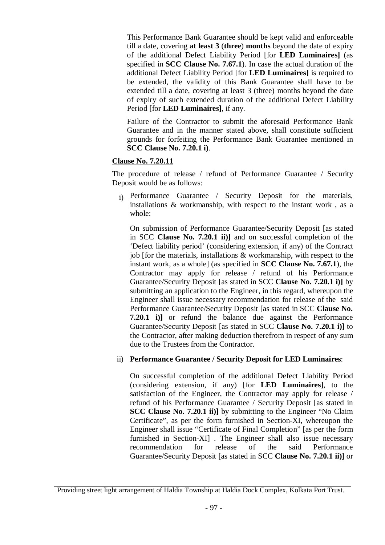This Performance Bank Guarantee should be kept valid and enforceable till a date, covering **at least 3** (**three**) **months** beyond the date of expiry of the additional Defect Liability Period [for **LED Luminaires]** (as specified in **SCC Clause No. 7.67.1**). In case the actual duration of the additional Defect Liability Period [for **LED Luminaires]** is required to be extended, the validity of this Bank Guarantee shall have to be extended till a date, covering at least 3 (three) months beyond the date of expiry of such extended duration of the additional Defect Liability Period [for **LED Luminaires]**, if any.

Failure of the Contractor to submit the aforesaid Performance Bank Guarantee and in the manner stated above, shall constitute sufficient grounds for forfeiting the Performance Bank Guarantee mentioned in **SCC Clause No. 7.20.1 i)**.

#### **Clause No. 7.20.11**

The procedure of release / refund of Performance Guarantee / Security Deposit would be as follows:

i) Performance Guarantee / Security Deposit for the materials, installations & workmanship, with respect to the instant work , as a whole:

On submission of Performance Guarantee/Security Deposit [as stated in SCC **Clause No. 7.20.1 ii)]** and on successful completion of the 'Defect liability period' (considering extension, if any) of the Contract job [for the materials, installations & workmanship, with respect to the instant work, as a whole] (as specified in **SCC Clause No. 7.67.1**), the Contractor may apply for release / refund of his Performance Guarantee/Security Deposit [as stated in SCC **Clause No. 7.20.1 i)]** by submitting an application to the Engineer, in this regard, whereupon the Engineer shall issue necessary recommendation for release of the said Performance Guarantee/Security Deposit [as stated in SCC **Clause No. 7.20.1 i)]** or refund the balance due against the Performance Guarantee/Security Deposit [as stated in SCC **Clause No. 7.20.1 i)]** to the Contractor, after making deduction therefrom in respect of any sum due to the Trustees from the Contractor.

#### ii) **Performance Guarantee / Security Deposit for LED Luminaires**:

On successful completion of the additional Defect Liability Period (considering extension, if any) [for **LED Luminaires]**, to the satisfaction of the Engineer, the Contractor may apply for release / refund of his Performance Guarantee / Security Deposit [as stated in **SCC Clause No. 7.20.1 ii)]** by submitting to the Engineer "No Claim Certificate", as per the form furnished in Section-XI, whereupon the Engineer shall issue "Certificate of Final Completion" [as per the form furnished in Section-XI] . The Engineer shall also issue necessary recommendation for release of the said Performance Guarantee/Security Deposit [as stated in SCC **Clause No. 7.20.1 ii)]** or

Providing street light arrangement of Haldia Township at Haldia Dock Complex, Kolkata Port Trust.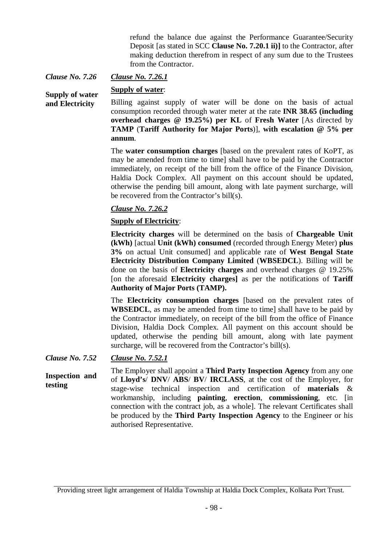refund the balance due against the Performance Guarantee/Security Deposit [as stated in SCC **Clause No. 7.20.1 ii)]** to the Contractor, after making deduction therefrom in respect of any sum due to the Trustees from the Contractor.

*Clause No. 7.26 Clause No. 7.26.1*

**Supply of water**:

**Supply of water and Electricity** Billing against supply of water will be done on the basis of actual consumption recorded through water meter at the rate **INR 38.65 (including overhead charges @ 19.25%) per KL** of **Fresh Water** [As directed by **TAMP** (**Tariff Authority for Major Ports**)], **with escalation @ 5% per annum**.

> The **water consumption charges** [based on the prevalent rates of KoPT, as may be amended from time to time] shall have to be paid by the Contractor immediately, on receipt of the bill from the office of the Finance Division, Haldia Dock Complex. All payment on this account should be updated, otherwise the pending bill amount, along with late payment surcharge, will be recovered from the Contractor's bill(s).

#### *Clause No. 7.26.2*

#### **Supply of Electricity**:

**Electricity charges** will be determined on the basis of **Chargeable Unit (kWh)** [actual **Unit (kWh) consumed** (recorded through Energy Meter) **plus 3%** on actual Unit consumed] and applicable rate of **West Bengal State Electricity Distribution Company Limited** (**WBSEDCL**). Billing will be done on the basis of **Electricity charges** and overhead charges @ 19.25% [on the aforesaid **Electricity charges]** as per the notifications of **Tariff Authority of Major Ports (TAMP).**

The **Electricity consumption charges** [based on the prevalent rates of **WBSEDCL**, as may be amended from time to time] shall have to be paid by the Contractor immediately, on receipt of the bill from the office of Finance Division, Haldia Dock Complex. All payment on this account should be updated, otherwise the pending bill amount, along with late payment surcharge, will be recovered from the Contractor's bill(s).

*Clause No. 7.52 Clause No. 7.52.1*

**Inspection and testing** The Employer shall appoint a **Third Party Inspection Agency** from any one of **Lloyd's**/ **DNV**/ **ABS**/ **BV**/ **IRCLASS**, at the cost of the Employer, for stage-wise technical inspection and certification of **materials** & workmanship, including **painting**, **erection**, **commissioning**, etc. [in connection with the contract job, as a whole]. The relevant Certificates shall be produced by the **Third Party Inspection Agency** to the Engineer or his authorised Representative.

Providing street light arrangement of Haldia Township at Haldia Dock Complex, Kolkata Port Trust.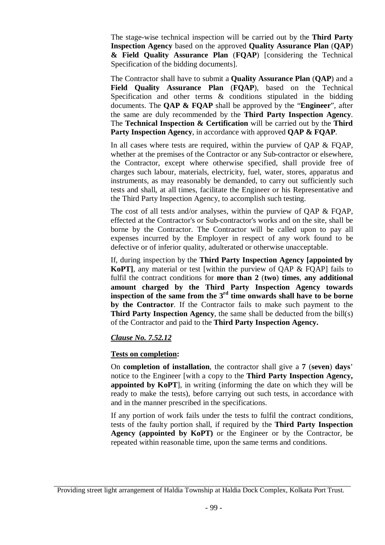The stage-wise technical inspection will be carried out by the **Third Party Inspection Agency** based on the approved **Quality Assurance Plan** (**QAP**) **& Field Quality Assurance Plan** (**FQAP**) [considering the Technical Specification of the bidding documents].

The Contractor shall have to submit a **Quality Assurance Plan** (**QAP**) and a **Field Quality Assurance Plan** (**FQAP**), based on the Technical Specification and other terms & conditions stipulated in the bidding documents. The **QAP & FQAP** shall be approved by the "**Engineer**", after the same are duly recommended by the **Third Party Inspection Agency**. The **Technical Inspection & Certification** will be carried out by the **Third Party Inspection Agency**, in accordance with approved **QAP & FQAP**.

In all cases where tests are required, within the purview of QAP & FQAP, whether at the premises of the Contractor or any Sub-contractor or elsewhere, the Contractor, except where otherwise specified, shall provide free of charges such labour, materials, electricity, fuel, water, stores, apparatus and instruments, as may reasonably be demanded, to carry out sufficiently such tests and shall, at all times, facilitate the Engineer or his Representative and the Third Party Inspection Agency, to accomplish such testing.

The cost of all tests and/or analyses, within the purview of QAP & FQAP, effected at the Contractor's or Sub-contractor's works and on the site, shall be borne by the Contractor. The Contractor will be called upon to pay all expenses incurred by the Employer in respect of any work found to be defective or of inferior quality, adulterated or otherwise unacceptable.

If, during inspection by the **Third Party Inspection Agency [appointed by KoPT]**, any material or test [within the purview of QAP & FQAP] fails to fulfil the contract conditions for **more than 2** (**two**) **times**, **any additional amount charged by the Third Party Inspection Agency towards inspection of the same from the 3rd time onwards shall have to be borne by the Contractor**. If the Contractor fails to make such payment to the **Third Party Inspection Agency**, the same shall be deducted from the bill(s) of the Contractor and paid to the **Third Party Inspection Agency.**

#### *Clause No. 7.52.12*

#### **Tests on completion:**

On **completion of installation**, the contractor shall give a **7** (**seven**) **days**' notice to the Engineer [with a copy to the **Third Party Inspection Agency, appointed by KoPT**], in writing (informing the date on which they will be ready to make the tests), before carrying out such tests, in accordance with and in the manner prescribed in the specifications.

If any portion of work fails under the tests to fulfil the contract conditions, tests of the faulty portion shall, if required by the **Third Party Inspection Agency (appointed by KoPT)** or the Engineer or by the Contractor, be repeated within reasonable time, upon the same terms and conditions.

Providing street light arrangement of Haldia Township at Haldia Dock Complex, Kolkata Port Trust.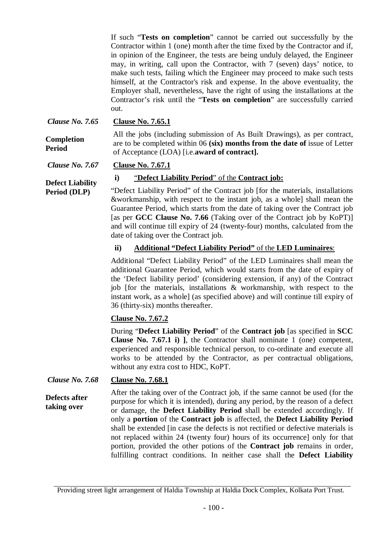If such "**Tests on completion**" cannot be carried out successfully by the Contractor within 1 (one) month after the time fixed by the Contractor and if, in opinion of the Engineer, the tests are being unduly delayed, the Engineer may, in writing, call upon the Contractor, with 7 (seven) days' notice, to make such tests, failing which the Engineer may proceed to make such tests himself, at the Contractor's risk and expense. In the above eventuality, the Employer shall, nevertheless, have the right of using the installations at the Contractor's risk until the "**Tests on completion**" are successfully carried out.

*Clause No. 7.65* **Clause No. 7.65.1**

**Completion Period** 

**Period (DLP)**

All the jobs (including submission of As Built Drawings), as per contract, are to be completed within 06 **(six) months from the date of** issue of Letter of Acceptance (LOA) [i.e.**award of contract].**

*Clause No. 7.67*

**Clause No. 7.67.1**

#### **i)** "**Defect Liability Period**" of the **Contract job:**

**Defect Liability**  "Defect Liability Period" of the Contract job [for the materials, installations &workmanship, with respect to the instant job, as a whole] shall mean the Guarantee Period, which starts from the date of taking over the Contract job [as per **GCC Clause No. 7.66** (Taking over of the Contract job by KoPT)] and will continue till expiry of 24 (twenty-four) months, calculated from the date of taking over the Contract job.

#### **ii) Additional "Defect Liability Period"** of the **LED Luminaires**:

Additional "Defect Liability Period" of the LED Luminaires shall mean the additional Guarantee Period, which would starts from the date of expiry of the 'Defect liability period' (considering extension, if any) of the Contract job [for the materials, installations & workmanship, with respect to the instant work, as a whole] (as specified above) and will continue till expiry of 36 (thirty-six) months thereafter.

#### **Clause No. 7.67.2**

During "**Defect Liability Period**" of the **Contract job** [as specified in **SCC Clause No. 7.67.1 i) ]**, the Contractor shall nominate 1 (one) competent, experienced and responsible technical person, to co-ordinate and execute all works to be attended by the Contractor, as per contractual obligations, without any extra cost to HDC, KoPT.

*Clause No. 7.68* **Clause No. 7.68.1**

**Defects after taking over** After the taking over of the Contract job, if the same cannot be used (for the purpose for which it is intended), during any period, by the reason of a defect or damage, the **Defect Liability Period** shall be extended accordingly. If only a **portion** of the **Contract job** is affected, the **Defect Liability Period** shall be extended [in case the defects is not rectified or defective materials is not replaced within 24 (twenty four) hours of its occurrence] only for that portion, provided the other potions of the **Contract job** remains in order, fulfilling contract conditions. In neither case shall the **Defect Liability** 

Providing street light arrangement of Haldia Township at Haldia Dock Complex, Kolkata Port Trust.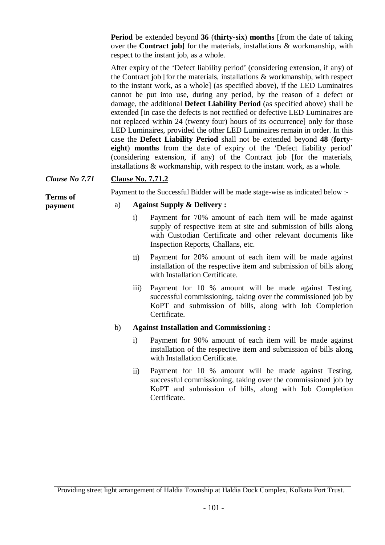**Period** be extended beyond **36** (**thirty-six**) **months** [from the date of taking over the **Contract job]** for the materials, installations & workmanship, with respect to the instant job, as a whole.

After expiry of the 'Defect liability period' (considering extension, if any) of the Contract job [for the materials, installations & workmanship, with respect to the instant work, as a whole] (as specified above), if the LED Luminaires cannot be put into use, during any period, by the reason of a defect or damage, the additional **Defect Liability Period** (as specified above) shall be extended [in case the defects is not rectified or defective LED Luminaires are not replaced within 24 (twenty four) hours of its occurrence] only for those LED Luminaires, provided the other LED Luminaires remain in order. In this case the **Defect Liability Period** shall not be extended beyond **48** (**fortyeight**) **months** from the date of expiry of the 'Defect liability period' (considering extension, if any) of the Contract job [for the materials, installations & workmanship, with respect to the instant work, as a whole.

#### *Clause No 7.71* **Clause No. 7.71.2**

**Terms of payment**

#### Payment to the Successful Bidder will be made stage-wise as indicated below :-

#### a) **Against Supply & Delivery :**

- i) Payment for 70% amount of each item will be made against supply of respective item at site and submission of bills along with Custodian Certificate and other relevant documents like Inspection Reports, Challans, etc.
- ii) Payment for 20% amount of each item will be made against installation of the respective item and submission of bills along with Installation Certificate.
- iii) Payment for 10 % amount will be made against Testing, successful commissioning, taking over the commissioned job by KoPT and submission of bills, along with Job Completion Certificate.

#### b) **Against Installation and Commissioning :**

- i) Payment for 90% amount of each item will be made against installation of the respective item and submission of bills along with Installation Certificate.
- ii) Payment for 10 % amount will be made against Testing, successful commissioning, taking over the commissioned job by KoPT and submission of bills, along with Job Completion Certificate.

Providing street light arrangement of Haldia Township at Haldia Dock Complex, Kolkata Port Trust.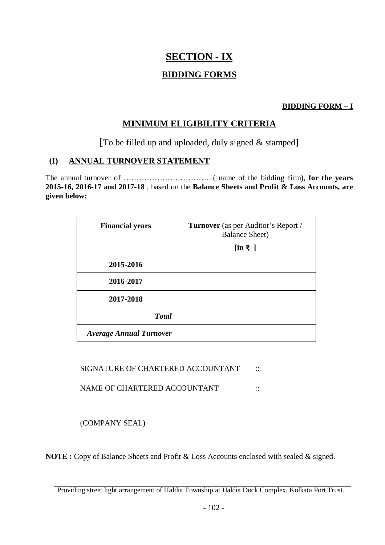# **SECTION - IX BIDDING FORMS**

#### **BIDDING FORM – I**

### **MINIMUM ELIGIBILITY CRITERIA**

[To be filled up and uploaded, duly signed & stamped]

### **(I) ANNUAL TURNOVER STATEMENT**

The annual turnover of ……………………………..( name of the bidding firm), **for the years 2015-16, 2016-17 and 2017-18** , based on the **Balance Sheets and Profit & Loss Accounts, are given below:**

| <b>Financial years</b>         | <b>Turnover</b> (as per Auditor's Report /<br><b>Balance Sheet</b> ) |
|--------------------------------|----------------------------------------------------------------------|
|                                | $\left[\text{in } \mathbb{R}\right]$                                 |
| 2015-2016                      |                                                                      |
| 2016-2017                      |                                                                      |
| 2017-2018                      |                                                                      |
| <b>Total</b>                   |                                                                      |
| <b>Average Annual Turnover</b> |                                                                      |

SIGNATURE OF CHARTERED ACCOUNTANT ::

NAME OF CHARTERED ACCOUNTANT ::

(COMPANY SEAL)

**NOTE :** Copy of Balance Sheets and Profit & Loss Accounts enclosed with sealed & signed.

Providing street light arrangement of Haldia Township at Haldia Dock Complex, Kolkata Port Trust.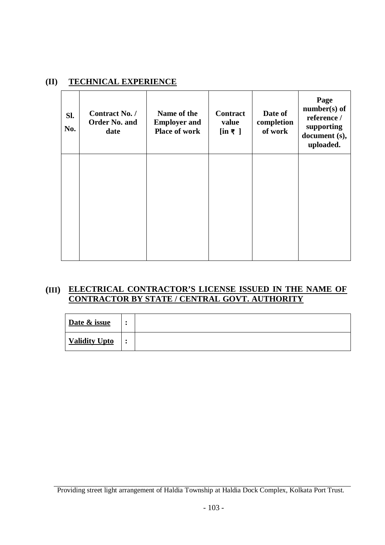#### **(II) TECHNICAL EXPERIENCE**

| SI.<br>No. | Contract No. /<br><b>Order No. and</b><br>date | Name of the<br><b>Employer and</b><br><b>Place of work</b> | <b>Contract</b><br>value<br>$[\text{in } \mathbb{F}]$ | Date of<br>completion<br>of work | Page<br>$number(s)$ of<br>reference /<br>supporting<br>document (s),<br>uploaded. |
|------------|------------------------------------------------|------------------------------------------------------------|-------------------------------------------------------|----------------------------------|-----------------------------------------------------------------------------------|
|            |                                                |                                                            |                                                       |                                  |                                                                                   |
|            |                                                |                                                            |                                                       |                                  |                                                                                   |

#### **(III) ELECTRICAL CONTRACTOR'S LICENSE ISSUED IN THE NAME OF CONTRACTOR BY STATE / CENTRAL GOVT. AUTHORITY**

| Date & issue  | $\bullet$ |  |
|---------------|-----------|--|
| Validity Upto | $\bullet$ |  |

Providing street light arrangement of Haldia Township at Haldia Dock Complex, Kolkata Port Trust.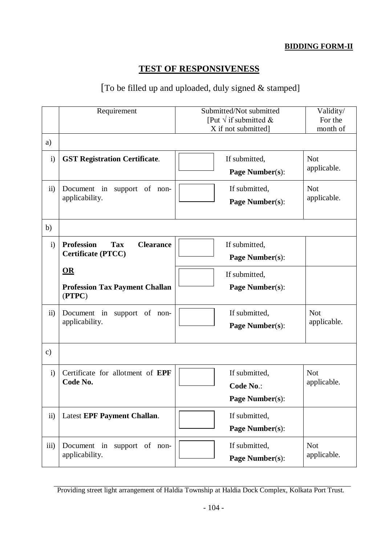#### **BIDDING FORM-II**

### **TEST OF RESPONSIVENESS**

### [To be filled up and uploaded, duly signed & stamped]

|                 | Requirement                                         | Submitted/Not submitted        | Validity/                 |
|-----------------|-----------------------------------------------------|--------------------------------|---------------------------|
|                 |                                                     | [Put $\sqrt{ }$ if submitted & | For the                   |
|                 |                                                     | X if not submitted]            | month of                  |
| a)              |                                                     |                                |                           |
| $\mathbf{i}$    | <b>GST Registration Certificate.</b>                | If submitted,                  | <b>Not</b>                |
|                 |                                                     | Page Number(s):                | applicable.               |
|                 |                                                     |                                |                           |
| $\overline{ii}$ | Document in support of non-                         | If submitted,                  | <b>Not</b>                |
|                 | applicability.                                      | Page Number(s):                | applicable.               |
|                 |                                                     |                                |                           |
| b)              |                                                     |                                |                           |
| $\mathbf{i}$    | <b>Clearance</b><br><b>Profession</b><br><b>Tax</b> | If submitted,                  |                           |
|                 | Certificate (PTCC)                                  | <b>Page Number(s):</b>         |                           |
|                 |                                                     |                                |                           |
|                 | $OR$                                                | If submitted,                  |                           |
|                 | <b>Profession Tax Payment Challan</b><br>(PTPC)     | Page Number(s):                |                           |
|                 |                                                     |                                |                           |
| $\overline{ii}$ | Document in support of non-                         | If submitted,                  | <b>Not</b>                |
|                 | applicability.                                      | Page Number(s):                | applicable.               |
|                 |                                                     |                                |                           |
| $\mathbf{c})$   |                                                     |                                |                           |
|                 |                                                     |                                |                           |
| $\mathbf{i}$    | Certificate for allotment of EPF<br>Code No.        | If submitted,                  | <b>Not</b><br>applicable. |
|                 |                                                     | Code No.:                      |                           |
|                 |                                                     | Page Number(s):                |                           |
| $\mathbf{ii}$   | <b>Latest EPF Payment Challan.</b>                  | If submitted,                  |                           |
|                 |                                                     | <b>Page Number(s):</b>         |                           |
|                 |                                                     |                                |                           |
| iii)            | Document in support of non-                         | If submitted,                  | <b>Not</b>                |
|                 | applicability.                                      | <b>Page Number(s):</b>         | applicable.               |
|                 |                                                     |                                |                           |

Providing street light arrangement of Haldia Township at Haldia Dock Complex, Kolkata Port Trust.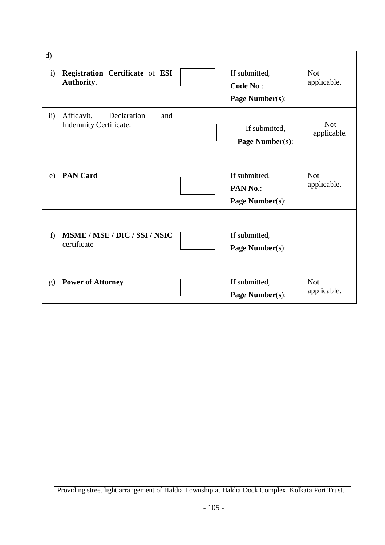| d)            |                                                            |                                               |                           |
|---------------|------------------------------------------------------------|-----------------------------------------------|---------------------------|
| $\mathbf{i}$  | Registration Certificate of ESI<br>Authority.              | If submitted,<br>Code No.:<br>Page Number(s): | <b>Not</b><br>applicable. |
| $\mathbf{ii}$ | Affidavit,<br>Declaration<br>and<br>Indemnity Certificate. | If submitted,<br><b>Page Number(s):</b>       | <b>Not</b><br>applicable. |
|               |                                                            |                                               |                           |
| e)            | <b>PAN Card</b>                                            | If submitted,<br>PAN No.:<br>Page Number(s):  | <b>Not</b><br>applicable. |
|               |                                                            |                                               |                           |
| f)            | MSME / MSE / DIC / SSI / NSIC<br>certificate               | If submitted,<br>Page Number(s):              |                           |
|               |                                                            |                                               |                           |
| g)            | <b>Power of Attorney</b>                                   | If submitted,<br>Page Number(s):              | <b>Not</b><br>applicable. |

Providing street light arrangement of Haldia Township at Haldia Dock Complex, Kolkata Port Trust.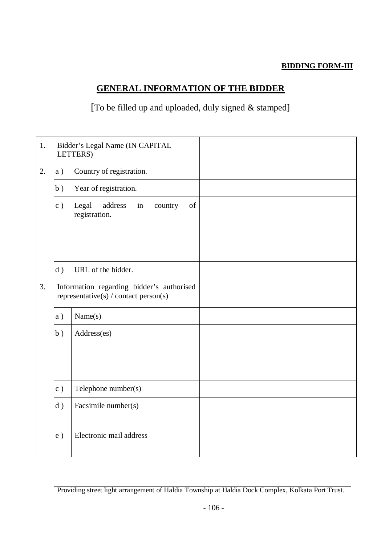### **BIDDING FORM-III**

### **GENERAL INFORMATION OF THE BIDDER**

## [To be filled up and uploaded, duly signed & stamped]

| 1. |                                                                                    | Bidder's Legal Name (IN CAPITAL<br>LETTERS)              |  |
|----|------------------------------------------------------------------------------------|----------------------------------------------------------|--|
| 2. | a)                                                                                 | Country of registration.                                 |  |
|    | b)                                                                                 | Year of registration.                                    |  |
|    | c)                                                                                 | Legal<br>address<br>of<br>country<br>in<br>registration. |  |
|    | d)                                                                                 | URL of the bidder.                                       |  |
| 3. | Information regarding bidder's authorised<br>representative(s) / contact person(s) |                                                          |  |
|    | a)                                                                                 | Name(s)                                                  |  |
|    | b)                                                                                 | Address(es)                                              |  |
|    | c)                                                                                 | Telephone number(s)                                      |  |
|    | d)                                                                                 | Facsimile number(s)                                      |  |
|    | e)                                                                                 | Electronic mail address                                  |  |

Providing street light arrangement of Haldia Township at Haldia Dock Complex, Kolkata Port Trust.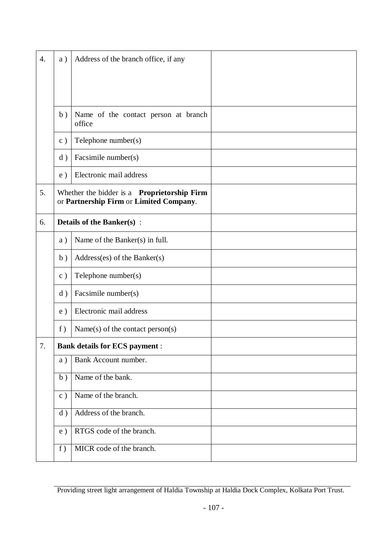| $\overline{4}$ . | a) | Address of the branch office, if any                                                          |  |
|------------------|----|-----------------------------------------------------------------------------------------------|--|
|                  |    |                                                                                               |  |
|                  | b) | Name of the contact person at branch<br>office                                                |  |
|                  | c) | Telephone number(s)                                                                           |  |
|                  | d) | Facsimile number(s)                                                                           |  |
|                  | e) | Electronic mail address                                                                       |  |
| 5.               |    | Whether the bidder is a <b>Proprietorship Firm</b><br>or Partnership Firm or Limited Company. |  |
| 6.               |    | <b>Details of the Banker(s):</b>                                                              |  |
|                  | a) | Name of the Banker(s) in full.                                                                |  |
|                  | b) | Address(es) of the Banker(s)                                                                  |  |
|                  | c) | Telephone number(s)                                                                           |  |
|                  | d) | Facsimile number(s)                                                                           |  |
|                  | e) | Electronic mail address                                                                       |  |
|                  | f) | Name(s) of the contact person(s)                                                              |  |
| 7.               |    | <b>Bank details for ECS payment :</b>                                                         |  |
|                  | a) | Bank Account number.                                                                          |  |
|                  | b) | Name of the bank.                                                                             |  |
|                  | c) | Name of the branch.                                                                           |  |
|                  | d) | Address of the branch.                                                                        |  |
|                  | e) | RTGS code of the branch.                                                                      |  |
|                  | f) | MICR code of the branch.                                                                      |  |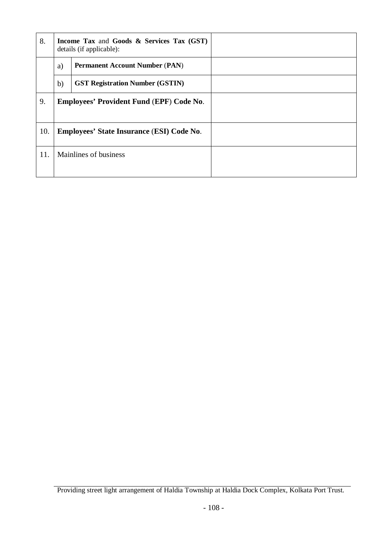| 8.  | <b>Income Tax and Goods &amp; Services Tax (GST)</b><br>details (if applicable): |                                        |  |
|-----|----------------------------------------------------------------------------------|----------------------------------------|--|
|     | a)                                                                               | <b>Permanent Account Number (PAN)</b>  |  |
|     | b)                                                                               | <b>GST Registration Number (GSTIN)</b> |  |
| 9.  | <b>Employees' Provident Fund (EPF) Code No.</b>                                  |                                        |  |
| 10. | <b>Employees' State Insurance (ESI) Code No.</b>                                 |                                        |  |
| 11. | Mainlines of business                                                            |                                        |  |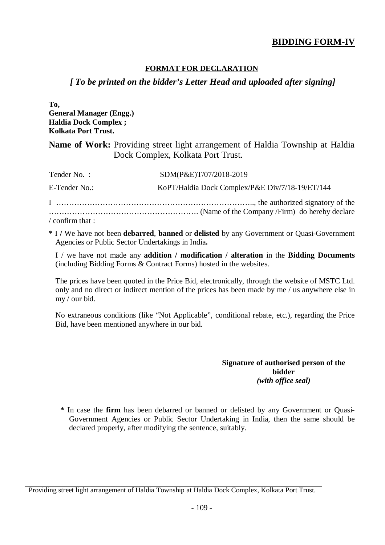# **BIDDING FORM-IV**

#### **FORMAT FOR DECLARATION**

## *[ To be printed on the bidder's Letter Head and uploaded after signing]*

**To, General Manager (Engg.) Haldia Dock Complex ; Kolkata Port Trust.**

**Name of Work:** Providing street light arrangement of Haldia Township at Haldia Dock Complex, Kolkata Port Trust.

| Tender No.:                  | SDM(P&E)T/07/2018-2019                          |
|------------------------------|-------------------------------------------------|
| E-Tender No.:                | KoPT/Haldia Dock Complex/P&E Div/7/18-19/ET/144 |
|                              |                                                 |
| $\frac{1}{2}$ confirm that : |                                                 |

**\*** I **/** We have not been **debarred**, **banned** or **delisted** by any Government or Quasi-Government Agencies or Public Sector Undertakings in India**.**

I / we have not made any **addition / modification / alteration** in the **Bidding Documents** (including Bidding Forms & Contract Forms) hosted in the websites.

The prices have been quoted in the Price Bid, electronically, through the website of MSTC Ltd. only and no direct or indirect mention of the prices has been made by me / us anywhere else in my / our bid.

No extraneous conditions (like "Not Applicable", conditional rebate, etc.), regarding the Price Bid, have been mentioned anywhere in our bid.

#### **Signature of authorised person of the bidder** *(with office seal)*

**\*** In case the **firm** has been debarred or banned or delisted by any Government or Quasi-Government Agencies or Public Sector Undertaking in India, then the same should be declared properly, after modifying the sentence, suitably.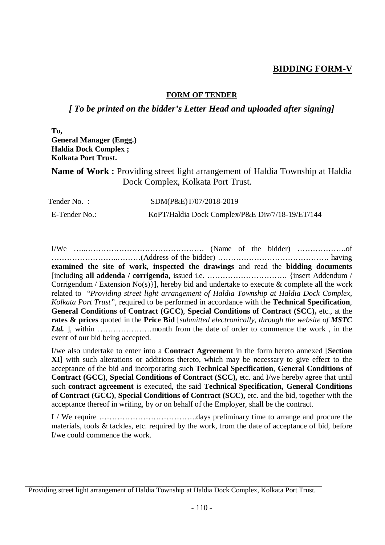## **BIDDING FORM-V**

#### **FORM OF TENDER**

### *[ To be printed on the bidder's Letter Head and uploaded after signing]*

**To, General Manager (Engg.) Haldia Dock Complex ; Kolkata Port Trust.**

**Name of Work :** Providing street light arrangement of Haldia Township at Haldia Dock Complex, Kolkata Port Trust.

| Tender No.:   | SDM(P&E)T/07/2018-2019                          |
|---------------|-------------------------------------------------|
| E-Tender No.: | KoPT/Haldia Dock Complex/P&E Div/7/18-19/ET/144 |

I/We …..………………………………………. (Name of the bidder) ……………….of ……………………..………(Address of the bidder) ……………………………………. having **examined the site of work**, **inspected the drawings** and read the **bidding documents** [including **all addenda / corrigenda,** issued i.e. …………………………. {insert Addendum / Corrigendum / Extension No(s)}], hereby bid and undertake to execute  $\&$  complete all the work related to "*Providing street light arrangement of Haldia Township at Haldia Dock Complex, Kolkata Port Trust",* required to be performed in accordance with the **Technical Specification**, **General Conditions of Contract (GCC)**, **Special Conditions of Contract (SCC),** etc., at the **rates & prices** quoted in the **Price Bid** [*submitted electronically, through the website of MSTC Ltd.* ], within …………………month from the date of order to commence the work , in the event of our bid being accepted.

I/we also undertake to enter into a **Contract Agreement** in the form hereto annexed [**Section XI**] with such alterations or additions thereto, which may be necessary to give effect to the acceptance of the bid and incorporating such **Technical Specification**, **General Conditions of Contract (GCC)**, **Special Conditions of Contract (SCC),** etc. and I/we hereby agree that until such **contract agreement** is executed, the said **Technical Specification, General Conditions of Contract (GCC)**, **Special Conditions of Contract (SCC),** etc. and the bid, together with the acceptance thereof in writing, by or on behalf of the Employer, shall be the contract.

I / We require ………………………………..days preliminary time to arrange and procure the materials, tools & tackles, etc. required by the work, from the date of acceptance of bid, before I/we could commence the work.

Providing street light arrangement of Haldia Township at Haldia Dock Complex, Kolkata Port Trust.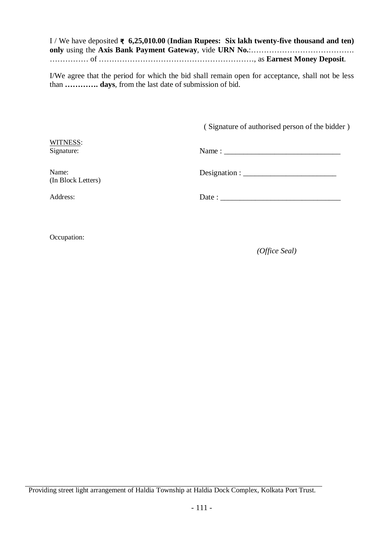I / We have deposited **₹ 6,25,010.00** (**Indian Rupees: Six lakh twenty-five thousand and ten) only** using the **Axis Bank Payment Gateway**, vide **URN No.**:…………………………………. …………… of ……………………………………………………, as **Earnest Money Deposit**.

I/We agree that the period for which the bid shall remain open for acceptance, shall not be less than **…………. days**, from the last date of submission of bid.

( Signature of authorised person of the bidder )

WITNESS:

Signature: Name : \_\_\_\_\_\_\_\_\_\_\_\_\_\_\_\_\_\_\_\_\_\_\_\_\_\_\_\_\_\_

Name: (In Block Letters) Designation : \_\_\_\_\_\_\_\_\_\_\_\_\_\_\_\_\_\_\_\_\_\_\_\_

Address: Date : \_\_\_\_\_\_\_\_\_\_\_\_\_\_\_\_\_\_\_\_\_\_\_\_\_\_\_\_\_\_\_

Occupation:

*(Office Seal)*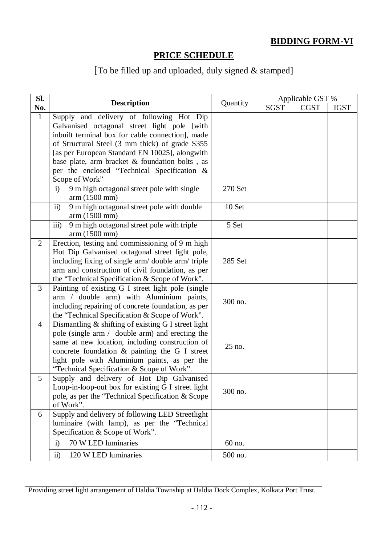# **BIDDING FORM-VI**

# **PRICE SCHEDULE**

# [To be filled up and uploaded, duly signed & stamped]

| SI.            |                                                                                                                                                                                                                                                                                                                                                                     | Quantity | Applicable GST % |             |             |
|----------------|---------------------------------------------------------------------------------------------------------------------------------------------------------------------------------------------------------------------------------------------------------------------------------------------------------------------------------------------------------------------|----------|------------------|-------------|-------------|
| No.            | <b>Description</b>                                                                                                                                                                                                                                                                                                                                                  |          | <b>SGST</b>      | <b>CGST</b> | <b>IGST</b> |
| $\mathbf{1}$   | Supply and delivery of following Hot Dip<br>Galvanised octagonal street light pole [with<br>inbuilt terminal box for cable connection], made<br>of Structural Steel (3 mm thick) of grade S355<br>[as per European Standard EN 10025], alongwith<br>base plate, arm bracket & foundation bolts, as<br>per the enclosed "Technical Specification &<br>Scope of Work" |          |                  |             |             |
|                | 9 m high octagonal street pole with single<br>$\mathbf{i}$<br>arm (1500 mm)                                                                                                                                                                                                                                                                                         | 270 Set  |                  |             |             |
|                | 9 m high octagonal street pole with double<br>$\overline{11}$<br>arm (1500 mm)                                                                                                                                                                                                                                                                                      | 10 Set   |                  |             |             |
|                | 9 m high octagonal street pole with triple<br>iii)<br>arm (1500 mm)                                                                                                                                                                                                                                                                                                 | 5 Set    |                  |             |             |
| $\overline{2}$ | Erection, testing and commissioning of 9 m high<br>Hot Dip Galvanised octagonal street light pole,<br>including fixing of single arm/ double arm/ triple<br>arm and construction of civil foundation, as per<br>the "Technical Specification & Scope of Work".                                                                                                      | 285 Set  |                  |             |             |
| 3              | Painting of existing G I street light pole (single<br>arm / double arm) with Aluminium paints,<br>including repairing of concrete foundation, as per<br>the "Technical Specification & Scope of Work".                                                                                                                                                              | 300 no.  |                  |             |             |
| $\overline{4}$ | Dismantling & shifting of existing G I street light<br>pole (single arm / double arm) and erecting the<br>same at new location, including construction of<br>concrete foundation & painting the G I street<br>light pole with Aluminium paints, as per the<br>"Technical Specification & Scope of Work".                                                            | 25 no.   |                  |             |             |
| 5              | Supply and delivery of Hot Dip Galvanised<br>Loop-in-loop-out box for existing G I street light<br>pole, as per the "Technical Specification & Scope<br>of Work".                                                                                                                                                                                                   | 300 no.  |                  |             |             |
| 6              | Supply and delivery of following LED Streetlight<br>luminaire (with lamp), as per the "Technical<br>Specification & Scope of Work".                                                                                                                                                                                                                                 |          |                  |             |             |
|                | 70 W LED luminaries<br>$\mathbf{i}$                                                                                                                                                                                                                                                                                                                                 | 60 no.   |                  |             |             |
|                | $\mathbf{ii}$<br>120 W LED luminaries                                                                                                                                                                                                                                                                                                                               | 500 no.  |                  |             |             |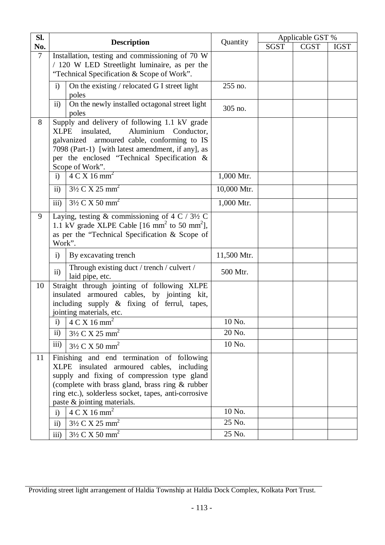| Sl.            |                                                                                                  |             | Applicable GST % |             |             |
|----------------|--------------------------------------------------------------------------------------------------|-------------|------------------|-------------|-------------|
| No.            | <b>Description</b>                                                                               | Quantity    | <b>SGST</b>      | <b>CGST</b> | <b>IGST</b> |
| $\overline{7}$ | Installation, testing and commissioning of 70 W                                                  |             |                  |             |             |
|                | / 120 W LED Streetlight luminaire, as per the                                                    |             |                  |             |             |
|                | "Technical Specification & Scope of Work".                                                       |             |                  |             |             |
|                | On the existing / relocated G I street light<br>$\mathbf{i}$                                     | 255 no.     |                  |             |             |
|                | poles<br>On the newly installed octagonal street light<br>$\mathbf{ii}$                          |             |                  |             |             |
|                | poles                                                                                            | 305 no.     |                  |             |             |
| 8              | Supply and delivery of following 1.1 kV grade                                                    |             |                  |             |             |
|                | insulated,<br>Aluminium Conductor,<br><b>XLPE</b>                                                |             |                  |             |             |
|                | galvanized armoured cable, conforming to IS                                                      |             |                  |             |             |
|                | 7098 (Part-1) [with latest amendment, if any], as<br>per the enclosed "Technical Specification & |             |                  |             |             |
|                | Scope of Work".                                                                                  |             |                  |             |             |
|                | $4 \text{ C X } 16 \text{ mm}^2$<br>$\mathbf{i}$                                                 | 1,000 Mtr.  |                  |             |             |
|                | $3\frac{1}{2}$ C X 25 mm <sup>2</sup><br>$\mathbf{ii}$                                           | 10,000 Mtr. |                  |             |             |
|                | $3\frac{1}{2}$ C X 50 mm <sup>2</sup><br>iii)                                                    | 1,000 Mtr.  |                  |             |             |
| 9              | Laying, testing & commissioning of 4 C / $3\frac{1}{2}$ C                                        |             |                  |             |             |
|                | 1.1 kV grade XLPE Cable $[16 \text{ mm}^2 \text{ to } 50 \text{ mm}^2]$ ,                        |             |                  |             |             |
|                | as per the "Technical Specification & Scope of<br>Work".                                         |             |                  |             |             |
|                |                                                                                                  |             |                  |             |             |
|                | By excavating trench<br>$\mathbf{i}$                                                             | 11,500 Mtr. |                  |             |             |
|                | Through existing duct / trench / culvert /<br>$\mathbf{ii}$<br>laid pipe, etc.                   | 500 Mtr.    |                  |             |             |
| 10             | Straight through jointing of following XLPE                                                      |             |                  |             |             |
|                | insulated armoured cables, by jointing kit,                                                      |             |                  |             |             |
|                | including supply & fixing of ferrul, tapes,                                                      |             |                  |             |             |
|                | jointing materials, etc.<br>i) $4 C X 16 mm2$                                                    | 10 No.      |                  |             |             |
|                | $\mathbf{ii}$                                                                                    | 20 No.      |                  |             |             |
|                | $3\frac{1}{2}$ C X 25 mm <sup>2</sup><br>iii)                                                    | 10 No.      |                  |             |             |
|                | 3½ C X 50 mm <sup>2</sup>                                                                        |             |                  |             |             |
| 11             | Finishing and end termination of following<br>XLPE insulated armoured cables, including          |             |                  |             |             |
|                | supply and fixing of compression type gland                                                      |             |                  |             |             |
|                | (complete with brass gland, brass ring & rubber                                                  |             |                  |             |             |
|                | ring etc.), solderless socket, tapes, anti-corrosive                                             |             |                  |             |             |
|                | paste & jointing materials.                                                                      |             |                  |             |             |
|                | $4 \text{ C X } 16 \text{ mm}^2$<br>$\mathbf{i}$                                                 | 10 No.      |                  |             |             |
|                | $3\frac{1}{2}$ C X 25 mm <sup>2</sup><br>$\overline{ii}$                                         | 25 No.      |                  |             |             |
|                | iii)<br>$3\frac{1}{2}$ C X 50 mm <sup>2</sup>                                                    | 25 No.      |                  |             |             |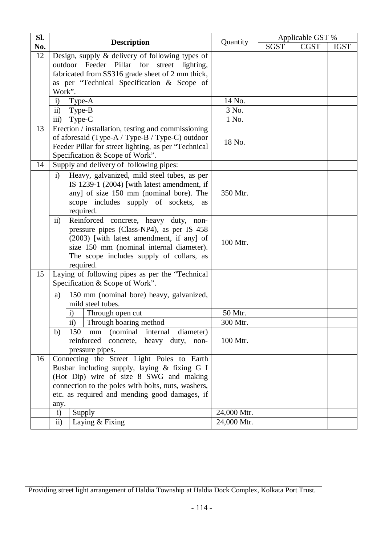| SI. |                                                                                                                                                                                                                                                                |             | Applicable GST % |             |             |  |
|-----|----------------------------------------------------------------------------------------------------------------------------------------------------------------------------------------------------------------------------------------------------------------|-------------|------------------|-------------|-------------|--|
| No. | <b>Description</b>                                                                                                                                                                                                                                             | Quantity    | <b>SGST</b>      | <b>CGST</b> | <b>IGST</b> |  |
| 12  | Design, supply $\&$ delivery of following types of<br>outdoor Feeder Pillar for street lighting,<br>fabricated from SS316 grade sheet of 2 mm thick,<br>as per "Technical Specification & Scope of<br>Work".                                                   |             |                  |             |             |  |
|     | $\mathbf{i}$<br>Type-A                                                                                                                                                                                                                                         | 14 No.      |                  |             |             |  |
|     | $\overline{11}$<br>Type-B                                                                                                                                                                                                                                      | 3 No.       |                  |             |             |  |
|     | iii)<br>Type-C                                                                                                                                                                                                                                                 | 1 No.       |                  |             |             |  |
| 13  | Erection / installation, testing and commissioning<br>of aforesaid (Type-A / Type-B / Type-C) outdoor<br>Feeder Pillar for street lighting, as per "Technical<br>Specification & Scope of Work".                                                               | 18 No.      |                  |             |             |  |
| 14  | Supply and delivery of following pipes:                                                                                                                                                                                                                        |             |                  |             |             |  |
|     | Heavy, galvanized, mild steel tubes, as per<br>$\ddot{i}$<br>IS 1239-1 (2004) [with latest amendment, if<br>any] of size 150 mm (nominal bore). The<br>scope includes supply of sockets,<br>as<br>required.                                                    | 350 Mtr.    |                  |             |             |  |
|     | $\mathbf{ii}$<br>Reinforced concrete, heavy duty, non-<br>pressure pipes (Class-NP4), as per IS 458<br>(2003) [with latest amendment, if any] of<br>size 150 mm (nominal internal diameter).<br>The scope includes supply of collars, as<br>required.          | 100 Mtr.    |                  |             |             |  |
| 15  | Laying of following pipes as per the "Technical<br>Specification & Scope of Work".                                                                                                                                                                             |             |                  |             |             |  |
|     | 150 mm (nominal bore) heavy, galvanized,<br>a)<br>mild steel tubes.                                                                                                                                                                                            |             |                  |             |             |  |
|     | Through open cut<br>$\mathbf{i}$                                                                                                                                                                                                                               | 50 Mtr.     |                  |             |             |  |
|     | ii) Through boaring method                                                                                                                                                                                                                                     | 300 Mtr.    |                  |             |             |  |
|     | 150<br>b)<br>(nominal internal<br>diameter)<br>mm<br>reinforced concrete, heavy duty, non-<br>pressure pipes.                                                                                                                                                  | 100 Mtr.    |                  |             |             |  |
| 16  | Connecting the Street Light Poles to Earth<br>Busbar including supply, laying & fixing G I<br>(Hot Dip) wire of size 8 SWG and making<br>connection to the poles with bolts, nuts, washers,<br>etc. as required and mending good damages, if<br>any.<br>Supply | 24,000 Mtr. |                  |             |             |  |
|     | $\mathbf{i}$<br>ii)<br>Laying & Fixing                                                                                                                                                                                                                         | 24,000 Mtr. |                  |             |             |  |

Providing street light arrangement of Haldia Township at Haldia Dock Complex, Kolkata Port Trust.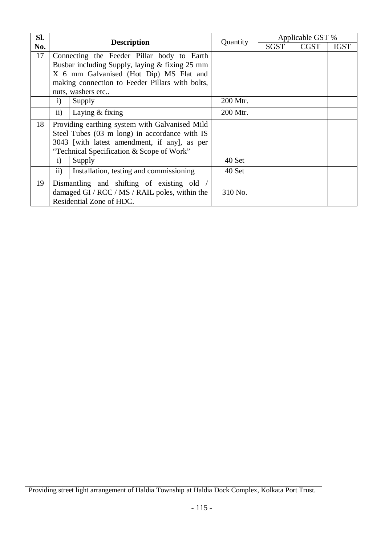| Sl. |                                            | <b>Description</b>                              |          | Applicable GST % |             |             |
|-----|--------------------------------------------|-------------------------------------------------|----------|------------------|-------------|-------------|
| No. |                                            |                                                 | Quantity | <b>SGST</b>      | <b>CGST</b> | <b>IGST</b> |
| 17  |                                            | Connecting the Feeder Pillar body to Earth      |          |                  |             |             |
|     |                                            | Busbar including Supply, laying & fixing 25 mm  |          |                  |             |             |
|     |                                            | X 6 mm Galvanised (Hot Dip) MS Flat and         |          |                  |             |             |
|     |                                            | making connection to Feeder Pillars with bolts, |          |                  |             |             |
|     |                                            | nuts, washers etc                               |          |                  |             |             |
|     | $\ddot{\mathbf{i}}$                        | Supply                                          | 200 Mtr. |                  |             |             |
|     | $\mathbf{ii}$                              | Laying $&$ fixing                               | 200 Mtr. |                  |             |             |
| 18  |                                            | Providing earthing system with Galvanised Mild  |          |                  |             |             |
|     |                                            | Steel Tubes (03 m long) in accordance with IS   |          |                  |             |             |
|     |                                            | 3043 [with latest amendment, if any], as per    |          |                  |             |             |
|     |                                            | "Technical Specification & Scope of Work"       |          |                  |             |             |
|     | $\ddot{\mathbf{i}}$                        | Supply                                          | 40 Set   |                  |             |             |
|     | $\mathbf{ii}$                              | Installation, testing and commissioning         | 40 Set   |                  |             |             |
| 19  | Dismantling and shifting of existing old / |                                                 |          |                  |             |             |
|     |                                            | damaged GI / RCC / MS / RAIL poles, within the  | 310 No.  |                  |             |             |
|     |                                            | Residential Zone of HDC.                        |          |                  |             |             |

Providing street light arrangement of Haldia Township at Haldia Dock Complex, Kolkata Port Trust.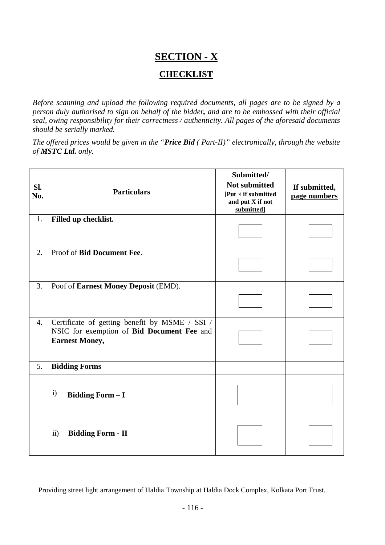# **SECTION - X CHECKLIST**

*Before scanning and upload the following required documents, all pages are to be signed by a person duly authorised to sign on behalf of the bidder, and are to be embossed with their official seal, owing responsibility for their correctness / authenticity. All pages of the aforesaid documents should be serially marked.*

*The offered prices would be given in the "Price Bid ( Part-II)" electronically, through the website of MSTC Ltd. only.*

| Sl.<br>No.       |                                                                                                                       | <b>Particulars</b>         | Submitted/<br><b>Not submitted</b><br>[Put $\sqrt{ }$ if submitted<br>and put X if not<br>submitted] | If submitted,<br>page numbers |
|------------------|-----------------------------------------------------------------------------------------------------------------------|----------------------------|------------------------------------------------------------------------------------------------------|-------------------------------|
| 1.               |                                                                                                                       | Filled up checklist.       |                                                                                                      |                               |
| 2.               |                                                                                                                       | Proof of Bid Document Fee. |                                                                                                      |                               |
| $\overline{3}$ . | Poof of Earnest Money Deposit (EMD).                                                                                  |                            |                                                                                                      |                               |
| 4.               | Certificate of getting benefit by MSME / SSI /<br>NSIC for exemption of Bid Document Fee and<br><b>Earnest Money,</b> |                            |                                                                                                      |                               |
| 5.               |                                                                                                                       | <b>Bidding Forms</b>       |                                                                                                      |                               |
|                  | $\mathbf{i}$                                                                                                          | <b>Bidding Form - I</b>    |                                                                                                      |                               |
|                  | $\mathbf{ii}$                                                                                                         | <b>Bidding Form - II</b>   |                                                                                                      |                               |

Providing street light arrangement of Haldia Township at Haldia Dock Complex, Kolkata Port Trust.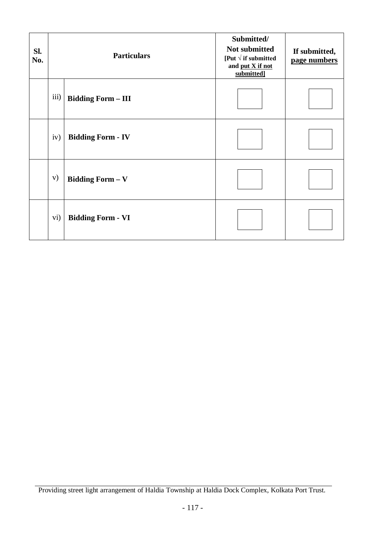| Sl.<br>No. |      | <b>Particulars</b>        | Submitted/<br>Not submitted<br>[Put $\sqrt{ }$ if submitted<br>and put X if not<br>submitted] | If submitted,<br>page numbers |
|------------|------|---------------------------|-----------------------------------------------------------------------------------------------|-------------------------------|
|            | iii) | <b>Bidding Form - III</b> |                                                                                               |                               |
|            | iv)  | <b>Bidding Form - IV</b>  |                                                                                               |                               |
|            | V)   | <b>Bidding Form - V</b>   |                                                                                               |                               |
|            | vi)  | <b>Bidding Form - VI</b>  |                                                                                               |                               |

Providing street light arrangement of Haldia Township at Haldia Dock Complex, Kolkata Port Trust.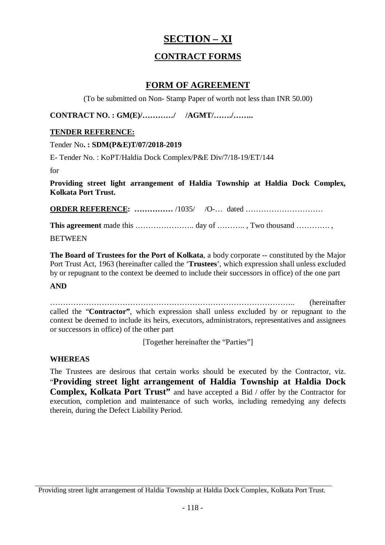# **SECTION – XI**

# **CONTRACT FORMS**

## **FORM OF AGREEMENT**

(To be submitted on Non- Stamp Paper of worth not less than INR 50.00)

**CONTRACT NO. : GM(E)/…………/ /AGMT/……./……..**

#### **TENDER REFERENCE:**

Tender No**. : SDM(P&E)T/07/2018-2019**

E- Tender No. : KoPT/Haldia Dock Complex/P&E Div/7/18-19/ET/144

for

**Providing street light arrangement of Haldia Township at Haldia Dock Complex, Kolkata Port Trust.**

**ORDER REFERENCE: ……………** /1035/ /O-… dated …………………………

**This agreement** made this ………………….. day of ……….. , Two thousand …………. ,

**BETWEEN** 

**The Board of Trustees for the Port of Kolkata**, a body corporate -- constituted by the Major Port Trust Act, 1963 (hereinafter called the '**Trustees**', which expression shall unless excluded by or repugnant to the context be deemed to include their successors in office) of the one part

#### **AND**

………………………………………………………………………………….. (hereinafter called the "**Contractor"**, which expression shall unless excluded by or repugnant to the context be deemed to include its heirs, executors, administrators, representatives and assignees or successors in office) of the other part

[Together hereinafter the "Parties"]

#### **WHEREAS**

The Trustees are desirous that certain works should be executed by the Contractor, viz. "**Providing street light arrangement of Haldia Township at Haldia Dock Complex, Kolkata Port Trust"** and have accepted a Bid / offer by the Contractor for execution, completion and maintenance of such works, including remedying any defects therein, during the Defect Liability Period.

Providing street light arrangement of Haldia Township at Haldia Dock Complex, Kolkata Port Trust.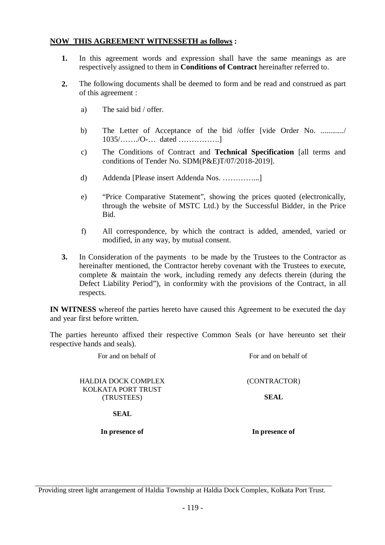#### **NOW THIS AGREEMENT WITNESSETH as follows :**

- **1.** In this agreement words and expression shall have the same meanings as are respectively assigned to them in **Conditions of Contract** hereinafter referred to.
- **2.** The following documents shall be deemed to form and be read and construed as part of this agreement :
	- a) The said bid / offer.
	- b) The Letter of Acceptance of the bid /offer [vide Order No. ............./ 1035/……./O-… dated …………….]
	- c) The Conditions of Contract and **Technical Specification** [all terms and conditions of Tender No. SDM(P&E)T/07/2018-2019].
	- d) Addenda [Please insert Addenda Nos. …………...]
	- e) "Price Comparative Statement", showing the prices quoted (electronically, through the website of MSTC Ltd.) by the Successful Bidder, in the Price Bid.
	- f) All correspondence, by which the contract is added, amended, varied or modified, in any way, by mutual consent.
- **3.** In Consideration of the payments to be made by the Trustees to the Contractor as hereinafter mentioned, the Contractor hereby covenant with the Trustees to execute, complete & maintain the work, including remedy any defects therein (during the Defect Liability Period"), in conformity with the provisions of the Contract, in all respects.

**IN WITNESS** whereof the parties hereto have caused this Agreement to be executed the day and year first before written.

The parties hereunto affixed their respective Common Seals (or have hereunto set their respective hands and seals).

HALDIA DOCK COMPLEX KOLKATA PORT TRUST (TRUSTEES)

For and on behalf of For and on behalf of For and on behalf of

(CONTRACTOR)

**SEAL**

**SEAL**

**In presence of In presence of**

Providing street light arrangement of Haldia Township at Haldia Dock Complex, Kolkata Port Trust.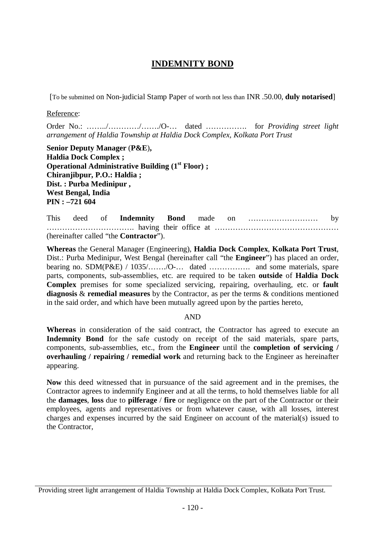# **INDEMNITY BOND**

[To be submitted on Non-judicial Stamp Paper of worth not less than INR .50.00, **duly notarised**]

Reference:

Order No.: ……../…………/……./O-… dated ……………. for *Providing street light arrangement of Haldia Township at Haldia Dock Complex, Kolkata Port Trust*

**Senior Deputy Manager** (**P&E**)**, Haldia Dock Complex ; Operational Administrative Building (1st Floor) ; Chiranjibpur, P.O.: Haldia ; Dist. : Purba Medinipur , West Bengal, India PIN : –721 604**

This deed of **Indemnity Bond** made on ……………………… by ……………………………. having their office at ………………………………………… (hereinafter called "the **Contractor**").

**Whereas** the General Manager (Engineering), **Haldia Dock Complex**, **Kolkata Port Trust**, Dist.: Purba Medinipur, West Bengal (hereinafter call "the **Engineer**") has placed an order, bearing no.  $SDM(P\&E)$  /  $1035$ , ......, O-... dated ................... and some materials, spare parts, components, sub-assemblies, etc. are required to be taken **outside** of **Haldia Dock Complex** premises for some specialized servicing, repairing, overhauling, etc. or **fault diagnosis** & **remedial measures** by the Contractor, as per the terms & conditions mentioned in the said order, and which have been mutually agreed upon by the parties hereto,

#### AND

**Whereas** in consideration of the said contract, the Contractor has agreed to execute an **Indemnity Bond** for the safe custody on receipt of the said materials, spare parts, components, sub-assemblies, etc., from the **Engineer** until the **completion of servicing / overhauling / repairing / remedial work** and returning back to the Engineer as hereinafter appearing.

**Now** this deed witnessed that in pursuance of the said agreement and in the premises, the Contractor agrees to indemnify Engineer and at all the terms, to hold themselves liable for all the **damages**, **loss** due to **pilferage** / **fire** or negligence on the part of the Contractor or their employees, agents and representatives or from whatever cause, with all losses, interest charges and expenses incurred by the said Engineer on account of the material(s) issued to the Contractor,

Providing street light arrangement of Haldia Township at Haldia Dock Complex, Kolkata Port Trust.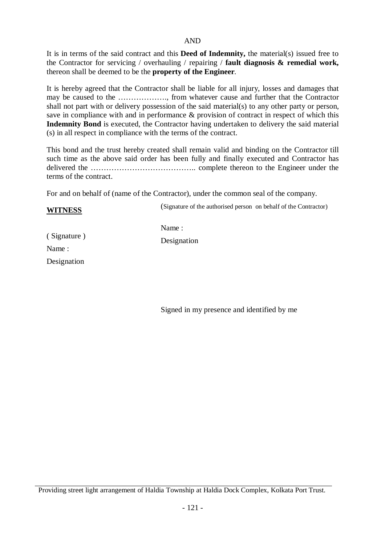#### AND

It is in terms of the said contract and this **Deed of Indemnity,** the material(s) issued free to the Contractor for servicing / overhauling / repairing / **fault diagnosis & remedial work,** thereon shall be deemed to be the **property of the Engineer**.

It is hereby agreed that the Contractor shall be liable for all injury, losses and damages that may be caused to the ………………., from whatever cause and further that the Contractor shall not part with or delivery possession of the said material(s) to any other party or person, save in compliance with and in performance & provision of contract in respect of which this **Indemnity Bond** is executed, the Contractor having undertaken to delivery the said material (s) in all respect in compliance with the terms of the contract.

This bond and the trust hereby created shall remain valid and binding on the Contractor till such time as the above said order has been fully and finally executed and Contractor has delivered the ………………………………….. complete thereon to the Engineer under the terms of the contract.

For and on behalf of (name of the Contractor), under the common seal of the company.

#### **WITNESS**

(Signature of the authorised person on behalf of the Contractor)

( Signature ) Name : Designation

Name :

Designation

Signed in my presence and identified by me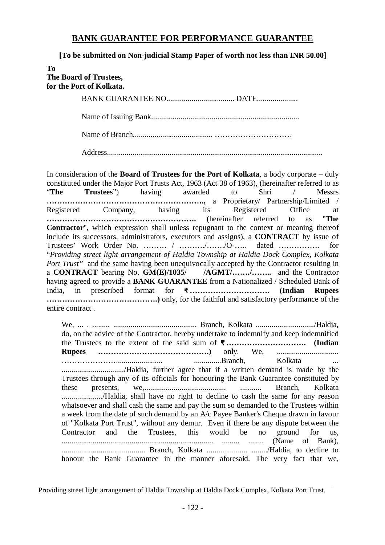## **BANK GUARANTEE FOR PERFORMANCE GUARANTEE**

**[To be submitted on Non-judicial Stamp Paper of worth not less than INR 50.00]**

| Tо<br>The Board of Trustees,<br>for the Port of Kolkata. |
|----------------------------------------------------------|
|                                                          |
|                                                          |
|                                                          |

Address...............................................................................................................

In consideration of the **Board of Trustees for the Port of Kolkata**, a body corporate – duly constituted under the Major Port Trusts Act, 1963 (Act 38 of 1963), (hereinafter referred to as "**The Trustees**") having awarded to Shri / Messrs **…………………………………………………….,** a Proprietary/ Partnership/Limited / Registered Company, having its Registered Office at **………………………………………………….** (hereinafter referred to as "**The Contractor**", which expression shall unless repugnant to the context or meaning thereof include its successors, administrators, executors and assigns), a **CONTRACT** by issue of Trustees' Work Order No. ……… / ………./……./O-….. dated ……………. for "*Providing street light arrangement of Haldia Township at Haldia Dock Complex, Kolkata Port Trust*" and the same having been unequivocally accepted by the Contractor resulting in a **CONTRACT** bearing No. **GM(E)/1035/ /AGMT/……./……..** and the Contractor having agreed to provide a **BANK GUARANTEE** from a Nationalized / Scheduled Bank of India, in prescribed format for **₹ …………………………. (Indian Rupees …………………………………….)** only, for the faithful and satisfactory performance of the entire contract .

We, ... . ......... ........................................... Branch, Kolkata ............................../Haldia, do, on the advice of the Contractor, hereby undertake to indemnify and keep indemnified the Trustees to the extent of the said sum of **₹ …………………………. (Indian Rupees …………………………………….)** only. We, ................................ …………………………………………………………………………Branch, Kolkata ................................/Haldia, further agree that if a written demand is made by the Trustees through any of its officials for honouring the Bank Guarantee constituted by these presents, we,.......................................... ........... Branch, Kolkata ...................../Haldia, shall have no right to decline to cash the same for any reason whatsoever and shall cash the same and pay the sum so demanded to the Trustees within a week from the date of such demand by an A/c Payee Banker's Cheque drawn in favour of "Kolkata Port Trust", without any demur. Even if there be any dispute between the Contractor and the Trustees, this would be no ground for us, .............................................................................. ......... ........ (Name of Bank), ........................................... Branch, Kolkata ..................... ......../Haldia, to decline to honour the Bank Guarantee in the manner aforesaid. The very fact that we,

Providing street light arrangement of Haldia Township at Haldia Dock Complex, Kolkata Port Trust.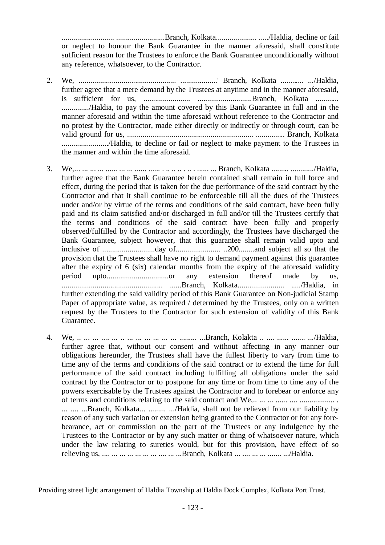........................... .........................Branch, Kolkata..................... ...../Haldia, decline or fail or neglect to honour the Bank Guarantee in the manner aforesaid, shall constitute sufficient reason for the Trustees to enforce the Bank Guarantee unconditionally without any reference, whatsoever, to the Contractor.

- 2. We, .................................................. ...................' Branch, Kolkata ............ .../Haldia, further agree that a mere demand by the Trustees at anytime and in the manner aforesaid, is sufficient for us, ........................ ............................Branch, Kolkata ............ ............../Haldia, to pay the amount covered by this Bank Guarantee in full and in the manner aforesaid and within the time aforesaid without reference to the Contractor and no protest by the Contractor, made either directly or indirectly or through court, can be valid ground for us, ................................................................. ............... Branch, Kolkata ......................../Haldia, to decline or fail or neglect to make payment to the Trustees in the manner and within the time aforesaid.
- 3. We,... ... ... ... ...... ... ... ...... ...... . .. .. .. . .. . ...... ... Branch, Kolkata ......... ............/Haldia, further agree that the Bank Guarantee herein contained shall remain in full force and effect, during the period that is taken for the due performance of the said contract by the Contractor and that it shall continue to be enforceable till all the dues of the Trustees under and/or by virtue of the terms and conditions of the said contract, have been fully paid and its claim satisfied and/or discharged in full and/or till the Trustees certify that the terms and conditions of the said contract have been fully and properly observed/fulfilled by the Contractor and accordingly, the Trustees have discharged the Bank Guarantee, subject however, that this guarantee shall remain valid upto and inclusive of ...........................day of....................... ..200........and subject all so that the provision that the Trustees shall have no right to demand payment against this guarantee after the expiry of 6 (six) calendar months from the expiry of the aforesaid validity period upto................................or any extension thereof made by us, .................................................... ......Branch, Kolkata........................ ...../Haldia, in further extending the said validity period of this Bank Guarantee on Non-judicial Stamp Paper of appropriate value, as required / determined by the Trustees, only on a written request by the Trustees to the Contractor for such extension of validity of this Bank Guarantee.
- 4. We, .. ... ... .... ... .. ... ... ... ... ... ... ......... ...Branch, Kolakta .. .... ...... ....... .../Haldia, further agree that, without our consent and without affecting in any manner our obligations hereunder, the Trustees shall have the fullest liberty to vary from time to time any of the terms and conditions of the said contract or to extend the time for full performance of the said contract including fulfilling all obligations under the said contract by the Contractor or to postpone for any time or from time to time any of the powers exercisable by the Trustees against the Contractor and to forebear or enforce any of terms and conditions relating to the said contract and We,.. ... ... ...... .... .................. . ... .... ...Branch, Kolkata... ......... .../Haldia, shall not be relieved from our liability by reason of any such variation or extension being granted to the Contractor or for any forebearance, act or commission on the part of the Trustees or any indulgence by the Trustees to the Contractor or by any such matter or thing of whatsoever nature, which under the law relating to sureties would, but for this provision, have effect of so relieving us, .... ... ... ... ... ... ... .... ... ...Branch, Kolkata ... .... ... ... ....... .../Haldia.

Providing street light arrangement of Haldia Township at Haldia Dock Complex, Kolkata Port Trust.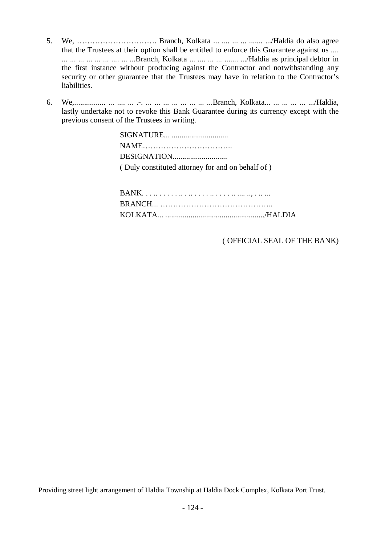- 5. We, …………………………. Branch, Kolkata ... .... ... ... ....... .../Haldia do also agree that the Trustees at their option shall be entitled to enforce this Guarantee against us .... ... ... ... ... ... ... .... ... ...Branch, Kolkata ... .... ... ... ....... .../Haldia as principal debtor in the first instance without producing against the Contractor and notwithstanding any security or other guarantee that the Trustees may have in relation to the Contractor's liabilities.
- 6. We,................ ... .... ... .-. ... ... ... ... ... ... ... ...Branch, Kolkata... ... ... ... ... .../Haldia, lastly undertake not to revoke this Bank Guarantee during its currency except with the previous consent of the Trustees in writing.

| SIGNATURE                                        |
|--------------------------------------------------|
|                                                  |
|                                                  |
| (Duly constituted attorney for and on behalf of) |

( OFFICIAL SEAL OF THE BANK)

Providing street light arrangement of Haldia Township at Haldia Dock Complex, Kolkata Port Trust.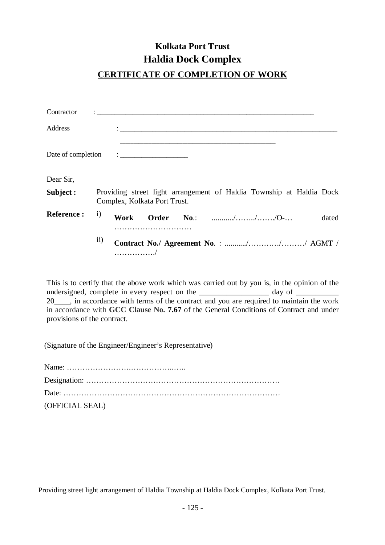# **Kolkata Port Trust Haldia Dock Complex**

# **CERTIFICATE OF COMPLETION OF WORK**

| Contractor         |              |      |                                                                                                                                                                                                                                     |                                                                      |  |       |
|--------------------|--------------|------|-------------------------------------------------------------------------------------------------------------------------------------------------------------------------------------------------------------------------------------|----------------------------------------------------------------------|--|-------|
| Address            |              |      |                                                                                                                                                                                                                                     |                                                                      |  |       |
| Date of completion |              |      | $\ddot{\cdot}$ . The contract of the contract of the contract of the contract of the contract of the contract of the contract of the contract of the contract of the contract of the contract of the contract of the contract of th |                                                                      |  |       |
| Dear Sir,          |              |      |                                                                                                                                                                                                                                     |                                                                      |  |       |
| Subject :          |              |      | Complex, Kolkata Port Trust.                                                                                                                                                                                                        | Providing street light arrangement of Haldia Township at Haldia Dock |  |       |
| <b>Reference:</b>  | $\mathbf{i}$ | Work |                                                                                                                                                                                                                                     | Order No.: ///O-                                                     |  | dated |
|                    | $\rm ii)$    |      |                                                                                                                                                                                                                                     | Contract No./ Agreement No.: /// AGMT /                              |  |       |

This is to certify that the above work which was carried out by you is, in the opinion of the undersigned, complete in every respect on the \_\_\_\_\_\_\_\_\_\_\_\_\_\_\_\_\_\_\_\_ day of \_\_\_\_\_\_\_\_\_\_\_\_ 20\_\_\_\_, in accordance with terms of the contract and you are required to maintain the work in accordance with **GCC Clause No. 7.67** of the General Conditions of Contract and under provisions of the contract.

(Signature of the Engineer/Engineer's Representative)

| (OFFICIAL SEAL) |
|-----------------|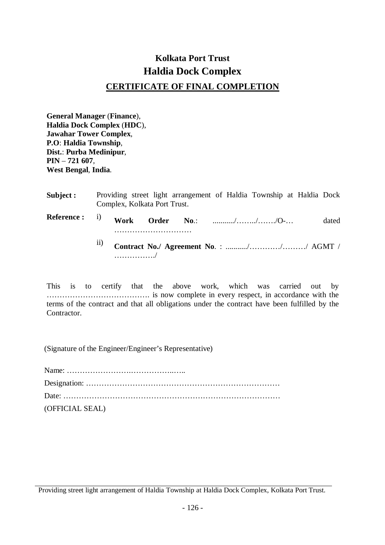# **Kolkata Port Trust Haldia Dock Complex CERTIFICATE OF FINAL COMPLETION**

**General Manager** (**Finance**), **Haldia Dock Complex** (**HDC**), **Jawahar Tower Complex**, **P.O**: **Haldia Township**, **Dist.**: **Purba Medinipur**, **PIN** – **721 607**, **West Bengal**, **India**.

| <b>Subject :</b>                     |     | Complex, Kolkata Port Trust. |  | Providing street light arrangement of Haldia Township at Haldia Dock |       |
|--------------------------------------|-----|------------------------------|--|----------------------------------------------------------------------|-------|
| Reference : i) Work Order No.: ///O- |     |                              |  |                                                                      | dated |
|                                      | . / |                              |  | <sup>ii)</sup> Contract No./ Agreement No.: /// AGMT /               |       |

This is to certify that the above work, which was carried out by …………………………………. is now complete in every respect, in accordance with the terms of the contract and that all obligations under the contract have been fulfilled by the Contractor.

(Signature of the Engineer/Engineer's Representative)

| (OFFICIAL SEAL) |
|-----------------|

Providing street light arrangement of Haldia Township at Haldia Dock Complex, Kolkata Port Trust.